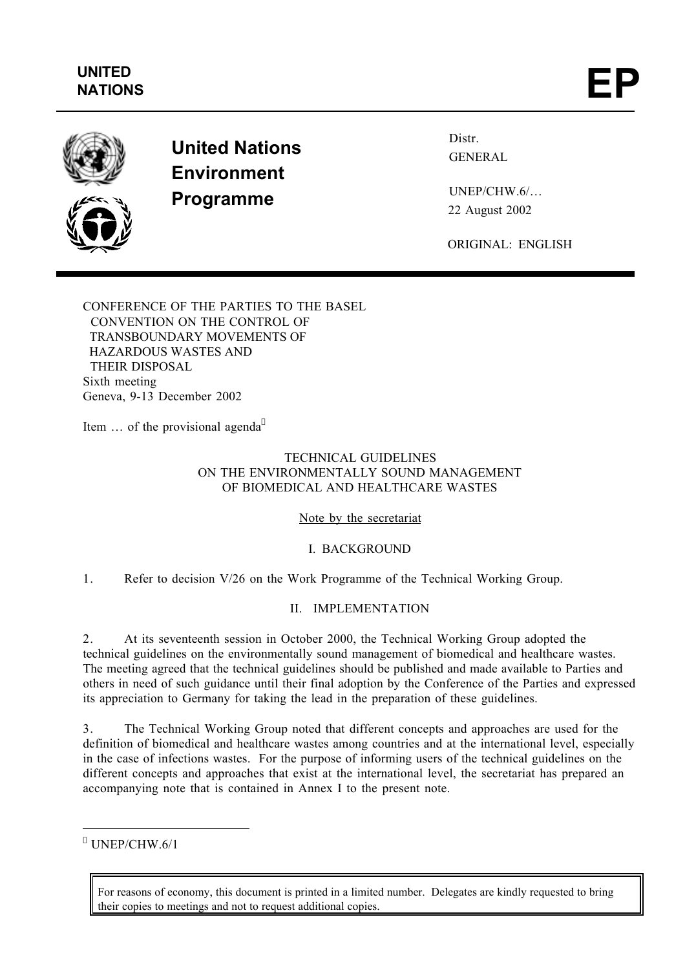

**United Nations Environment Programme**

Distr. GENERAL

UNEP/CHW.6/… 22 August 2002

ORIGINAL: ENGLISH

CONFERENCE OF THE PARTIES TO THE BASEL CONVENTION ON THE CONTROL OF TRANSBOUNDARY MOVEMENTS OF HAZARDOUS WASTES AND THEIR DISPOSAL Sixth meeting Geneva, 9-13 December 2002

Item ... of the provisional agenda<sup>\*</sup>

# TECHNICAL GUIDELINES ON THE ENVIRONMENTALLY SOUND MANAGEMENT OF BIOMEDICAL AND HEALTHCARE WASTES

Note by the secretariat

I. BACKGROUND

1. Refer to decision V/26 on the Work Programme of the Technical Working Group.

# II. IMPLEMENTATION

2. At its seventeenth session in October 2000, the Technical Working Group adopted the technical guidelines on the environmentally sound management of biomedical and healthcare wastes. The meeting agreed that the technical guidelines should be published and made available to Parties and others in need of such guidance until their final adoption by the Conference of the Parties and expressed its appreciation to Germany for taking the lead in the preparation of these guidelines.

3. The Technical Working Group noted that different concepts and approaches are used for the definition of biomedical and healthcare wastes among countries and at the international level, especially in the case of infections wastes. For the purpose of informing users of the technical guidelines on the different concepts and approaches that exist at the international level, the secretariat has prepared an accompanying note that is contained in Annex I to the present note.

\* UNEP/CHW.6/1

÷

For reasons of economy, this document is printed in a limited number. Delegates are kindly requested to bring their copies to meetings and not to request additional copies.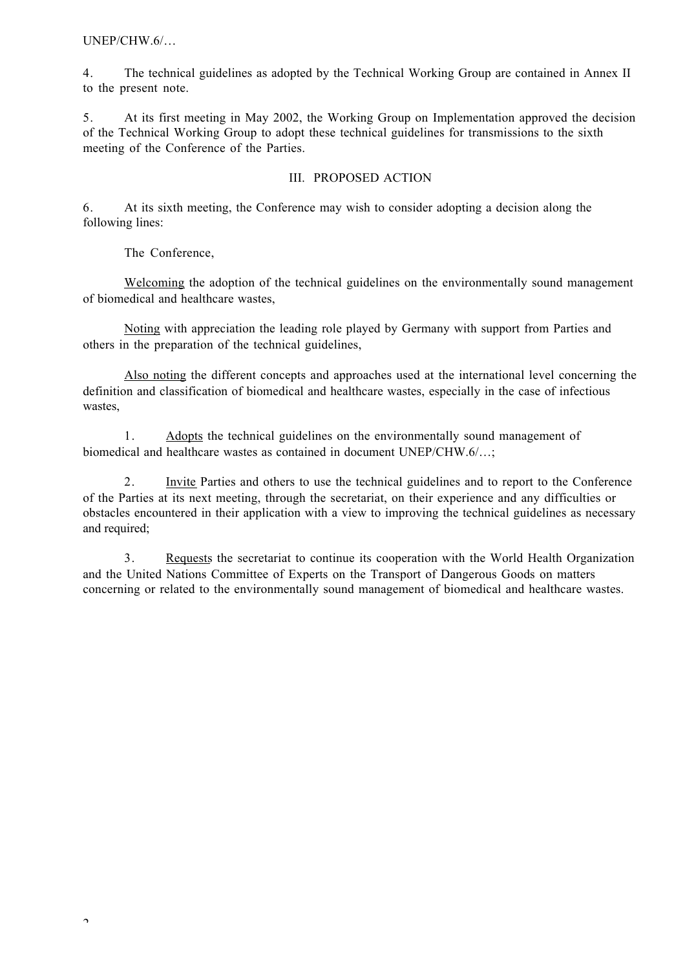UNEP/CHW.6/…

4. The technical guidelines as adopted by the Technical Working Group are contained in Annex II to the present note.

5. At its first meeting in May 2002, the Working Group on Implementation approved the decision of the Technical Working Group to adopt these technical guidelines for transmissions to the sixth meeting of the Conference of the Parties.

## III. PROPOSED ACTION

6. At its sixth meeting, the Conference may wish to consider adopting a decision along the following lines:

The Conference,

Welcoming the adoption of the technical guidelines on the environmentally sound management of biomedical and healthcare wastes,

Noting with appreciation the leading role played by Germany with support from Parties and others in the preparation of the technical guidelines,

Also noting the different concepts and approaches used at the international level concerning the definition and classification of biomedical and healthcare wastes, especially in the case of infectious wastes,

1. Adopts the technical guidelines on the environmentally sound management of biomedical and healthcare wastes as contained in document UNEP/CHW.6/…;

2. Invite Parties and others to use the technical guidelines and to report to the Conference of the Parties at its next meeting, through the secretariat, on their experience and any difficulties or obstacles encountered in their application with a view to improving the technical guidelines as necessary and required;

3. Requests the secretariat to continue its cooperation with the World Health Organization and the United Nations Committee of Experts on the Transport of Dangerous Goods on matters concerning or related to the environmentally sound management of biomedical and healthcare wastes.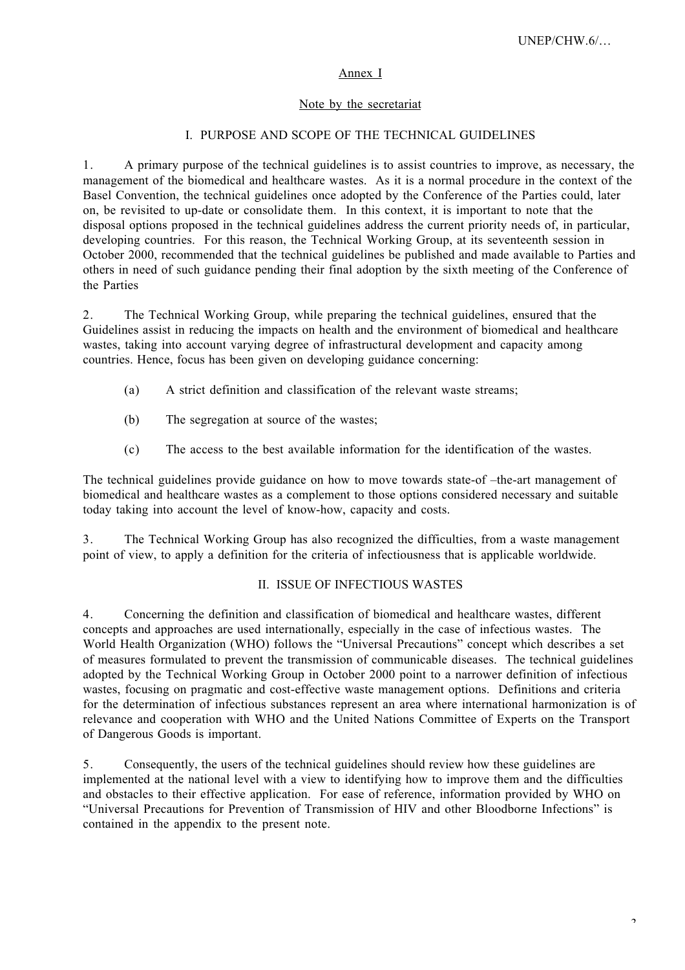## Annex I

## Note by the secretariat

## I. PURPOSE AND SCOPE OF THE TECHNICAL GUIDELINES

1. A primary purpose of the technical guidelines is to assist countries to improve, as necessary, the management of the biomedical and healthcare wastes. As it is a normal procedure in the context of the Basel Convention, the technical guidelines once adopted by the Conference of the Parties could, later on, be revisited to up-date or consolidate them. In this context, it is important to note that the disposal options proposed in the technical guidelines address the current priority needs of, in particular, developing countries. For this reason, the Technical Working Group, at its seventeenth session in October 2000, recommended that the technical guidelines be published and made available to Parties and others in need of such guidance pending their final adoption by the sixth meeting of the Conference of the Parties

2. The Technical Working Group, while preparing the technical guidelines, ensured that the Guidelines assist in reducing the impacts on health and the environment of biomedical and healthcare wastes, taking into account varying degree of infrastructural development and capacity among countries. Hence, focus has been given on developing guidance concerning:

- (a) A strict definition and classification of the relevant waste streams;
- (b) The segregation at source of the wastes;
- (c) The access to the best available information for the identification of the wastes.

The technical guidelines provide guidance on how to move towards state-of –the-art management of biomedical and healthcare wastes as a complement to those options considered necessary and suitable today taking into account the level of know-how, capacity and costs.

3. The Technical Working Group has also recognized the difficulties, from a waste management point of view, to apply a definition for the criteria of infectiousness that is applicable worldwide.

### II. ISSUE OF INFECTIOUS WASTES

4. Concerning the definition and classification of biomedical and healthcare wastes, different concepts and approaches are used internationally, especially in the case of infectious wastes. The World Health Organization (WHO) follows the "Universal Precautions" concept which describes a set of measures formulated to prevent the transmission of communicable diseases. The technical guidelines adopted by the Technical Working Group in October 2000 point to a narrower definition of infectious wastes, focusing on pragmatic and cost-effective waste management options. Definitions and criteria for the determination of infectious substances represent an area where international harmonization is of relevance and cooperation with WHO and the United Nations Committee of Experts on the Transport of Dangerous Goods is important.

5. Consequently, the users of the technical guidelines should review how these guidelines are implemented at the national level with a view to identifying how to improve them and the difficulties and obstacles to their effective application. For ease of reference, information provided by WHO on "Universal Precautions for Prevention of Transmission of HIV and other Bloodborne Infections" is contained in the appendix to the present note.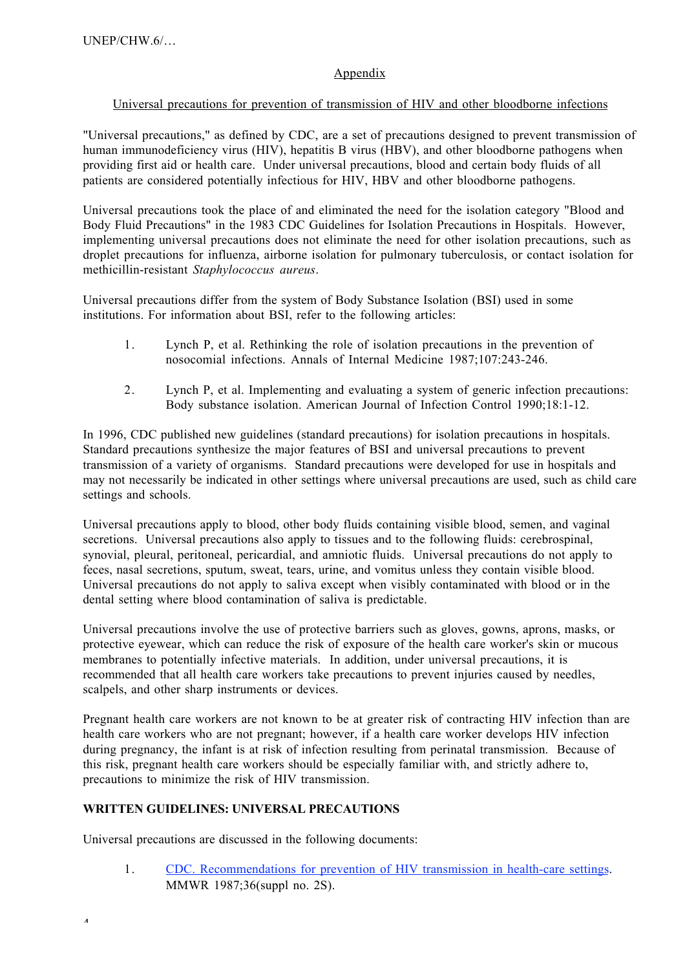# Appendix

## Universal precautions for prevention of transmission of HIV and other bloodborne infections

"Universal precautions," as defined by CDC, are a set of precautions designed to prevent transmission of human immunodeficiency virus (HIV), hepatitis B virus (HBV), and other bloodborne pathogens when providing first aid or health care. Under universal precautions, blood and certain body fluids of all patients are considered potentially infectious for HIV, HBV and other bloodborne pathogens.

Universal precautions took the place of and eliminated the need for the isolation category "Blood and Body Fluid Precautions" in the 1983 CDC Guidelines for Isolation Precautions in Hospitals. However, implementing universal precautions does not eliminate the need for other isolation precautions, such as droplet precautions for influenza, airborne isolation for pulmonary tuberculosis, or contact isolation for methicillin-resistant *Staphylococcus aureus*.

Universal precautions differ from the system of Body Substance Isolation (BSI) used in some institutions. For information about BSI, refer to the following articles:

- 1. Lynch P, et al. Rethinking the role of isolation precautions in the prevention of nosocomial infections. Annals of Internal Medicine 1987;107:243-246.
- 2. Lynch P, et al. Implementing and evaluating a system of generic infection precautions: Body substance isolation. American Journal of Infection Control 1990;18:1-12.

In 1996, CDC published new guidelines (standard precautions) for isolation precautions in hospitals. Standard precautions synthesize the major features of BSI and universal precautions to prevent transmission of a variety of organisms. Standard precautions were developed for use in hospitals and may not necessarily be indicated in other settings where universal precautions are used, such as child care settings and schools.

Universal precautions apply to blood, other body fluids containing visible blood, semen, and vaginal secretions. Universal precautions also apply to tissues and to the following fluids: cerebrospinal, synovial, pleural, peritoneal, pericardial, and amniotic fluids. Universal precautions do not apply to feces, nasal secretions, sputum, sweat, tears, urine, and vomitus unless they contain visible blood. Universal precautions do not apply to saliva except when visibly contaminated with blood or in the dental setting where blood contamination of saliva is predictable.

Universal precautions involve the use of protective barriers such as gloves, gowns, aprons, masks, or protective eyewear, which can reduce the risk of exposure of the health care worker's skin or mucous membranes to potentially infective materials. In addition, under universal precautions, it is recommended that all health care workers take precautions to prevent injuries caused by needles, scalpels, and other sharp instruments or devices.

Pregnant health care workers are not known to be at greater risk of contracting HIV infection than are health care workers who are not pregnant; however, if a health care worker develops HIV infection during pregnancy, the infant is at risk of infection resulting from perinatal transmission. Because of this risk, pregnant health care workers should be especially familiar with, and strictly adhere to, precautions to minimize the risk of HIV transmission.

## **WRITTEN GUIDELINES: UNIVERSAL PRECAUTIONS**

Universal precautions are discussed in the following documents:

1. CDC. Recommendations for prevention of HIV transmission in health-care settings. MMWR 1987;36(suppl no. 2S).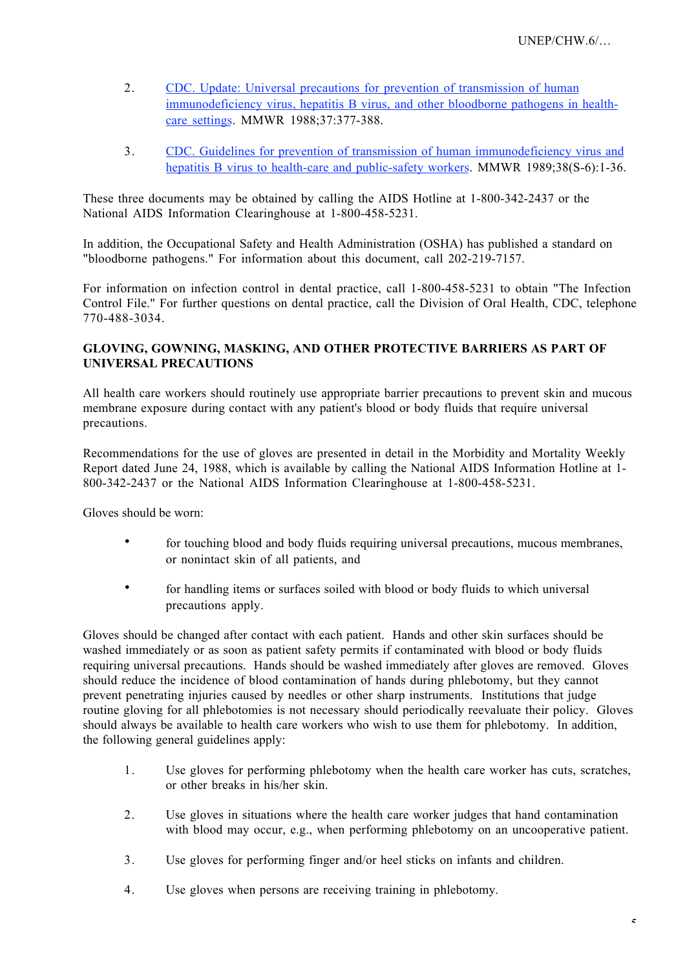- 2. CDC. Update: Universal precautions for prevention of transmission of human immunodeficiency virus, hepatitis B virus, and other bloodborne pathogens in healthcare settings. MMWR 1988;37:377-388.
- 3. CDC. Guidelines for prevention of transmission of human immunodeficiency virus and hepatitis B virus to health-care and public-safety workers. MMWR 1989;38(S-6):1-36.

These three documents may be obtained by calling the AIDS Hotline at 1-800-342-2437 or the National AIDS Information Clearinghouse at 1-800-458-5231.

In addition, the Occupational Safety and Health Administration (OSHA) has published a standard on "bloodborne pathogens." For information about this document, call 202-219-7157.

For information on infection control in dental practice, call 1-800-458-5231 to obtain "The Infection Control File." For further questions on dental practice, call the Division of Oral Health, CDC, telephone 770-488-3034.

## **GLOVING, GOWNING, MASKING, AND OTHER PROTECTIVE BARRIERS AS PART OF UNIVERSAL PRECAUTIONS**

All health care workers should routinely use appropriate barrier precautions to prevent skin and mucous membrane exposure during contact with any patient's blood or body fluids that require universal precautions.

Recommendations for the use of gloves are presented in detail in the Morbidity and Mortality Weekly Report dated June 24, 1988, which is available by calling the National AIDS Information Hotline at 1- 800-342-2437 or the National AIDS Information Clearinghouse at 1-800-458-5231.

Gloves should be worn:

for touching blood and body fluids requiring universal precautions, mucous membranes, or nonintact skin of all patients, and

for handling items or surfaces soiled with blood or body fluids to which universal precautions apply.

Gloves should be changed after contact with each patient. Hands and other skin surfaces should be washed immediately or as soon as patient safety permits if contaminated with blood or body fluids requiring universal precautions. Hands should be washed immediately after gloves are removed. Gloves should reduce the incidence of blood contamination of hands during phlebotomy, but they cannot prevent penetrating injuries caused by needles or other sharp instruments. Institutions that judge routine gloving for all phlebotomies is not necessary should periodically reevaluate their policy. Gloves should always be available to health care workers who wish to use them for phlebotomy. In addition, the following general guidelines apply:

- 1. Use gloves for performing phlebotomy when the health care worker has cuts, scratches, or other breaks in his/her skin.
- 2. Use gloves in situations where the health care worker judges that hand contamination with blood may occur, e.g., when performing phlebotomy on an uncooperative patient.
- 3. Use gloves for performing finger and/or heel sticks on infants and children.
- 4. Use gloves when persons are receiving training in phlebotomy.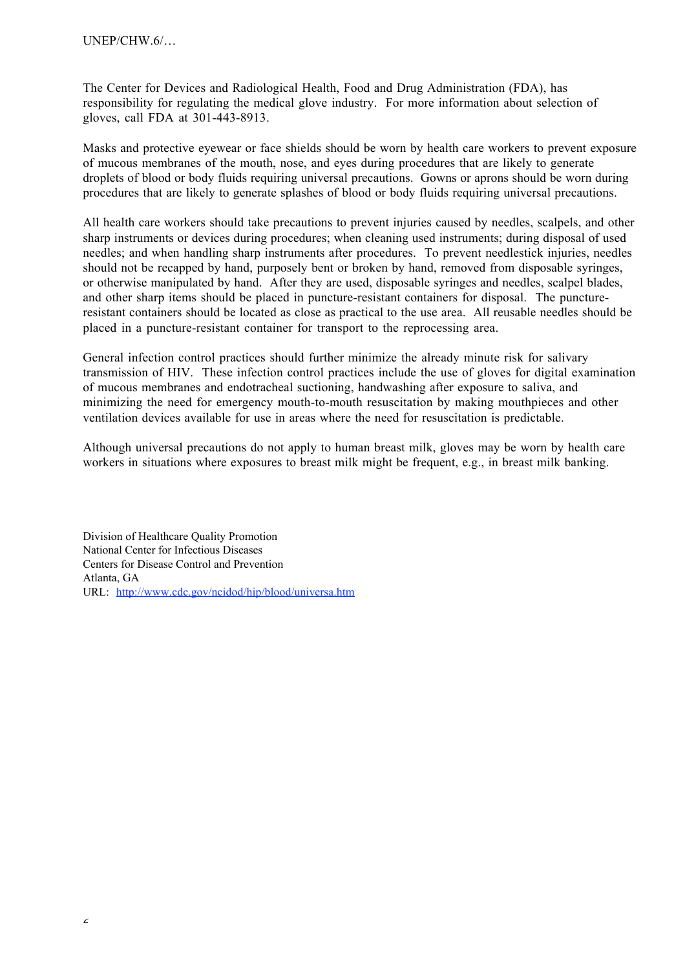The Center for Devices and Radiological Health, Food and Drug Administration (FDA), has responsibility for regulating the medical glove industry. For more information about selection of gloves, call FDA at 301-443-8913.

Masks and protective eyewear or face shields should be worn by health care workers to prevent exposure of mucous membranes of the mouth, nose, and eyes during procedures that are likely to generate droplets of blood or body fluids requiring universal precautions. Gowns or aprons should be worn during procedures that are likely to generate splashes of blood or body fluids requiring universal precautions.

All health care workers should take precautions to prevent injuries caused by needles, scalpels, and other sharp instruments or devices during procedures; when cleaning used instruments; during disposal of used needles; and when handling sharp instruments after procedures. To prevent needlestick injuries, needles should not be recapped by hand, purposely bent or broken by hand, removed from disposable syringes, or otherwise manipulated by hand. After they are used, disposable syringes and needles, scalpel blades, and other sharp items should be placed in puncture-resistant containers for disposal. The punctureresistant containers should be located as close as practical to the use area. All reusable needles should be placed in a puncture-resistant container for transport to the reprocessing area.

General infection control practices should further minimize the already minute risk for salivary transmission of HIV. These infection control practices include the use of gloves for digital examination of mucous membranes and endotracheal suctioning, handwashing after exposure to saliva, and minimizing the need for emergency mouth-to-mouth resuscitation by making mouthpieces and other ventilation devices available for use in areas where the need for resuscitation is predictable.

Although universal precautions do not apply to human breast milk, gloves may be worn by health care workers in situations where exposures to breast milk might be frequent, e.g., in breast milk banking.

Division of Healthcare Quality Promotion National Center for Infectious Diseases Centers for Disease Control and Prevention Atlanta, GA URL: http://www.cdc.gov/ncidod/hip/blood/universa.htm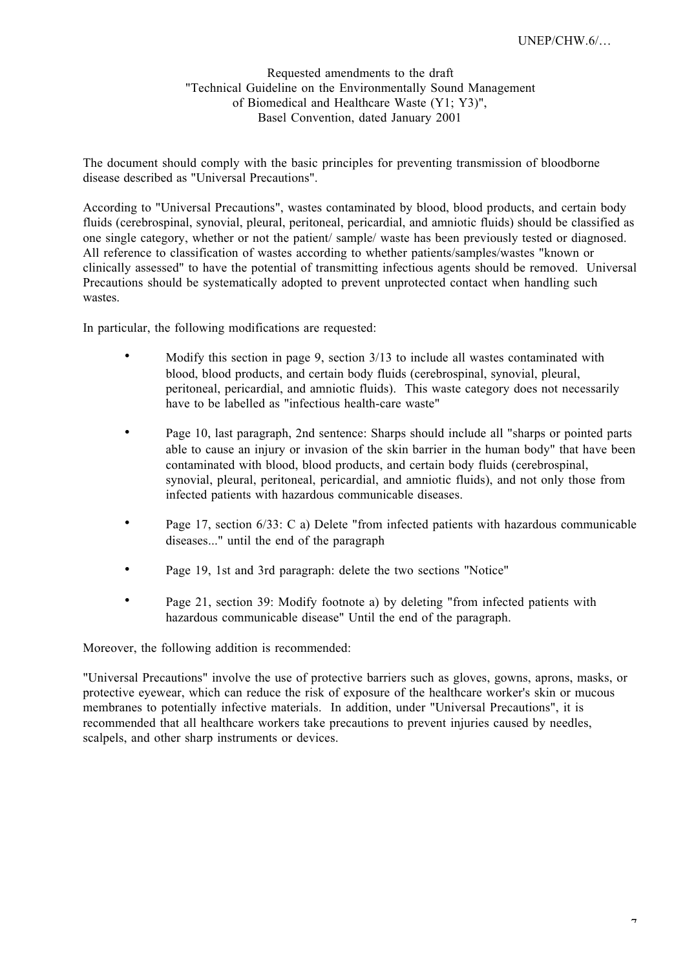Requested amendments to the draft "Technical Guideline on the Environmentally Sound Management of Biomedical and Healthcare Waste (Y1; Y3)", Basel Convention, dated January 2001

The document should comply with the basic principles for preventing transmission of bloodborne disease described as "Universal Precautions".

According to "Universal Precautions", wastes contaminated by blood, blood products, and certain body fluids (cerebrospinal, synovial, pleural, peritoneal, pericardial, and amniotic fluids) should be classified as one single category, whether or not the patient/ sample/ waste has been previously tested or diagnosed. All reference to classification of wastes according to whether patients/samples/wastes "known or clinically assessed" to have the potential of transmitting infectious agents should be removed. Universal Precautions should be systematically adopted to prevent unprotected contact when handling such wastes.

In particular, the following modifications are requested:

Modify this section in page 9, section 3/13 to include all wastes contaminated with blood, blood products, and certain body fluids (cerebrospinal, synovial, pleural, peritoneal, pericardial, and amniotic fluids). This waste category does not necessarily have to be labelled as "infectious health-care waste"

Page 10, last paragraph, 2nd sentence: Sharps should include all "sharps or pointed parts able to cause an injury or invasion of the skin barrier in the human body" that have been contaminated with blood, blood products, and certain body fluids (cerebrospinal, synovial, pleural, peritoneal, pericardial, and amniotic fluids), and not only those from infected patients with hazardous communicable diseases.

Page 17, section 6/33: C a) Delete "from infected patients with hazardous communicable diseases..." until the end of the paragraph

Page 19, 1st and 3rd paragraph: delete the two sections "Notice"

Page 21, section 39: Modify footnote a) by deleting "from infected patients with hazardous communicable disease" Until the end of the paragraph.

Moreover, the following addition is recommended:

"Universal Precautions" involve the use of protective barriers such as gloves, gowns, aprons, masks, or protective eyewear, which can reduce the risk of exposure of the healthcare worker's skin or mucous membranes to potentially infective materials. In addition, under "Universal Precautions", it is recommended that all healthcare workers take precautions to prevent injuries caused by needles, scalpels, and other sharp instruments or devices.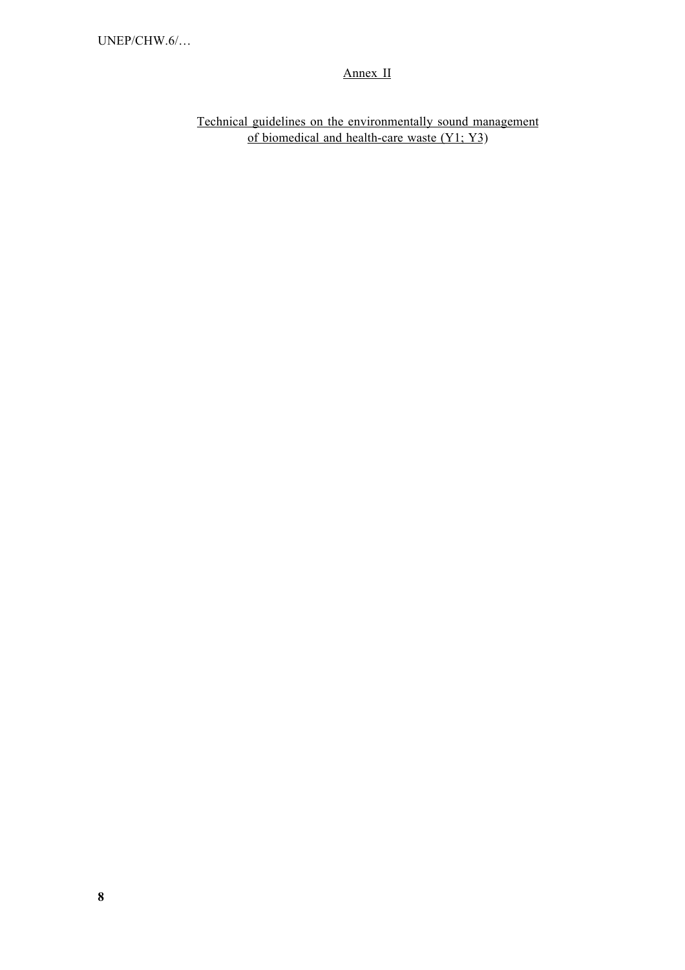# Annex II

Technical guidelines on the environmentally sound management of biomedical and health-care waste  $(Y1; Y3)$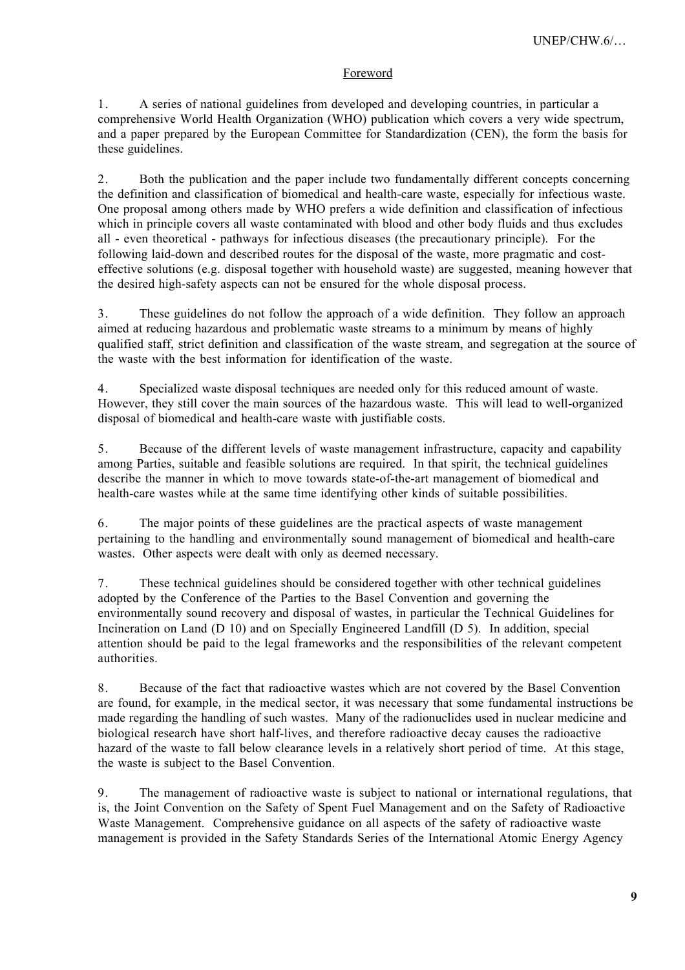## Foreword

1. A series of national guidelines from developed and developing countries, in particular a comprehensive World Health Organization (WHO) publication which covers a very wide spectrum, and a paper prepared by the European Committee for Standardization (CEN), the form the basis for these guidelines.

2. Both the publication and the paper include two fundamentally different concepts concerning the definition and classification of biomedical and health-care waste, especially for infectious waste. One proposal among others made by WHO prefers a wide definition and classification of infectious which in principle covers all waste contaminated with blood and other body fluids and thus excludes all - even theoretical - pathways for infectious diseases (the precautionary principle). For the following laid-down and described routes for the disposal of the waste, more pragmatic and costeffective solutions (e.g. disposal together with household waste) are suggested, meaning however that the desired high-safety aspects can not be ensured for the whole disposal process.

3. These guidelines do not follow the approach of a wide definition. They follow an approach aimed at reducing hazardous and problematic waste streams to a minimum by means of highly qualified staff, strict definition and classification of the waste stream, and segregation at the source of the waste with the best information for identification of the waste.

4. Specialized waste disposal techniques are needed only for this reduced amount of waste. However, they still cover the main sources of the hazardous waste. This will lead to well-organized disposal of biomedical and health-care waste with justifiable costs.

5. Because of the different levels of waste management infrastructure, capacity and capability among Parties, suitable and feasible solutions are required. In that spirit, the technical guidelines describe the manner in which to move towards state-of-the-art management of biomedical and health-care wastes while at the same time identifying other kinds of suitable possibilities.

6. The major points of these guidelines are the practical aspects of waste management pertaining to the handling and environmentally sound management of biomedical and health-care wastes. Other aspects were dealt with only as deemed necessary.

7. These technical guidelines should be considered together with other technical guidelines adopted by the Conference of the Parties to the Basel Convention and governing the environmentally sound recovery and disposal of wastes, in particular the Technical Guidelines for Incineration on Land (D 10) and on Specially Engineered Landfill (D 5). In addition, special attention should be paid to the legal frameworks and the responsibilities of the relevant competent authorities.

8. Because of the fact that radioactive wastes which are not covered by the Basel Convention are found, for example, in the medical sector, it was necessary that some fundamental instructions be made regarding the handling of such wastes. Many of the radionuclides used in nuclear medicine and biological research have short half-lives, and therefore radioactive decay causes the radioactive hazard of the waste to fall below clearance levels in a relatively short period of time. At this stage, the waste is subject to the Basel Convention.

9. The management of radioactive waste is subject to national or international regulations, that is, the Joint Convention on the Safety of Spent Fuel Management and on the Safety of Radioactive Waste Management. Comprehensive guidance on all aspects of the safety of radioactive waste management is provided in the Safety Standards Series of the International Atomic Energy Agency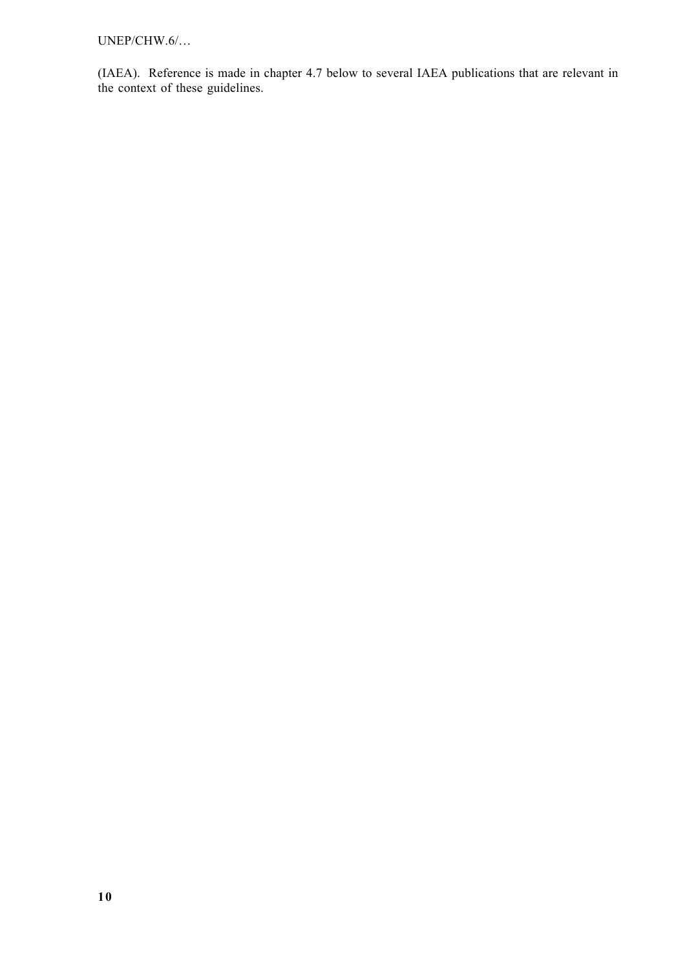UNEP/CHW.6/…

(IAEA). Reference is made in chapter 4.7 below to several IAEA publications that are relevant in the context of these guidelines.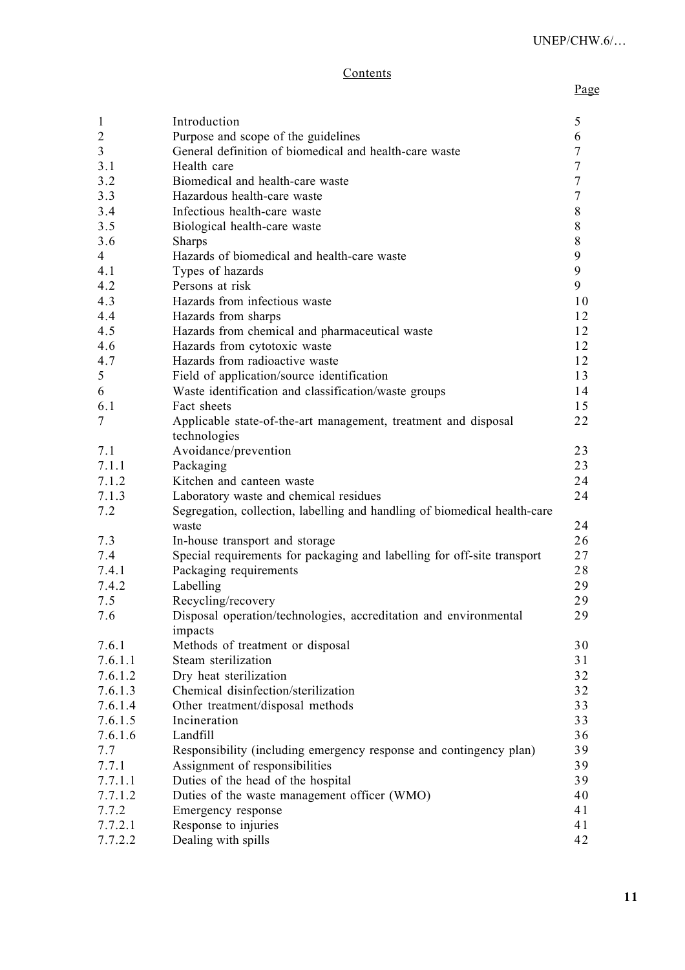# **Contents**

| $\mathbf{1}$   | Introduction                                                              | 5                |
|----------------|---------------------------------------------------------------------------|------------------|
| $\sqrt{2}$     | Purpose and scope of the guidelines                                       | 6                |
| $\mathfrak{Z}$ | General definition of biomedical and health-care waste                    | $\tau$           |
| 3.1            | Health care                                                               | $\tau$           |
| 3.2            | Biomedical and health-care waste                                          | $\tau$           |
| 3.3            | Hazardous health-care waste                                               | $\tau$           |
| 3.4            | Infectious health-care waste                                              | $\,8\,$          |
| 3.5            | Biological health-care waste                                              | 8                |
| 3.6            | <b>Sharps</b>                                                             | $\,8\,$          |
| $\overline{4}$ | Hazards of biomedical and health-care waste                               | $\boldsymbol{9}$ |
| 4.1            | Types of hazards                                                          | 9                |
| 4.2            | Persons at risk                                                           | 9                |
| 4.3            | Hazards from infectious waste                                             | 10               |
| 4.4            | Hazards from sharps                                                       | 12               |
| 4.5            | Hazards from chemical and pharmaceutical waste                            | 12               |
| 4.6            | Hazards from cytotoxic waste                                              | 12               |
| 4.7            | Hazards from radioactive waste                                            | 12               |
| 5              | Field of application/source identification                                | 13               |
| 6              | Waste identification and classification/waste groups                      | 14               |
| 6.1            | Fact sheets                                                               | 15               |
| $\overline{7}$ | Applicable state-of-the-art management, treatment and disposal            | 22               |
|                | technologies                                                              |                  |
| 7.1            | Avoidance/prevention                                                      | 23               |
| 7.1.1          | Packaging                                                                 | 23               |
| 7.1.2          | Kitchen and canteen waste                                                 | 24               |
| 7.1.3          | Laboratory waste and chemical residues                                    | 24               |
| 7.2            | Segregation, collection, labelling and handling of biomedical health-care |                  |
|                | waste                                                                     | 24               |
| 7.3            | In-house transport and storage                                            | 26               |
| 7.4            | Special requirements for packaging and labelling for off-site transport   | 27               |
| 7.4.1          | Packaging requirements                                                    | 28               |
| 7.4.2          | Labelling                                                                 | 29               |
| 7.5            | Recycling/recovery                                                        | 29               |
| 7.6            | Disposal operation/technologies, accreditation and environmental          | 29               |
|                | impacts                                                                   |                  |
| 7.6.1          | Methods of treatment or disposal                                          | 30               |
| 7.6.1.1        | Steam sterilization                                                       | 31               |
| 7.6.1.2        | Dry heat sterilization                                                    | 32               |
| 7.6.1.3        | Chemical disinfection/sterilization                                       | 32               |
| 7.6.1.4        | Other treatment/disposal methods                                          | 33               |
| 7.6.1.5        | Incineration                                                              | 33               |
| 7.6.1.6        | Landfill                                                                  | 36               |
| 7.7            | Responsibility (including emergency response and contingency plan)        | 39               |
| 7.7.1          | Assignment of responsibilities                                            | 39               |
| 7.7.1.1        | Duties of the head of the hospital                                        | 39               |
| 7.7.1.2        | Duties of the waste management officer (WMO)                              | 40               |
| 7.7.2          | Emergency response                                                        | 41               |
| 7.7.2.1        | Response to injuries                                                      | 41               |
| 7.7.2.2        | Dealing with spills                                                       | 42               |
|                |                                                                           |                  |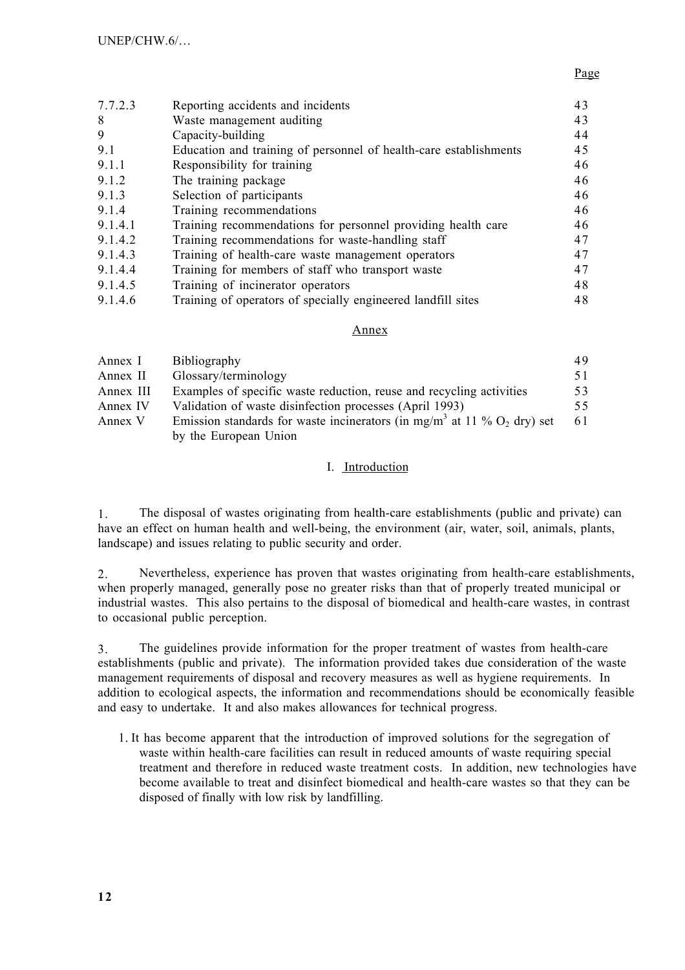## Page

| 7.7.2.3 | Reporting accidents and incidents                                 | 43 |
|---------|-------------------------------------------------------------------|----|
| 8       | Waste management auditing                                         | 43 |
| 9       | Capacity-building                                                 | 44 |
| 9.1     | Education and training of personnel of health-care establishments | 45 |
| 9.1.1   | Responsibility for training                                       | 46 |
| 9.1.2   | The training package                                              | 46 |
| 9.1.3   | Selection of participants                                         | 46 |
| 9.1.4   | Training recommendations                                          | 46 |
| 9.1.4.1 | Training recommendations for personnel providing health care      | 46 |
| 9.1.4.2 | Training recommendations for waste-handling staff                 | 47 |
| 9.1.4.3 | Training of health-care waste management operators                | 47 |
| 9.1.4.4 | Training for members of staff who transport waste                 | 47 |
| 9.1.4.5 | Training of incinerator operators                                 | 48 |
| 9.1.4.6 | Training of operators of specially engineered landfill sites      | 48 |
|         |                                                                   |    |

### Annex

| Annex I   | <b>Bibliography</b>                                                                             | 49 |
|-----------|-------------------------------------------------------------------------------------------------|----|
| Annex II  | Glossary/terminology                                                                            | 51 |
| Annex III | Examples of specific waste reduction, reuse and recycling activities                            | 53 |
| Annex IV  | Validation of waste disinfection processes (April 1993)                                         | 55 |
| Annex V   | Emission standards for waste incinerators (in mg/m <sup>3</sup> at 11 % O <sub>2</sub> dry) set | 61 |
|           | by the European Union                                                                           |    |

## I. Introduction

1. The disposal of wastes originating from health-care establishments (public and private) can have an effect on human health and well-being, the environment (air, water, soil, animals, plants, landscape) and issues relating to public security and order.

2. Nevertheless, experience has proven that wastes originating from health-care establishments, when properly managed, generally pose no greater risks than that of properly treated municipal or industrial wastes. This also pertains to the disposal of biomedical and health-care wastes, in contrast to occasional public perception.

3. The guidelines provide information for the proper treatment of wastes from health-care establishments (public and private). The information provided takes due consideration of the waste management requirements of disposal and recovery measures as well as hygiene requirements. In addition to ecological aspects, the information and recommendations should be economically feasible and easy to undertake. It and also makes allowances for technical progress.

1. It has become apparent that the introduction of improved solutions for the segregation of waste within health-care facilities can result in reduced amounts of waste requiring special treatment and therefore in reduced waste treatment costs. In addition, new technologies have become available to treat and disinfect biomedical and health-care wastes so that they can be disposed of finally with low risk by landfilling.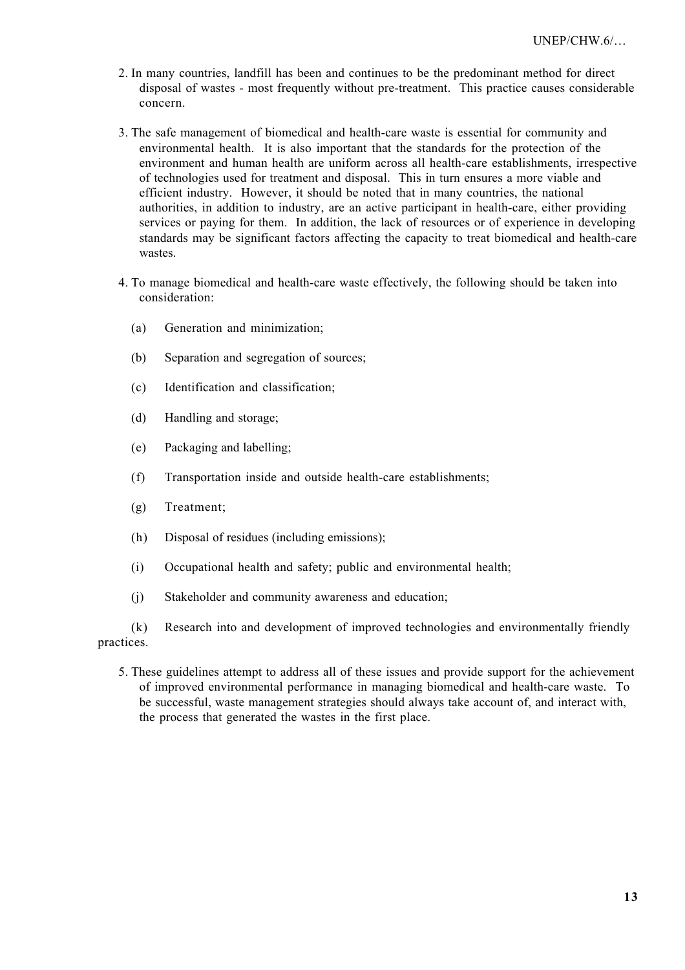- 2. In many countries, landfill has been and continues to be the predominant method for direct disposal of wastes - most frequently without pre-treatment. This practice causes considerable concern.
- 3. The safe management of biomedical and health-care waste is essential for community and environmental health. It is also important that the standards for the protection of the environment and human health are uniform across all health-care establishments, irrespective of technologies used for treatment and disposal. This in turn ensures a more viable and efficient industry. However, it should be noted that in many countries, the national authorities, in addition to industry, are an active participant in health-care, either providing services or paying for them. In addition, the lack of resources or of experience in developing standards may be significant factors affecting the capacity to treat biomedical and health-care wastes
- 4. To manage biomedical and health-care waste effectively, the following should be taken into consideration:
	- (a) Generation and minimization;
	- (b) Separation and segregation of sources;
	- (c) Identification and classification;
	- (d) Handling and storage;
	- (e) Packaging and labelling;
	- (f) Transportation inside and outside health-care establishments;
	- (g) Treatment;
	- (h) Disposal of residues (including emissions);
	- (i) Occupational health and safety; public and environmental health;
	- (j) Stakeholder and community awareness and education;

(k) Research into and development of improved technologies and environmentally friendly practices.

5. These guidelines attempt to address all of these issues and provide support for the achievement of improved environmental performance in managing biomedical and health-care waste. To be successful, waste management strategies should always take account of, and interact with, the process that generated the wastes in the first place.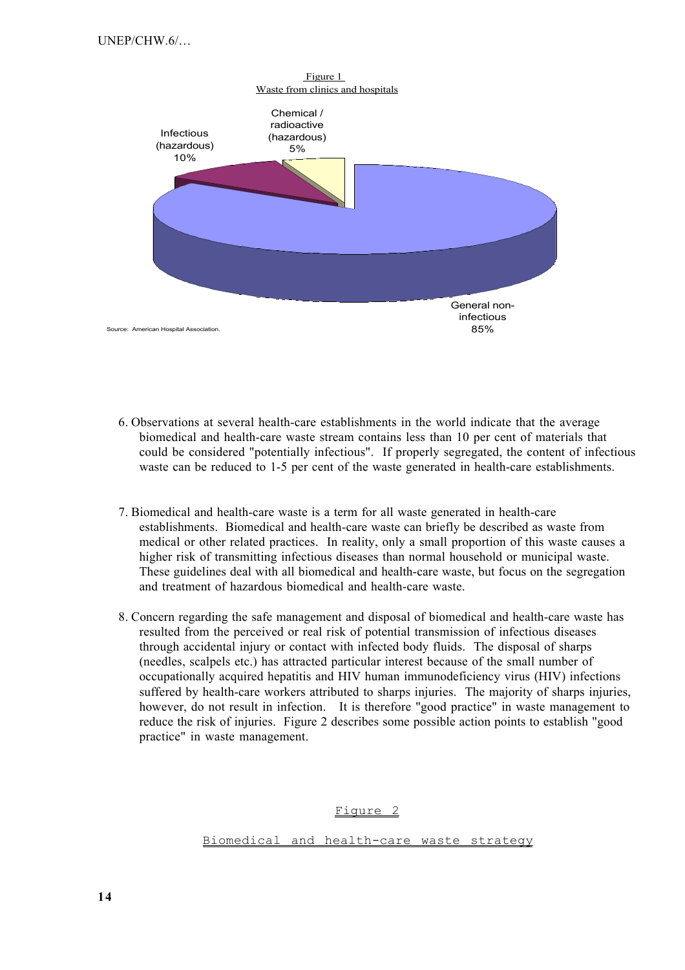

- 6. Observations at several health-care establishments in the world indicate that the average biomedical and health-care waste stream contains less than 10 per cent of materials that could be considered "potentially infectious". If properly segregated, the content of infectious waste can be reduced to 1-5 per cent of the waste generated in health-care establishments.
- 7. Biomedical and health-care waste is a term for all waste generated in health-care establishments. Biomedical and health-care waste can briefly be described as waste from medical or other related practices. In reality, only a small proportion of this waste causes a higher risk of transmitting infectious diseases than normal household or municipal waste. These guidelines deal with all biomedical and health-care waste, but focus on the segregation and treatment of hazardous biomedical and health-care waste.
- 8. Concern regarding the safe management and disposal of biomedical and health-care waste has resulted from the perceived or real risk of potential transmission of infectious diseases through accidental injury or contact with infected body fluids. The disposal of sharps (needles, scalpels etc.) has attracted particular interest because of the small number of occupationally acquired hepatitis and HIV human immunodeficiency virus (HIV) infections suffered by health-care workers attributed to sharps injuries. The majority of sharps injuries, however, do not result in infection. It is therefore "good practice" in waste management to reduce the risk of injuries. Figure 2 describes some possible action points to establish "good practice" in waste management.

Figure 2

Biomedical and health-care waste strategy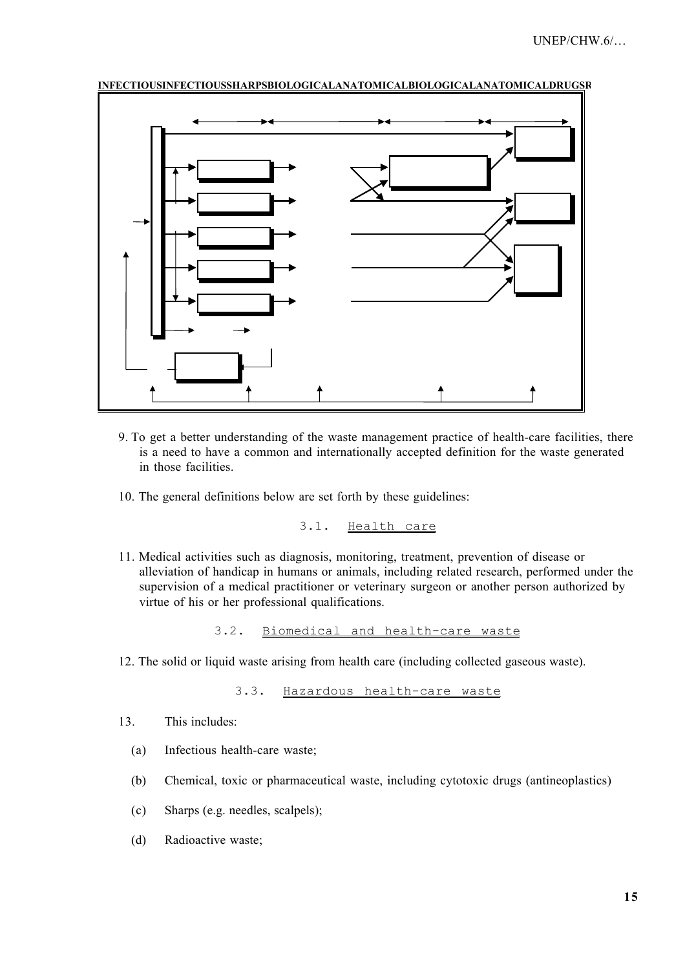

INFECTIOUSINFECTIOUSSHARPSBIOLOGICALANATOMICALBIOLOGICALANATOMICALDRUGSR

- 9. To get a better understanding of the waste management practice of health-care facilities, there is a need to have a common and internationally accepted definition for the waste generated in those facilities.
- 10. The general definitions below are set forth by these guidelines:

3.1. Health care

11. Medical activities such as diagnosis, monitoring, treatment, prevention of disease or alleviation of handicap in humans or animals, including related research, performed under the supervision of a medical practitioner or veterinary surgeon or another person authorized by virtue of his or her professional qualifications.

3.2. Biomedical and health-care waste

12. The solid or liquid waste arising from health care (including collected gaseous waste).

3.3. Hazardous health-care waste

- 13. This includes:
	- (a) Infectious health-care waste;
	- (b) Chemical, toxic or pharmaceutical waste, including cytotoxic drugs (antineoplastics)
	- (c) Sharps (e.g. needles, scalpels);
	- (d) Radioactive waste;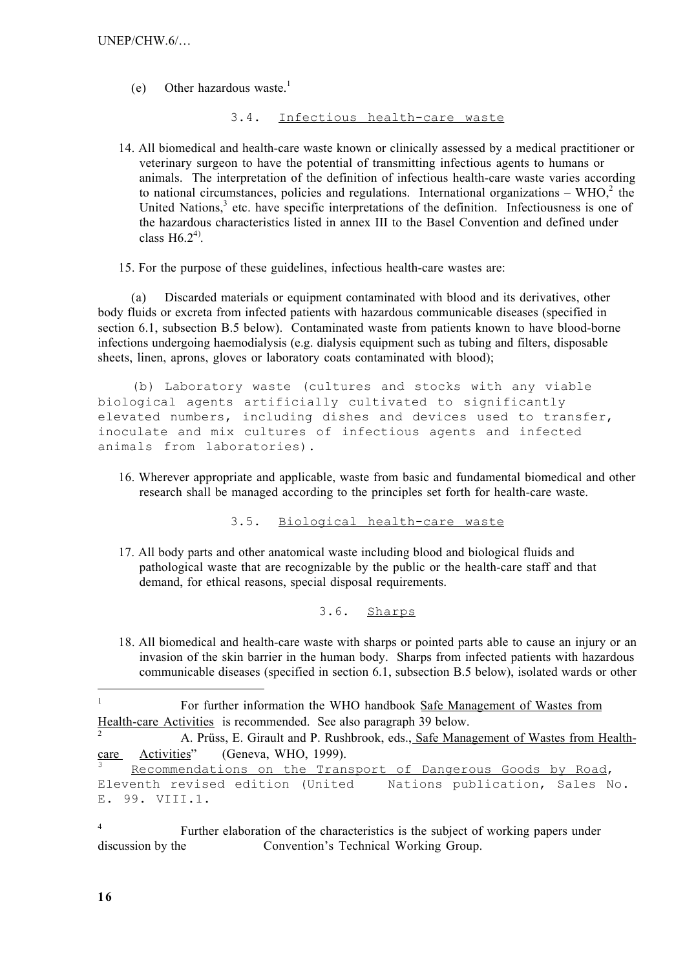(e) Other hazardous waste.<sup>1</sup>

3.4. Infectious health-care waste

- 14. All biomedical and health-care waste known or clinically assessed by a medical practitioner or veterinary surgeon to have the potential of transmitting infectious agents to humans or animals. The interpretation of the definition of infectious health-care waste varies according to national circumstances, policies and regulations. International organizations – WHO, $2$  the United Nations,<sup>3</sup> etc. have specific interpretations of the definition. Infectiousness is one of the hazardous characteristics listed in annex III to the Basel Convention and defined under class  $H6.2<sup>4</sup>$ .
- 15. For the purpose of these guidelines, infectious health-care wastes are:

(a) Discarded materials or equipment contaminated with blood and its derivatives, other body fluids or excreta from infected patients with hazardous communicable diseases (specified in section 6.1, subsection B.5 below). Contaminated waste from patients known to have blood-borne infections undergoing haemodialysis (e.g. dialysis equipment such as tubing and filters, disposable sheets, linen, aprons, gloves or laboratory coats contaminated with blood);

(b) Laboratory waste (cultures and stocks with any viable biological agents artificially cultivated to significantly elevated numbers, including dishes and devices used to transfer, inoculate and mix cultures of infectious agents and infected animals from laboratories).

16. Wherever appropriate and applicable, waste from basic and fundamental biomedical and other research shall be managed according to the principles set forth for health-care waste.

3.5. Biological health-care waste

17. All body parts and other anatomical waste including blood and biological fluids and pathological waste that are recognizable by the public or the health-care staff and that demand, for ethical reasons, special disposal requirements.

```
3.6. Sharps
```
18. All biomedical and health-care waste with sharps or pointed parts able to cause an injury or an invasion of the skin barrier in the human body. Sharps from infected patients with hazardous communicable diseases (specified in section 6.1, subsection B.5 below), isolated wards or other

<sup>4</sup> Further elaboration of the characteristics is the subject of working papers under discussion by the Convention's Technical Working Group.

-

<sup>&</sup>lt;sup>1</sup> For further information the WHO handbook Safe Management of Wastes from Health-care Activities is recommended. See also paragraph 39 below.

<sup>2</sup> A. Prüss, E. Girault and P. Rushbrook, eds., Safe Management of Wastes from Healthcare Activities" (Geneva, WHO, 1999).

Recommendations on the Transport of Dangerous Goods by Road, Eleventh revised edition (United Nations publication, Sales No. E. 99. VIII.1.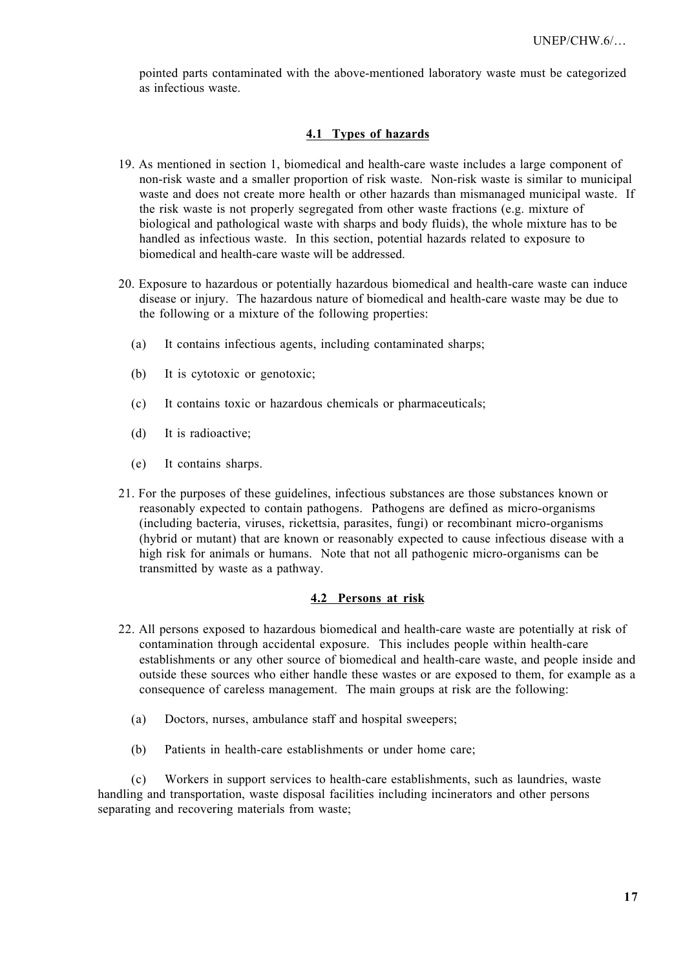pointed parts contaminated with the above-mentioned laboratory waste must be categorized as infectious waste.

### **4.1 Types of hazards**

- 19. As mentioned in section 1, biomedical and health-care waste includes a large component of non-risk waste and a smaller proportion of risk waste. Non-risk waste is similar to municipal waste and does not create more health or other hazards than mismanaged municipal waste. If the risk waste is not properly segregated from other waste fractions (e.g. mixture of biological and pathological waste with sharps and body fluids), the whole mixture has to be handled as infectious waste. In this section, potential hazards related to exposure to biomedical and health-care waste will be addressed.
- 20. Exposure to hazardous or potentially hazardous biomedical and health-care waste can induce disease or injury. The hazardous nature of biomedical and health-care waste may be due to the following or a mixture of the following properties:
	- (a) It contains infectious agents, including contaminated sharps;
	- (b) It is cytotoxic or genotoxic;
	- (c) It contains toxic or hazardous chemicals or pharmaceuticals;
	- (d) It is radioactive;
	- (e) It contains sharps.
- 21. For the purposes of these guidelines, infectious substances are those substances known or reasonably expected to contain pathogens. Pathogens are defined as micro-organisms (including bacteria, viruses, rickettsia, parasites, fungi) or recombinant micro-organisms (hybrid or mutant) that are known or reasonably expected to cause infectious disease with a high risk for animals or humans. Note that not all pathogenic micro-organisms can be transmitted by waste as a pathway.

### **4.2 Persons at risk**

- 22. All persons exposed to hazardous biomedical and health-care waste are potentially at risk of contamination through accidental exposure. This includes people within health-care establishments or any other source of biomedical and health-care waste, and people inside and outside these sources who either handle these wastes or are exposed to them, for example as a consequence of careless management. The main groups at risk are the following:
	- (a) Doctors, nurses, ambulance staff and hospital sweepers;
	- (b) Patients in health-care establishments or under home care;

(c) Workers in support services to health-care establishments, such as laundries, waste handling and transportation, waste disposal facilities including incinerators and other persons separating and recovering materials from waste;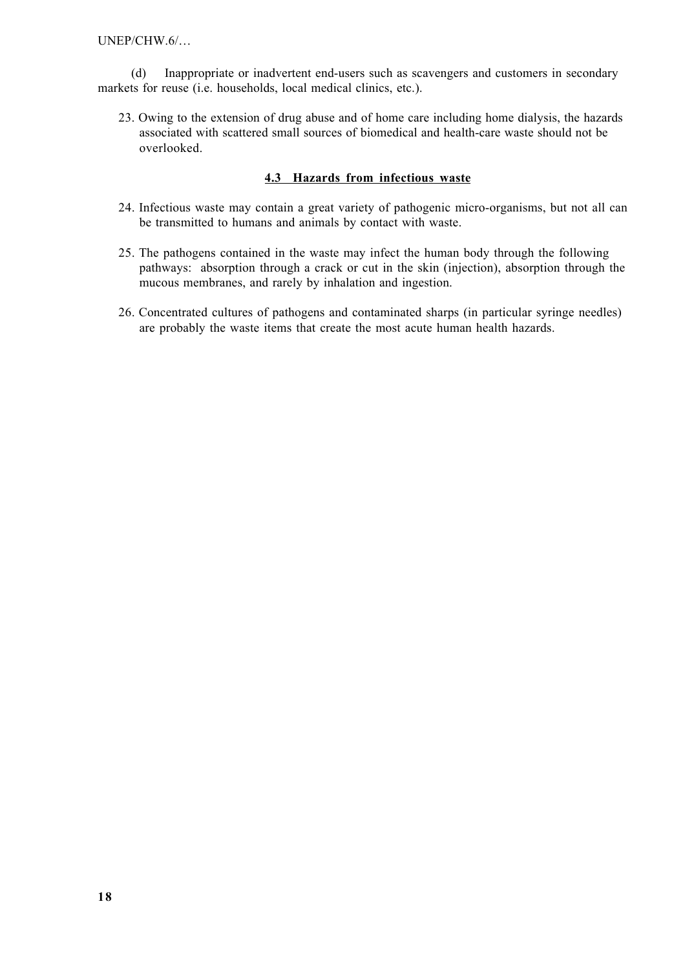UNEP/CHW.6/…

(d) Inappropriate or inadvertent end-users such as scavengers and customers in secondary markets for reuse (i.e. households, local medical clinics, etc.).

23. Owing to the extension of drug abuse and of home care including home dialysis, the hazards associated with scattered small sources of biomedical and health-care waste should not be overlooked.

### **4.3 Hazards from infectious waste**

- 24. Infectious waste may contain a great variety of pathogenic micro-organisms, but not all can be transmitted to humans and animals by contact with waste.
- 25. The pathogens contained in the waste may infect the human body through the following pathways: absorption through a crack or cut in the skin (injection), absorption through the mucous membranes, and rarely by inhalation and ingestion.
- 26. Concentrated cultures of pathogens and contaminated sharps (in particular syringe needles) are probably the waste items that create the most acute human health hazards.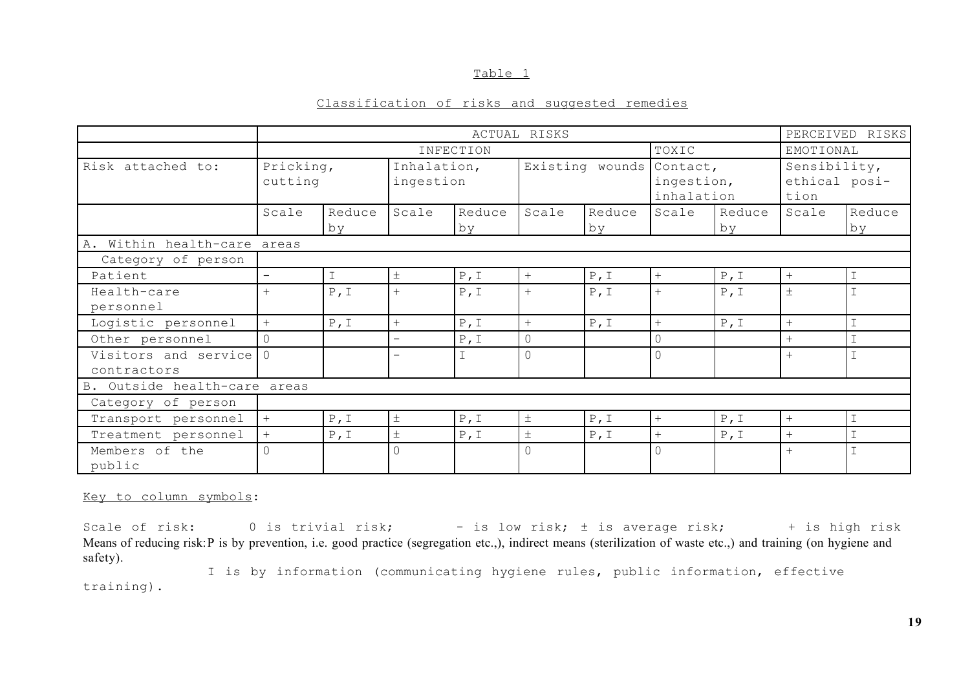#### Table 1

### Classification of risks and suggested remedies

|                                     | ACTUAL RISKS                |              |                          |               |                          |              |                          | PERCEIVED RISKS              |                                       |                |
|-------------------------------------|-----------------------------|--------------|--------------------------|---------------|--------------------------|--------------|--------------------------|------------------------------|---------------------------------------|----------------|
|                                     | INFECTION                   |              |                          |               |                          | TOXIC        |                          | EMOTIONAL                    |                                       |                |
| Risk attached to:                   | Pricking,<br>cutting        |              | Inhalation,<br>ingestion |               | Existing wounds Contact, |              | ingestion,<br>inhalation |                              | Sensibility,<br>ethical posi-<br>tion |                |
|                                     | Scale                       | Reduce<br>by | Scale                    | Reduce<br>by  | Scale                    | Reduce<br>by | Scale                    | Reduce<br>by                 | Scale                                 | Reduce<br>by   |
|                                     | A. Within health-care areas |              |                          |               |                          |              |                          |                              |                                       |                |
| Category of person                  |                             |              |                          |               |                          |              |                          |                              |                                       |                |
| Patient                             | $\overline{\phantom{0}}$    | $\mathbf I$  | $\pm$                    | P, I          | $+$                      | P, I         | $+$                      | P, I                         | $+$                                   | $\mathbbm{1}$  |
| Health-care<br>personnel            | $^{+}$                      | $P$ , I      | $+$                      | $P$ , I       | $+$                      | P, I         | $+$                      | $P$ , I                      | $\pm$                                 | $\overline{1}$ |
| Logistic personnel                  | $+$                         | P, I         | $+$                      | P, I          | $+$                      | P, I         | $+$                      | P, I                         | $+$                                   | $\mathbbm{1}$  |
| Other personnel                     | $\Omega$                    |              | $\qquad \qquad -$        | P, I          | $\mathbb O$              |              | $\overline{0}$           |                              | $+$                                   | $\overline{1}$ |
| Visitors and service<br>contractors | $\Omega$                    |              | $\qquad \qquad -$        | $\mathbbm{I}$ | $\overline{0}$           |              | $\mathbf 0$              |                              | $+$                                   | $\mathbf I$    |
| B. Outside health-care areas        |                             |              |                          |               |                          |              |                          |                              |                                       |                |
| Category of person                  |                             |              |                          |               |                          |              |                          |                              |                                       |                |
| Transport personnel                 | $+$                         | P, I         | $\pm$                    | P, I          | $\pm$                    | P, I         | $+$                      | P, I                         | $+$                                   | $\mathbbm{I}$  |
| Treatment personnel                 | $+$                         | $P$ , I      | $\pm$                    | $P$ , I       | $\pm$                    | P, I         | $+$                      | $\mathbb{P}$ , $\mathbbm{I}$ | $+$                                   | $\overline{1}$ |
| Members of the<br>public            | $\Omega$                    |              | $\overline{0}$           |               | $\overline{0}$           |              | $\overline{0}$           |                              | $+$                                   | $\overline{1}$ |

Key to column symbols :

Scale of risk: 0 is trivial risk; - is low risk; ± is average risk; + is high risk Means of reducing risk:P is by prevention, i.e. good practice (segregation etc.,), indirect means (sterilization of waste etc.,) and training (on hygiene and safety).

I is by information (communicating hygiene rules, public information, effective training).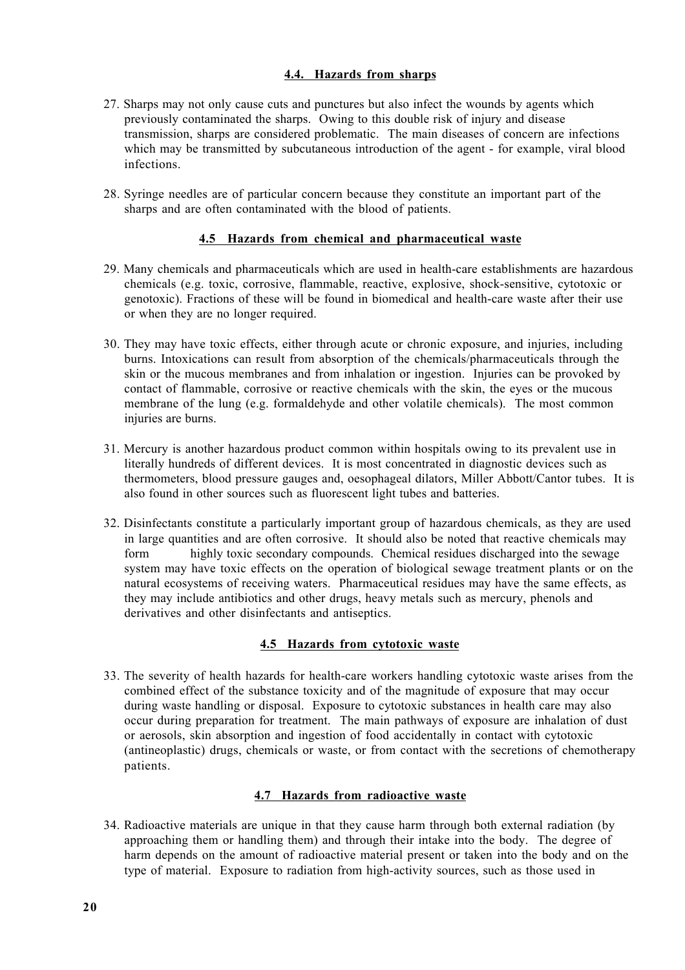## **4.4. Hazards from sharps**

- 27. Sharps may not only cause cuts and punctures but also infect the wounds by agents which previously contaminated the sharps. Owing to this double risk of injury and disease transmission, sharps are considered problematic. The main diseases of concern are infections which may be transmitted by subcutaneous introduction of the agent - for example, viral blood infections.
- 28. Syringe needles are of particular concern because they constitute an important part of the sharps and are often contaminated with the blood of patients.

### **4.5 Hazards from chemical and pharmaceutical waste**

- 29. Many chemicals and pharmaceuticals which are used in health-care establishments are hazardous chemicals (e.g. toxic, corrosive, flammable, reactive, explosive, shock-sensitive, cytotoxic or genotoxic). Fractions of these will be found in biomedical and health-care waste after their use or when they are no longer required.
- 30. They may have toxic effects, either through acute or chronic exposure, and injuries, including burns. Intoxications can result from absorption of the chemicals/pharmaceuticals through the skin or the mucous membranes and from inhalation or ingestion. Injuries can be provoked by contact of flammable, corrosive or reactive chemicals with the skin, the eyes or the mucous membrane of the lung (e.g. formaldehyde and other volatile chemicals). The most common injuries are burns.
- 31. Mercury is another hazardous product common within hospitals owing to its prevalent use in literally hundreds of different devices. It is most concentrated in diagnostic devices such as thermometers, blood pressure gauges and, oesophageal dilators, Miller Abbott/Cantor tubes. It is also found in other sources such as fluorescent light tubes and batteries.
- 32. Disinfectants constitute a particularly important group of hazardous chemicals, as they are used in large quantities and are often corrosive. It should also be noted that reactive chemicals may form highly toxic secondary compounds. Chemical residues discharged into the sewage system may have toxic effects on the operation of biological sewage treatment plants or on the natural ecosystems of receiving waters. Pharmaceutical residues may have the same effects, as they may include antibiotics and other drugs, heavy metals such as mercury, phenols and derivatives and other disinfectants and antiseptics.

## **4.5 Hazards from cytotoxic waste**

33. The severity of health hazards for health-care workers handling cytotoxic waste arises from the combined effect of the substance toxicity and of the magnitude of exposure that may occur during waste handling or disposal. Exposure to cytotoxic substances in health care may also occur during preparation for treatment. The main pathways of exposure are inhalation of dust or aerosols, skin absorption and ingestion of food accidentally in contact with cytotoxic (antineoplastic) drugs, chemicals or waste, or from contact with the secretions of chemotherapy patients.

### **4.7 Hazards from radioactive waste**

34. Radioactive materials are unique in that they cause harm through both external radiation (by approaching them or handling them) and through their intake into the body. The degree of harm depends on the amount of radioactive material present or taken into the body and on the type of material. Exposure to radiation from high-activity sources, such as those used in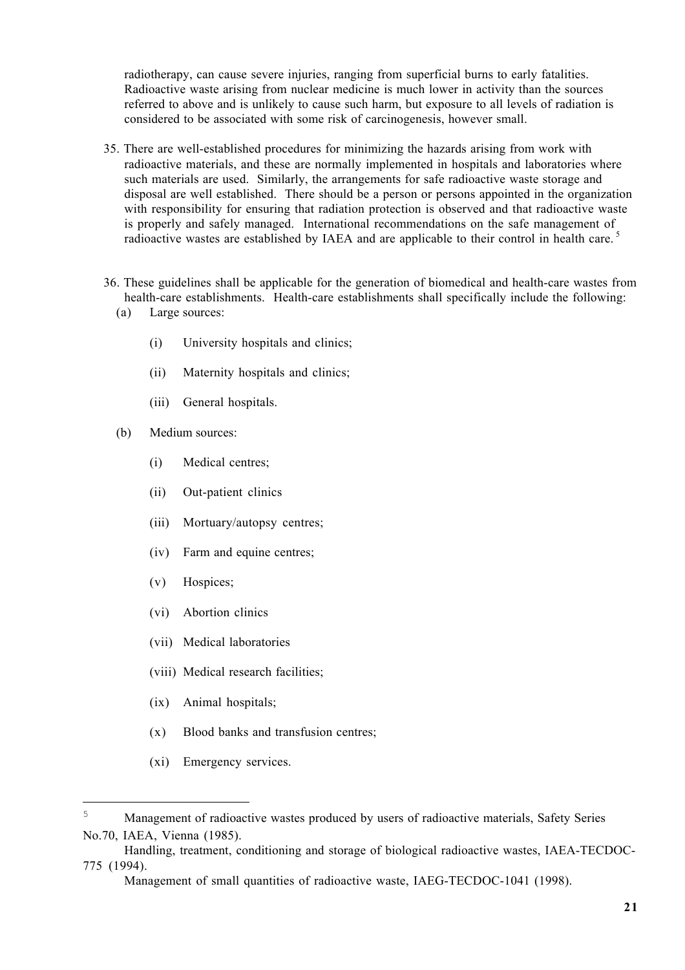radiotherapy, can cause severe injuries, ranging from superficial burns to early fatalities. Radioactive waste arising from nuclear medicine is much lower in activity than the sources referred to above and is unlikely to cause such harm, but exposure to all levels of radiation is considered to be associated with some risk of carcinogenesis, however small.

- 35. There are well-established procedures for minimizing the hazards arising from work with radioactive materials, and these are normally implemented in hospitals and laboratories where such materials are used. Similarly, the arrangements for safe radioactive waste storage and disposal are well established. There should be a person or persons appointed in the organization with responsibility for ensuring that radiation protection is observed and that radioactive waste is properly and safely managed. International recommendations on the safe management of radioactive wastes are established by IAEA and are applicable to their control in health care.<sup>5</sup>
- 36. These guidelines shall be applicable for the generation of biomedical and health-care wastes from health-care establishments. Health-care establishments shall specifically include the following:
	- (a) Large sources:
		- (i) University hospitals and clinics;
		- (ii) Maternity hospitals and clinics;
		- (iii) General hospitals.
	- (b) Medium sources:
		- (i) Medical centres;
		- (ii) Out-patient clinics
		- (iii) Mortuary/autopsy centres;
		- (iv) Farm and equine centres;
		- (v) Hospices;
		- (vi) Abortion clinics
		- (vii) Medical laboratories
		- (viii) Medical research facilities;
		- (ix) Animal hospitals;
		- (x) Blood banks and transfusion centres;
		- (xi) Emergency services.

÷,

<sup>&</sup>lt;sup>5</sup> Management of radioactive wastes produced by users of radioactive materials. Safety Series No.70, IAEA, Vienna (1985).

Handling, treatment, conditioning and storage of biological radioactive wastes, IAEA-TECDOC-775 (1994).

Management of small quantities of radioactive waste, IAEG-TECDOC-1041 (1998).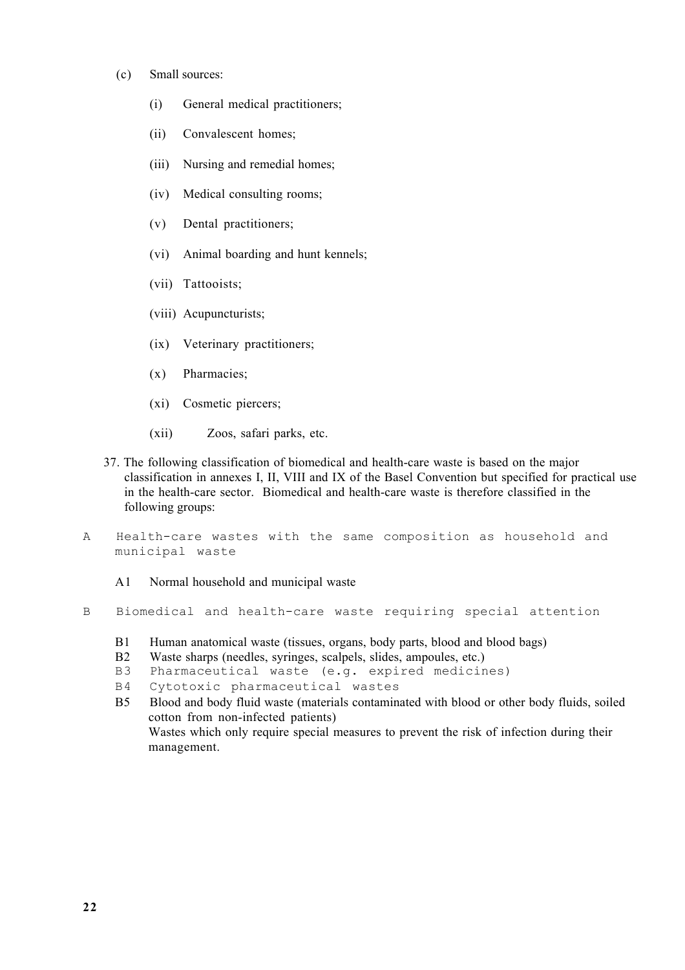- (c) Small sources:
	- (i) General medical practitioners;
	- (ii) Convalescent homes;
	- (iii) Nursing and remedial homes;
	- (iv) Medical consulting rooms;
	- (v) Dental practitioners;
	- (vi) Animal boarding and hunt kennels;
	- (vii) Tattooists;
	- (viii) Acupuncturists;
	- (ix) Veterinary practitioners;
	- (x) Pharmacies;
	- (xi) Cosmetic piercers;
	- (xii) Zoos, safari parks, etc.
- 37. The following classification of biomedical and health-care waste is based on the major classification in annexes I, II, VIII and IX of the Basel Convention but specified for practical use in the health-care sector. Biomedical and health-care waste is therefore classified in the following groups:
- A Health-care wastes with the same composition as household and municipal waste
	- A1 Normal household and municipal waste
- B Biomedical and health-care waste requiring special attention
	- B1 Human anatomical waste (tissues, organs, body parts, blood and blood bags)
	- B2 Waste sharps (needles, syringes, scalpels, slides, ampoules, etc.)
	- B3 Pharmaceutical waste (e.g. expired medicines)
	- B4 Cytotoxic pharmaceutical wastes

B5 Blood and body fluid waste (materials contaminated with blood or other body fluids, soiled cotton from non-infected patients) Wastes which only require special measures to prevent the risk of infection during their management.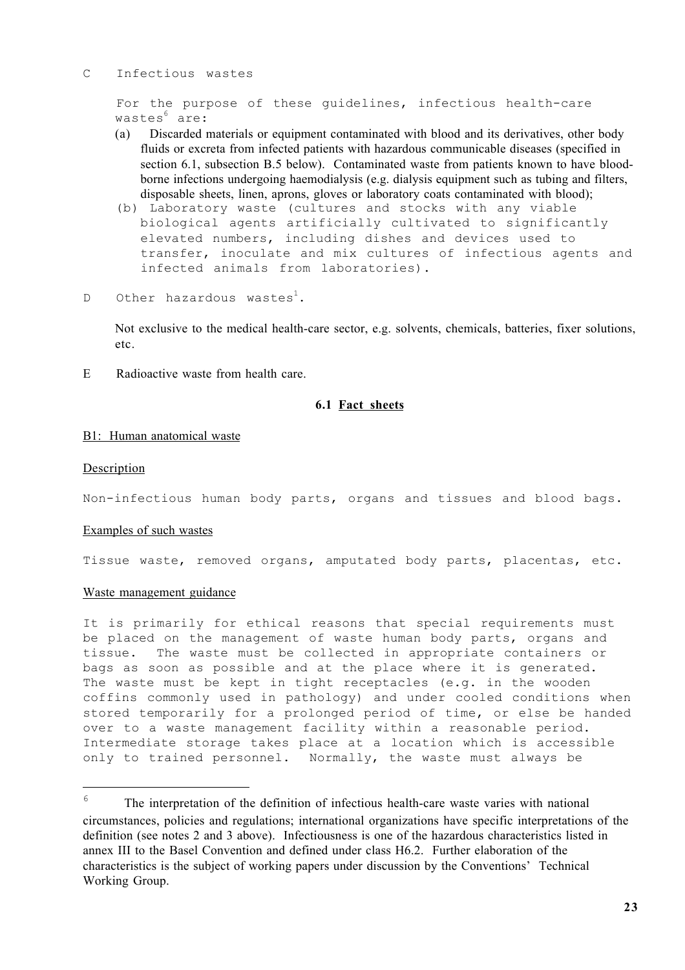#### C Infectious wastes

For the purpose of these guidelines, infectious health-care wastes<sup>6</sup> are:

- (a) Discarded materials or equipment contaminated with blood and its derivatives, other body fluids or excreta from infected patients with hazardous communicable diseases (specified in section 6.1, subsection B.5 below). Contaminated waste from patients known to have bloodborne infections undergoing haemodialysis (e.g. dialysis equipment such as tubing and filters, disposable sheets, linen, aprons, gloves or laboratory coats contaminated with blood);
- (b) Laboratory waste (cultures and stocks with any viable biological agents artificially cultivated to significantly elevated numbers, including dishes and devices used to transfer, inoculate and mix cultures of infectious agents and infected animals from laboratories).
- D Other hazardous wastes<sup>1</sup>.

Not exclusive to the medical health-care sector, e.g. solvents, chemicals, batteries, fixer solutions, etc.

E Radioactive waste from health care.

### **6.1 Fact sheets**

### B1: Human anatomical waste

### Description

i<br>T

Non-infectious human body parts, organs and tissues and blood bags.

### Examples of such wastes

Tissue waste, removed organs, amputated body parts, placentas, etc.

### Waste management guidance

It is primarily for ethical reasons that special requirements must be placed on the management of waste human body parts, organs and tissue. The waste must be collected in appropriate containers or bags as soon as possible and at the place where it is generated. The waste must be kept in tight receptacles (e.g. in the wooden coffins commonly used in pathology) and under cooled conditions when stored temporarily for a prolonged period of time, or else be handed over to a waste management facility within a reasonable period. Intermediate storage takes place at a location which is accessible only to trained personnel. Normally, the waste must always be

 $6$  The interpretation of the definition of infectious health-care waste varies with national circumstances, policies and regulations; international organizations have specific interpretations of the definition (see notes 2 and 3 above). Infectiousness is one of the hazardous characteristics listed in annex III to the Basel Convention and defined under class H6.2. Further elaboration of the characteristics is the subject of working papers under discussion by the Conventions' Technical Working Group.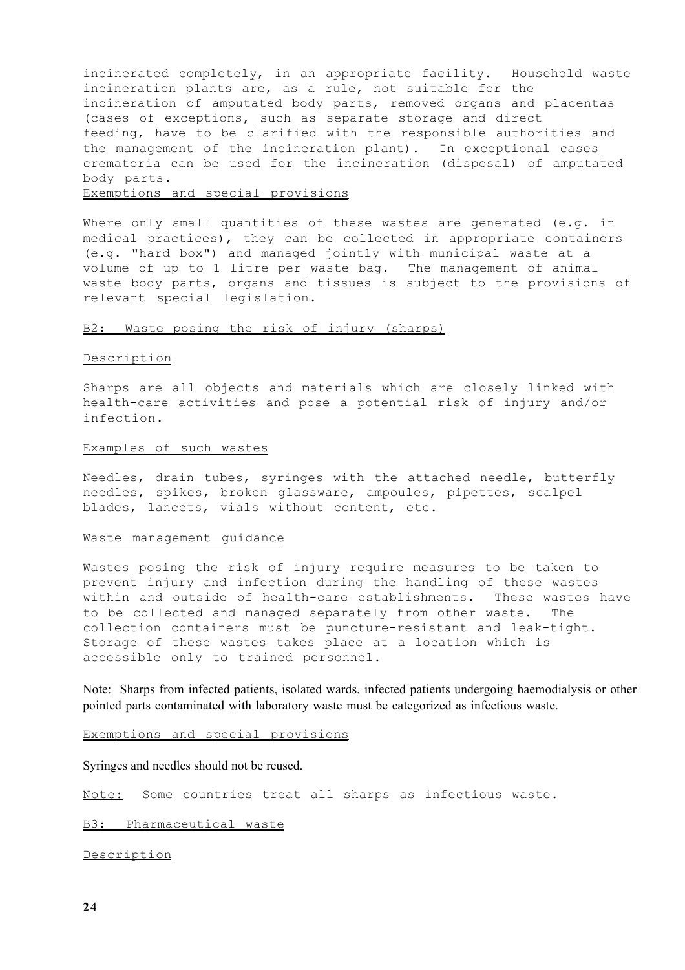incinerated completely, in an appropriate facility. Household waste incineration plants are, as a rule, not suitable for the incineration of amputated body parts, removed organs and placentas (cases of exceptions, such as separate storage and direct feeding, have to be clarified with the responsible authorities and the management of the incineration plant). In exceptional cases crematoria can be used for the incineration (disposal) of amputated body parts.

#### Exemptions and special provisions

Where only small quantities of these wastes are generated (e.g. in medical practices), they can be collected in appropriate containers (e.g. "hard box") and managed jointly with municipal waste at a volume of up to 1 litre per waste bag. The management of animal waste body parts, organs and tissues is subject to the provisions of relevant special legislation.

#### B2: Waste posing the risk of injury (sharps)

#### Description

Sharps are all objects and materials which are closely linked with health-care activities and pose a potential risk of injury and/or infection.

#### Examples of such wastes

Needles, drain tubes, syringes with the attached needle, butterfly needles, spikes, broken glassware, ampoules, pipettes, scalpel blades, lancets, vials without content, etc.

#### Waste management guidance

Wastes posing the risk of injury require measures to be taken to prevent injury and infection during the handling of these wastes within and outside of health-care establishments. These wastes have to be collected and managed separately from other waste. The collection containers must be puncture-resistant and leak-tight. Storage of these wastes takes place at a location which is accessible only to trained personnel.

Note: Sharps from infected patients, isolated wards, infected patients undergoing haemodialysis or other pointed parts contaminated with laboratory waste must be categorized as infectious waste.

Exemptions and special provisions

Syringes and needles should not be reused.

Note: Some countries treat all sharps as infectious waste.

B3: Pharmaceutical waste

Description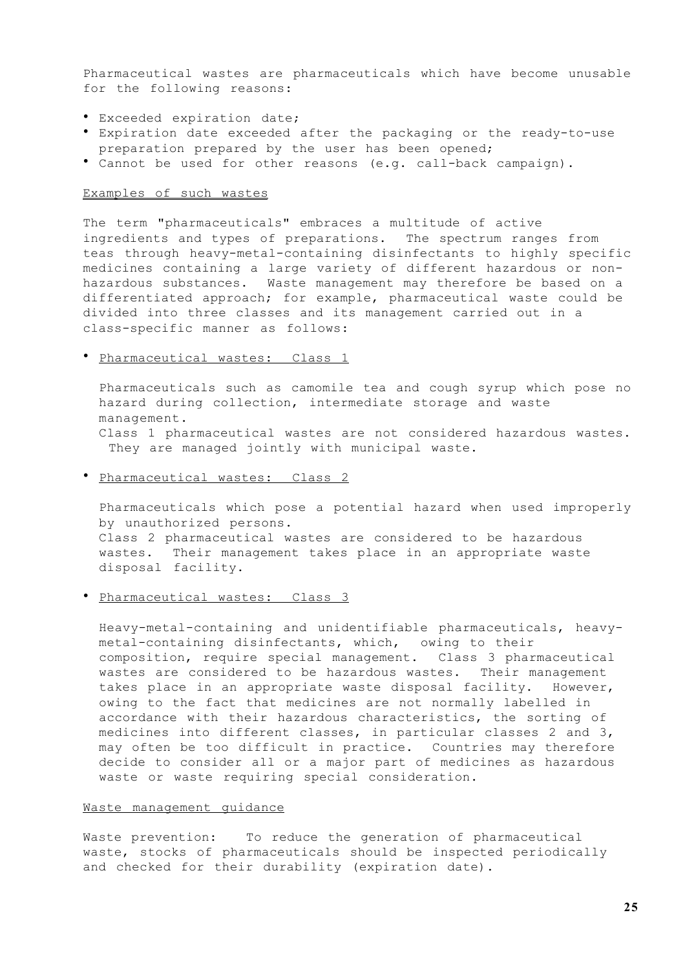Pharmaceutical wastes are pharmaceuticals which have become unusable for the following reasons:

Exceeded expiration date; Expiration date exceeded after the packaging or the ready-to-use preparation prepared by the user has been opened; Cannot be used for other reasons (e.g. call-back campaign).

### Examples of such wastes

The term "pharmaceuticals" embraces a multitude of active ingredients and types of preparations. The spectrum ranges from teas through heavy-metal-containing disinfectants to highly specific medicines containing a large variety of different hazardous or nonhazardous substances. Waste management may therefore be based on a differentiated approach; for example, pharmaceutical waste could be divided into three classes and its management carried out in a class-specific manner as follows:

#### Pharmaceutical wastes: Class 1

Pharmaceuticals such as camomile tea and cough syrup which pose no hazard during collection, intermediate storage and waste management.

Class 1 pharmaceutical wastes are not considered hazardous wastes. They are managed jointly with municipal waste.

#### Pharmaceutical wastes: Class 2

Pharmaceuticals which pose a potential hazard when used improperly by unauthorized persons.

Class 2 pharmaceutical wastes are considered to be hazardous wastes. Their management takes place in an appropriate waste disposal facility.

#### Pharmaceutical wastes: Class 3

Heavy-metal-containing and unidentifiable pharmaceuticals, heavymetal-containing disinfectants, which, owing to their composition, require special management. Class 3 pharmaceutical wastes are considered to be hazardous wastes. Their management takes place in an appropriate waste disposal facility. However, owing to the fact that medicines are not normally labelled in accordance with their hazardous characteristics, the sorting of medicines into different classes, in particular classes 2 and 3, may often be too difficult in practice. Countries may therefore decide to consider all or a major part of medicines as hazardous waste or waste requiring special consideration.

#### Waste management guidance

Waste prevention: To reduce the generation of pharmaceutical waste, stocks of pharmaceuticals should be inspected periodically and checked for their durability (expiration date).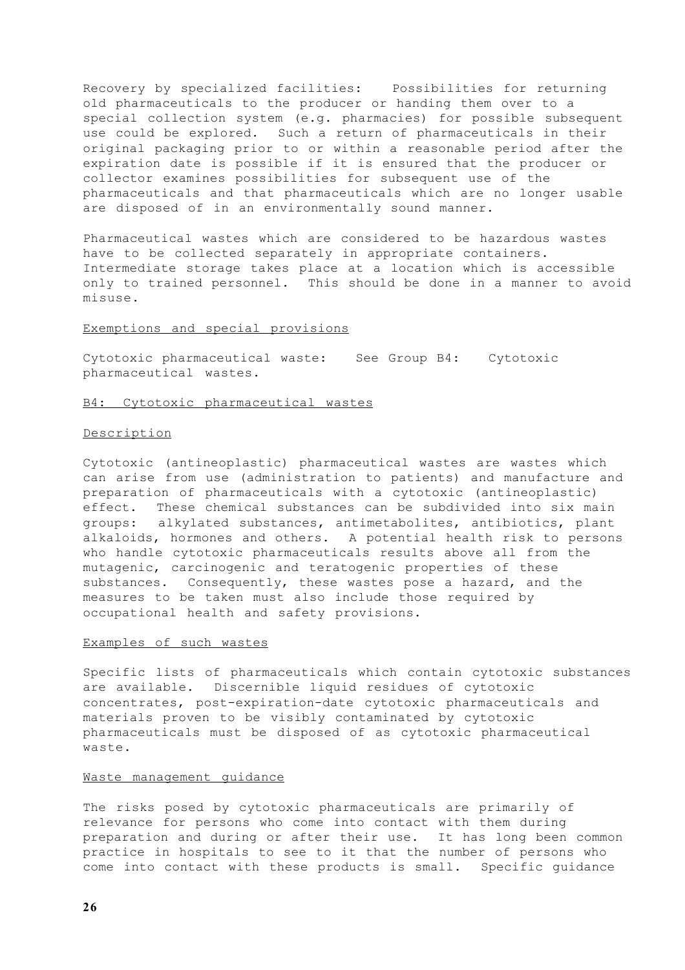Recovery by specialized facilities: Possibilities for returning old pharmaceuticals to the producer or handing them over to a special collection system (e.g. pharmacies) for possible subsequent use could be explored. Such a return of pharmaceuticals in their original packaging prior to or within a reasonable period after the expiration date is possible if it is ensured that the producer or collector examines possibilities for subsequent use of the pharmaceuticals and that pharmaceuticals which are no longer usable are disposed of in an environmentally sound manner.

Pharmaceutical wastes which are considered to be hazardous wastes have to be collected separately in appropriate containers. Intermediate storage takes place at a location which is accessible only to trained personnel. This should be done in a manner to avoid misuse.

#### Exemptions and special provisions

Cytotoxic pharmaceutical waste: See Group B4: Cytotoxic pharmaceutical wastes.

#### B4: Cytotoxic pharmaceutical wastes

#### Description

Cytotoxic (antineoplastic) pharmaceutical wastes are wastes which can arise from use (administration to patients) and manufacture and preparation of pharmaceuticals with a cytotoxic (antineoplastic) effect. These chemical substances can be subdivided into six main groups: alkylated substances, antimetabolites, antibiotics, plant alkaloids, hormones and others. A potential health risk to persons who handle cytotoxic pharmaceuticals results above all from the mutagenic, carcinogenic and teratogenic properties of these substances. Consequently, these wastes pose a hazard, and the measures to be taken must also include those required by occupational health and safety provisions.

#### Examples of such wastes

Specific lists of pharmaceuticals which contain cytotoxic substances are available. Discernible liquid residues of cytotoxic concentrates, post-expiration-date cytotoxic pharmaceuticals and materials proven to be visibly contaminated by cytotoxic pharmaceuticals must be disposed of as cytotoxic pharmaceutical waste.

#### Waste management guidance

The risks posed by cytotoxic pharmaceuticals are primarily of relevance for persons who come into contact with them during preparation and during or after their use. It has long been common practice in hospitals to see to it that the number of persons who come into contact with these products is small. Specific guidance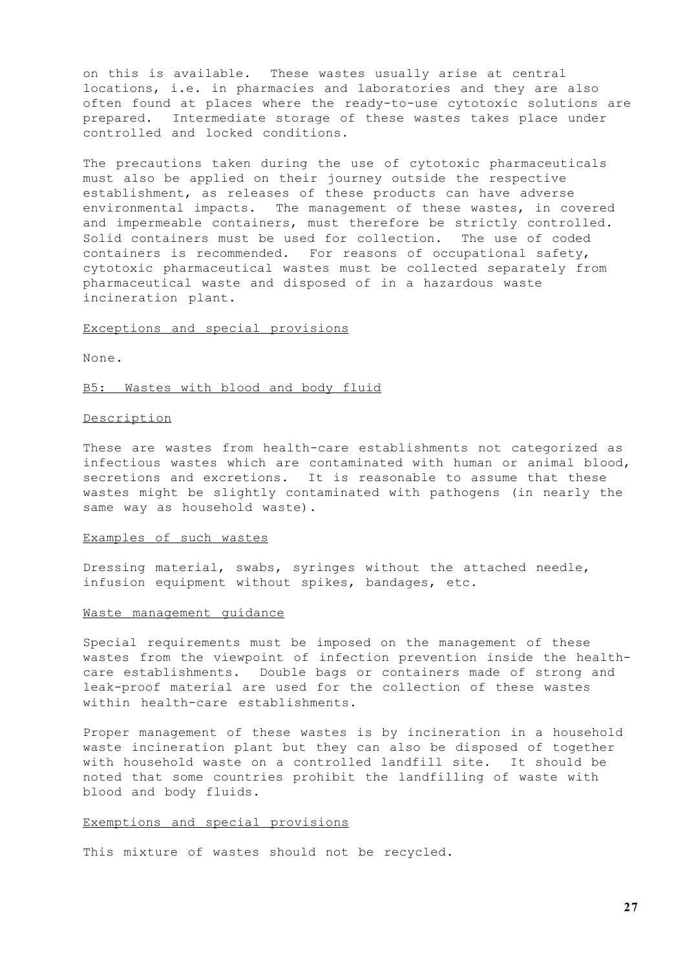on this is available. These wastes usually arise at central locations, i.e. in pharmacies and laboratories and they are also often found at places where the ready-to-use cytotoxic solutions are prepared. Intermediate storage of these wastes takes place under controlled and locked conditions.

The precautions taken during the use of cytotoxic pharmaceuticals must also be applied on their journey outside the respective establishment, as releases of these products can have adverse environmental impacts. The management of these wastes, in covered and impermeable containers, must therefore be strictly controlled. Solid containers must be used for collection. The use of coded containers is recommended. For reasons of occupational safety, cytotoxic pharmaceutical wastes must be collected separately from pharmaceutical waste and disposed of in a hazardous waste incineration plant.

#### Exceptions and special provisions

None.

#### B5: Wastes with blood and body fluid

#### Description

These are wastes from health-care establishments not categorized as infectious wastes which are contaminated with human or animal blood, secretions and excretions. It is reasonable to assume that these wastes might be slightly contaminated with pathogens (in nearly the same way as household waste).

#### Examples of such wastes

Dressing material, swabs, syringes without the attached needle, infusion equipment without spikes, bandages, etc.

#### Waste management guidance

Special requirements must be imposed on the management of these wastes from the viewpoint of infection prevention inside the healthcare establishments. Double bags or containers made of strong and leak-proof material are used for the collection of these wastes within health-care establishments.

Proper management of these wastes is by incineration in a household waste incineration plant but they can also be disposed of together with household waste on a controlled landfill site. It should be noted that some countries prohibit the landfilling of waste with blood and body fluids.

### Exemptions and special provisions

This mixture of wastes should not be recycled.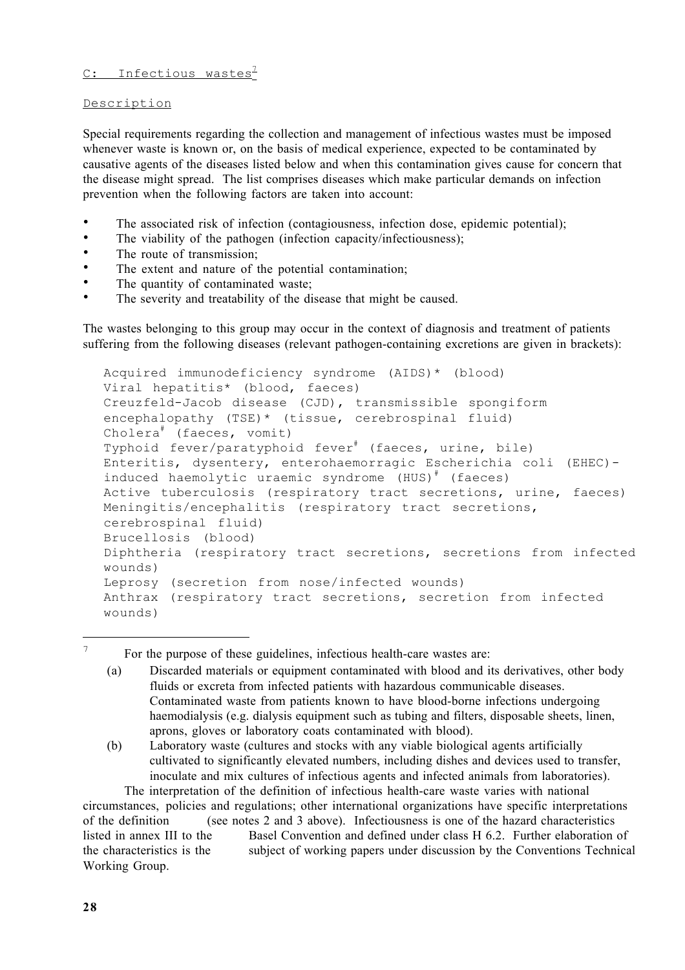# C: Infectious wastes<sup>7</sup>

Description

Special requirements regarding the collection and management of infectious wastes must be imposed whenever waste is known or, on the basis of medical experience, expected to be contaminated by causative agents of the diseases listed below and when this contamination gives cause for concern that the disease might spread. The list comprises diseases which make particular demands on infection prevention when the following factors are taken into account:

The associated risk of infection (contagiousness, infection dose, epidemic potential); The viability of the pathogen (infection capacity/infectiousness); The route of transmission; The extent and nature of the potential contamination; The quantity of contaminated waste; The severity and treatability of the disease that might be caused.

The wastes belonging to this group may occur in the context of diagnosis and treatment of patients suffering from the following diseases (relevant pathogen-containing excretions are given in brackets):

```
Acquired immunodeficiency syndrome (AIDS)* (blood)
Viral hepatitis* (blood, faeces)
Creuzfeld-Jacob disease (CJD), transmissible spongiform
encephalopathy (TSE)* (tissue, cerebrospinal fluid)
Cholera# (faeces, vomit)
Typhoid fever/paratyphoid fever<sup>#</sup> (faeces, urine, bile)
Enteritis, dysentery, enterohaemorragic Escherichia coli (EHEC)-
induced haemolytic uraemic syndrome (HUS)^* (faeces)
Active tuberculosis (respiratory tract secretions, urine, faeces)
Meningitis/encephalitis (respiratory tract secretions,
cerebrospinal fluid)
Brucellosis (blood)
Diphtheria (respiratory tract secretions, secretions from infected
wounds)
Leprosy (secretion from nose/infected wounds)
Anthrax (respiratory tract secretions, secretion from infected
wounds)
```
For the purpose of these guidelines, infectious health-care wastes are:

(a) Discarded materials or equipment contaminated with blood and its derivatives, other body fluids or excreta from infected patients with hazardous communicable diseases. Contaminated waste from patients known to have blood-borne infections undergoing haemodialysis (e.g. dialysis equipment such as tubing and filters, disposable sheets, linen, aprons, gloves or laboratory coats contaminated with blood).

(b) Laboratory waste (cultures and stocks with any viable biological agents artificially cultivated to significantly elevated numbers, including dishes and devices used to transfer, inoculate and mix cultures of infectious agents and infected animals from laboratories).

The interpretation of the definition of infectious health-care waste varies with national circumstances, policies and regulations; other international organizations have specific interpretations of the definition (see notes 2 and 3 above). Infectiousness is one of the hazard characteristics listed in annex III to the Basel Convention and defined under class H 6.2. Further elaboration of the characteristics is the subject of working papers under discussion by the Conventions Technical Working Group.

 $\overline{7}$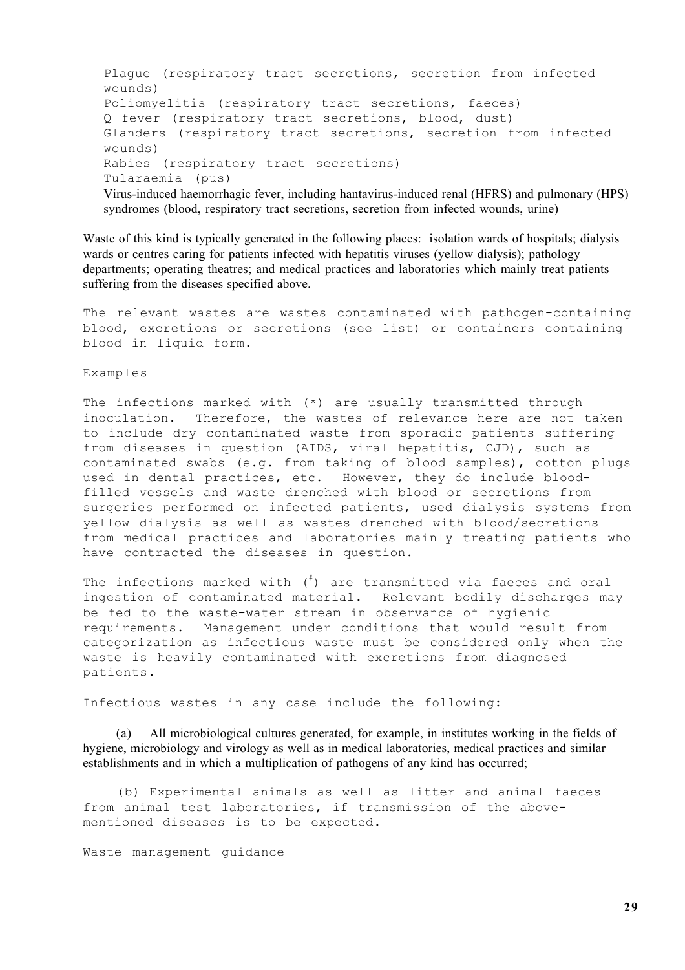Plague (respiratory tract secretions, secretion from infected wounds) Poliomyelitis (respiratory tract secretions, faeces) Q fever (respiratory tract secretions, blood, dust) Glanders (respiratory tract secretions, secretion from infected wounds) Rabies (respiratory tract secretions) Tularaemia (pus) Virus-induced haemorrhagic fever, including hantavirus-induced renal (HFRS) and pulmonary (HPS) syndromes (blood, respiratory tract secretions, secretion from infected wounds, urine)

Waste of this kind is typically generated in the following places: isolation wards of hospitals; dialysis wards or centres caring for patients infected with hepatitis viruses (yellow dialysis); pathology departments; operating theatres; and medical practices and laboratories which mainly treat patients suffering from the diseases specified above.

The relevant wastes are wastes contaminated with pathogen-containing blood, excretions or secretions (see list) or containers containing blood in liquid form.

### Examples

The infections marked with (\*) are usually transmitted through inoculation. Therefore, the wastes of relevance here are not taken to include dry contaminated waste from sporadic patients suffering from diseases in question (AIDS, viral hepatitis, CJD), such as contaminated swabs (e.g. from taking of blood samples), cotton plugs used in dental practices, etc. However, they do include bloodfilled vessels and waste drenched with blood or secretions from surgeries performed on infected patients, used dialysis systems from yellow dialysis as well as wastes drenched with blood/secretions from medical practices and laboratories mainly treating patients who have contracted the diseases in question.

The infections marked with (# ) are transmitted via faeces and oral ingestion of contaminated material. Relevant bodily discharges may be fed to the waste-water stream in observance of hygienic requirements. Management under conditions that would result from categorization as infectious waste must be considered only when the waste is heavily contaminated with excretions from diagnosed patients.

Infectious wastes in any case include the following:

(a) All microbiological cultures generated, for example, in institutes working in the fields of hygiene, microbiology and virology as well as in medical laboratories, medical practices and similar establishments and in which a multiplication of pathogens of any kind has occurred;

(b) Experimental animals as well as litter and animal faeces from animal test laboratories, if transmission of the abovementioned diseases is to be expected.

#### Waste management guidance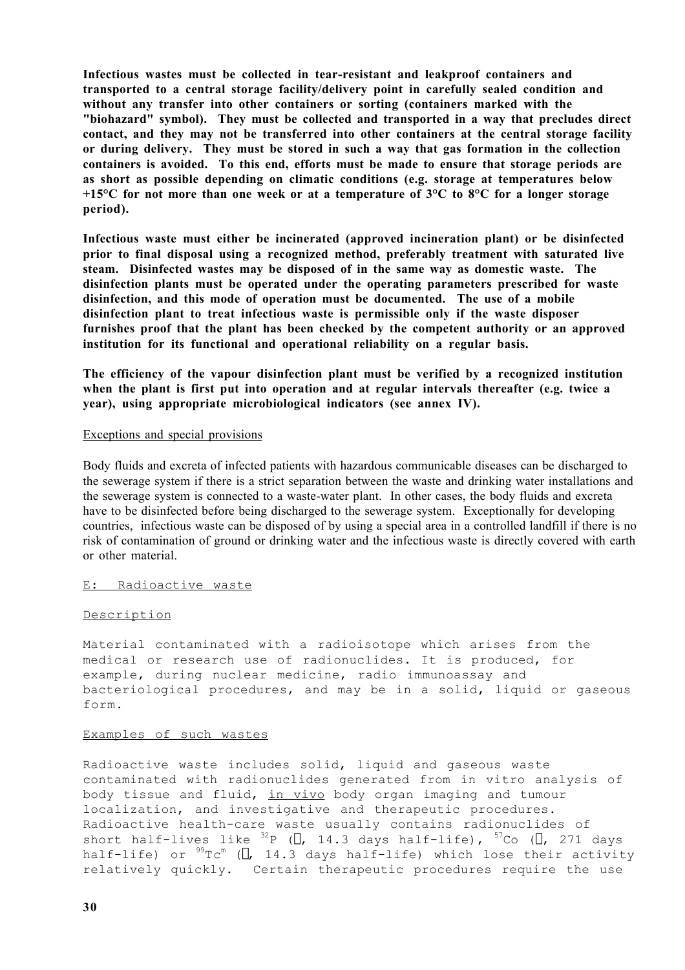**Infectious wastes must be collected in tear-resistant and leakproof containers and transported to a central storage facility/delivery point in carefully sealed condition and without any transfer into other containers or sorting (containers marked with the "biohazard" symbol). They must be collected and transported in a way that precludes direct contact, and they may not be transferred into other containers at the central storage facility or during delivery. They must be stored in such a way that gas formation in the collection containers is avoided. To this end, efforts must be made to ensure that storage periods are as short as possible depending on climatic conditions (e.g. storage at temperatures below +15°C for not more than one week or at a temperature of 3°C to 8°C for a longer storage period).**

**Infectious waste must either be incinerated (approved incineration plant) or be disinfected prior to final disposal using a recognized method, preferably treatment with saturated live steam. Disinfected wastes may be disposed of in the same way as domestic waste. The disinfection plants must be operated under the operating parameters prescribed for waste disinfection, and this mode of operation must be documented. The use of a mobile disinfection plant to treat infectious waste is permissible only if the waste disposer furnishes proof that the plant has been checked by the competent authority or an approved institution for its functional and operational reliability on a regular basis.**

**The efficiency of the vapour disinfection plant must be verified by a recognized institution when the plant is first put into operation and at regular intervals thereafter (e.g. twice a year), using appropriate microbiological indicators (see annex IV).**

### Exceptions and special provisions

Body fluids and excreta of infected patients with hazardous communicable diseases can be discharged to the sewerage system if there is a strict separation between the waste and drinking water installations and the sewerage system is connected to a waste-water plant. In other cases, the body fluids and excreta have to be disinfected before being discharged to the sewerage system. Exceptionally for developing countries, infectious waste can be disposed of by using a special area in a controlled landfill if there is no risk of contamination of ground or drinking water and the infectious waste is directly covered with earth or other material.

### E: Radioactive waste

### Description

Material contaminated with a radioisotope which arises from the medical or research use of radionuclides. It is produced, for example, during nuclear medicine, radio immunoassay and bacteriological procedures, and may be in a solid, liquid or gaseous form.

#### Examples of such wastes

Radioactive waste includes solid, liquid and gaseous waste contaminated with radionuclides generated from in vitro analysis of body tissue and fluid, in vivo body organ imaging and tumour localization, and investigative and therapeutic procedures. Radioactive health-care waste usually contains radionuclides of short half-lives like  $^{32}$ P ( $\beta$ , 14.3 days half-life),  $^{57}$ Co ( $\beta$ , 271 days half-life) or  $^{99}\text{Tc}^{\mathrm{m}}$  (Y, 14.3 days half-life) which lose their activity relatively quickly. Certain therapeutic procedures require the use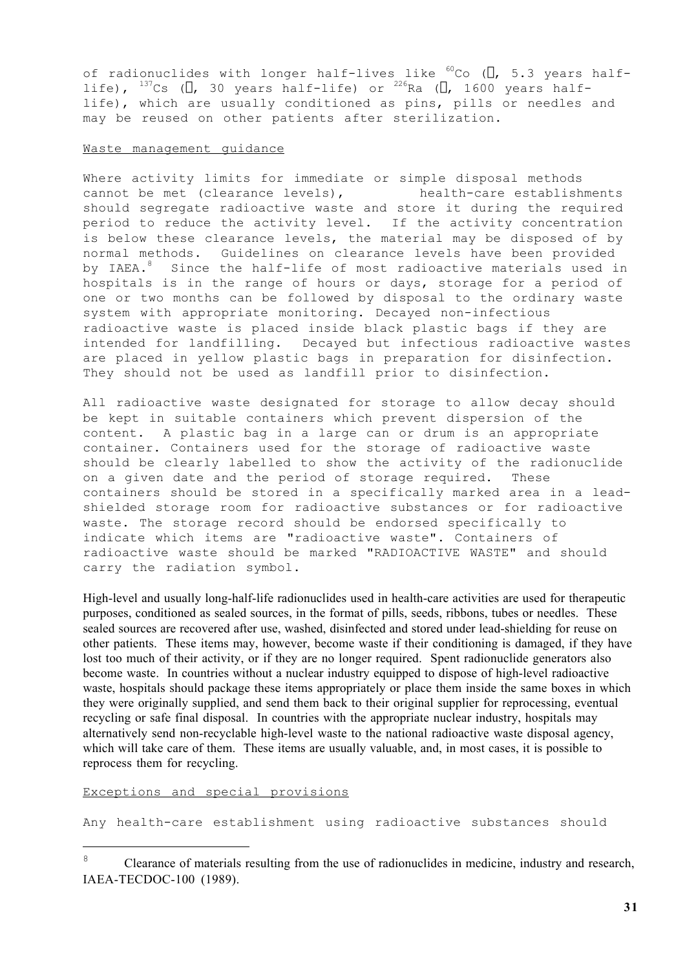of radionuclides with longer half-lives like  ${}^{60}$ Co ( $\beta$ , 5.3 years halflife),  $^{137}$ Cs ( $\beta$ , 30 years half-life) or  $^{226}$ Ra ( $\beta$ , 1600 years halflife), which are usually conditioned as pins, pills or needles and may be reused on other patients after sterilization.

### Waste management guidance

Where activity limits for immediate or simple disposal methods cannot be met (clearance levels), health-care establishments should segregate radioactive waste and store it during the required period to reduce the activity level. If the activity concentration is below these clearance levels, the material may be disposed of by normal methods. Guidelines on clearance levels have been provided by IAEA. $^8$  -Since the half-life of most radioactive materials used in hospitals is in the range of hours or days, storage for a period of one or two months can be followed by disposal to the ordinary waste system with appropriate monitoring. Decayed non-infectious radioactive waste is placed inside black plastic bags if they are intended for landfilling. Decayed but infectious radioactive wastes are placed in yellow plastic bags in preparation for disinfection. They should not be used as landfill prior to disinfection.

All radioactive waste designated for storage to allow decay should be kept in suitable containers which prevent dispersion of the content. A plastic bag in a large can or drum is an appropriate container. Containers used for the storage of radioactive waste should be clearly labelled to show the activity of the radionuclide on a given date and the period of storage required. These containers should be stored in a specifically marked area in a leadshielded storage room for radioactive substances or for radioactive waste. The storage record should be endorsed specifically to indicate which items are "radioactive waste". Containers of radioactive waste should be marked "RADIOACTIVE WASTE" and should carry the radiation symbol.

High-level and usually long-half-life radionuclides used in health-care activities are used for therapeutic purposes, conditioned as sealed sources, in the format of pills, seeds, ribbons, tubes or needles. These sealed sources are recovered after use, washed, disinfected and stored under lead-shielding for reuse on other patients. These items may, however, become waste if their conditioning is damaged, if they have lost too much of their activity, or if they are no longer required. Spent radionuclide generators also become waste. In countries without a nuclear industry equipped to dispose of high-level radioactive waste, hospitals should package these items appropriately or place them inside the same boxes in which they were originally supplied, and send them back to their original supplier for reprocessing, eventual recycling or safe final disposal. In countries with the appropriate nuclear industry, hospitals may alternatively send non-recyclable high-level waste to the national radioactive waste disposal agency, which will take care of them. These items are usually valuable, and, in most cases, it is possible to reprocess them for recycling.

Exceptions and special provisions

l.

Any health-care establishment using radioactive substances should

<sup>&</sup>lt;sup>8</sup> Clearance of materials resulting from the use of radionuclides in medicine, industry and research, IAEA-TECDOC-100 (1989).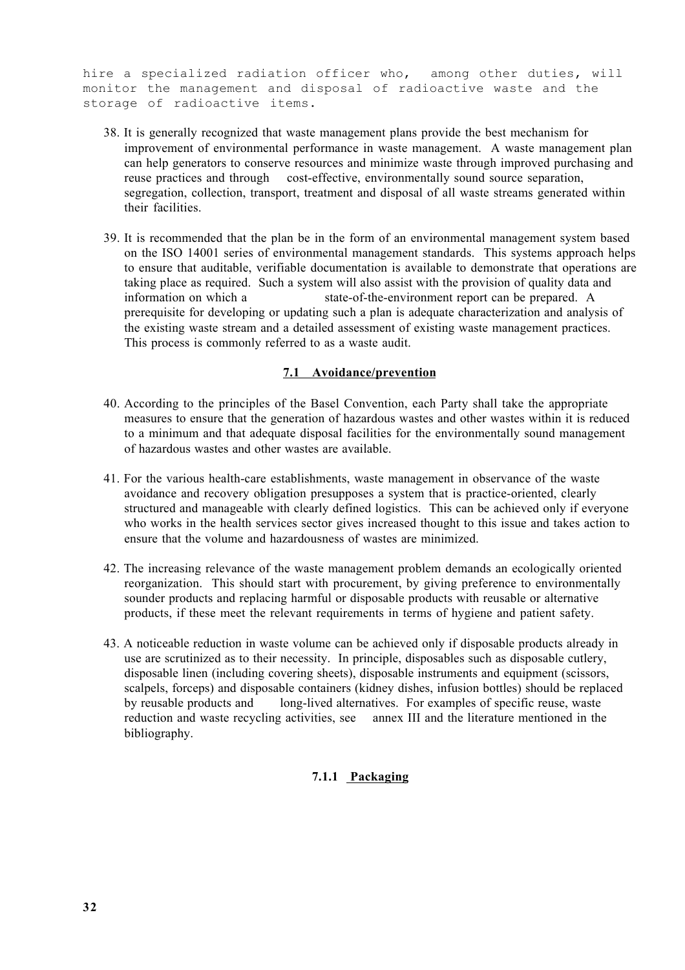hire a specialized radiation officer who, among other duties, will monitor the management and disposal of radioactive waste and the storage of radioactive items.

- 38. It is generally recognized that waste management plans provide the best mechanism for improvement of environmental performance in waste management. A waste management plan can help generators to conserve resources and minimize waste through improved purchasing and reuse practices and through cost-effective, environmentally sound source separation, segregation, collection, transport, treatment and disposal of all waste streams generated within their facilities.
- 39. It is recommended that the plan be in the form of an environmental management system based on the ISO 14001 series of environmental management standards. This systems approach helps to ensure that auditable, verifiable documentation is available to demonstrate that operations are taking place as required. Such a system will also assist with the provision of quality data and information on which a state-of-the-environment report can be prepared. A prerequisite for developing or updating such a plan is adequate characterization and analysis of the existing waste stream and a detailed assessment of existing waste management practices. This process is commonly referred to as a waste audit.

## **7.1 Avoidance/prevention**

- 40. According to the principles of the Basel Convention, each Party shall take the appropriate measures to ensure that the generation of hazardous wastes and other wastes within it is reduced to a minimum and that adequate disposal facilities for the environmentally sound management of hazardous wastes and other wastes are available.
- 41. For the various health-care establishments, waste management in observance of the waste avoidance and recovery obligation presupposes a system that is practice-oriented, clearly structured and manageable with clearly defined logistics. This can be achieved only if everyone who works in the health services sector gives increased thought to this issue and takes action to ensure that the volume and hazardousness of wastes are minimized.
- 42. The increasing relevance of the waste management problem demands an ecologically oriented reorganization. This should start with procurement, by giving preference to environmentally sounder products and replacing harmful or disposable products with reusable or alternative products, if these meet the relevant requirements in terms of hygiene and patient safety.
- 43. A noticeable reduction in waste volume can be achieved only if disposable products already in use are scrutinized as to their necessity. In principle, disposables such as disposable cutlery, disposable linen (including covering sheets), disposable instruments and equipment (scissors, scalpels, forceps) and disposable containers (kidney dishes, infusion bottles) should be replaced by reusable products and long-lived alternatives. For examples of specific reuse, waste reduction and waste recycling activities, see annex III and the literature mentioned in the bibliography.

## **7.1.1 Packaging**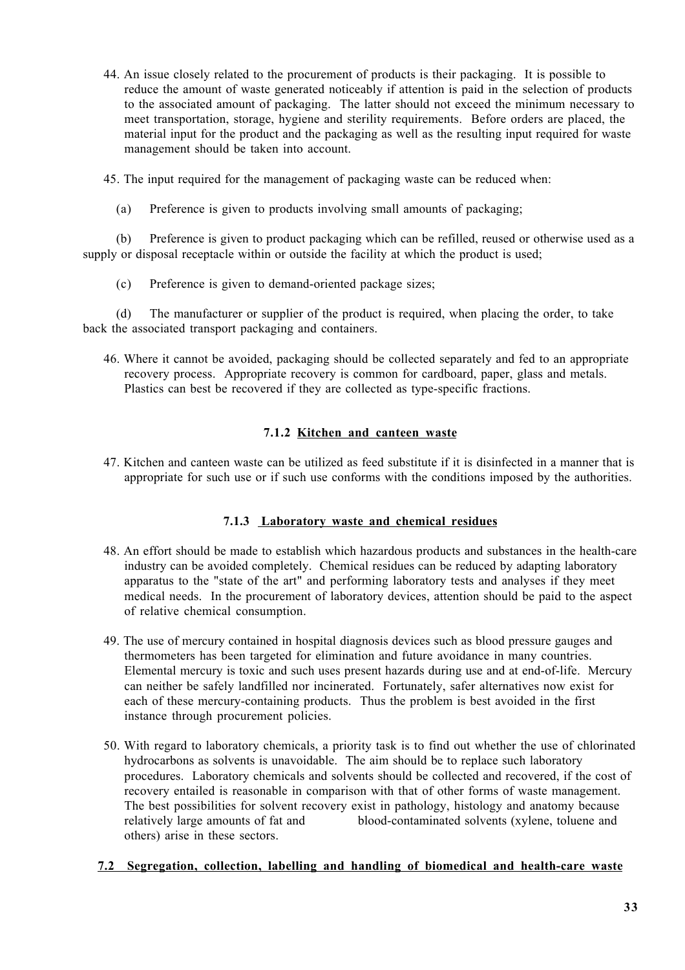44. An issue closely related to the procurement of products is their packaging. It is possible to reduce the amount of waste generated noticeably if attention is paid in the selection of products to the associated amount of packaging. The latter should not exceed the minimum necessary to meet transportation, storage, hygiene and sterility requirements. Before orders are placed, the material input for the product and the packaging as well as the resulting input required for waste management should be taken into account.

45. The input required for the management of packaging waste can be reduced when:

(a) Preference is given to products involving small amounts of packaging;

(b) Preference is given to product packaging which can be refilled, reused or otherwise used as a supply or disposal receptacle within or outside the facility at which the product is used;

(c) Preference is given to demand-oriented package sizes;

(d) The manufacturer or supplier of the product is required, when placing the order, to take back the associated transport packaging and containers.

46. Where it cannot be avoided, packaging should be collected separately and fed to an appropriate recovery process. Appropriate recovery is common for cardboard, paper, glass and metals. Plastics can best be recovered if they are collected as type-specific fractions.

## **7.1.2 Kitchen and canteen waste**

47. Kitchen and canteen waste can be utilized as feed substitute if it is disinfected in a manner that is appropriate for such use or if such use conforms with the conditions imposed by the authorities.

## **7.1.3 Laboratory waste and chemical residues**

- 48. An effort should be made to establish which hazardous products and substances in the health-care industry can be avoided completely. Chemical residues can be reduced by adapting laboratory apparatus to the "state of the art" and performing laboratory tests and analyses if they meet medical needs. In the procurement of laboratory devices, attention should be paid to the aspect of relative chemical consumption.
- 49. The use of mercury contained in hospital diagnosis devices such as blood pressure gauges and thermometers has been targeted for elimination and future avoidance in many countries. Elemental mercury is toxic and such uses present hazards during use and at end-of-life. Mercury can neither be safely landfilled nor incinerated. Fortunately, safer alternatives now exist for each of these mercury-containing products. Thus the problem is best avoided in the first instance through procurement policies.
- 50. With regard to laboratory chemicals, a priority task is to find out whether the use of chlorinated hydrocarbons as solvents is unavoidable. The aim should be to replace such laboratory procedures. Laboratory chemicals and solvents should be collected and recovered, if the cost of recovery entailed is reasonable in comparison with that of other forms of waste management. The best possibilities for solvent recovery exist in pathology, histology and anatomy because relatively large amounts of fat and blood-contaminated solvents (xylene, toluene and others) arise in these sectors.

## **7.2 Segregation, collection, labelling and handling of biomedical and health-care waste**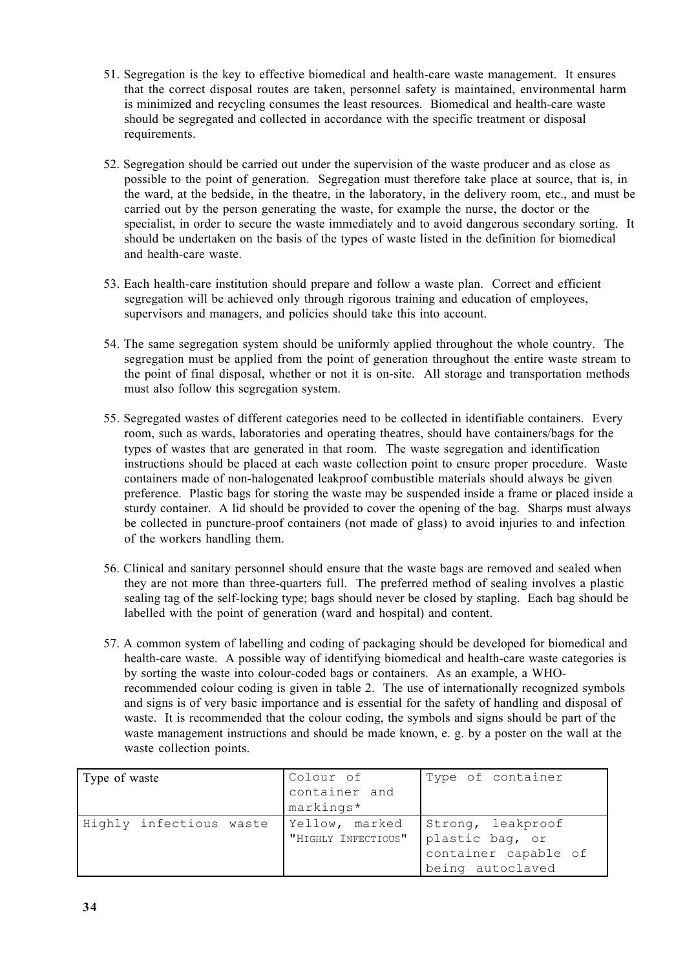- 51. Segregation is the key to effective biomedical and health-care waste management. It ensures that the correct disposal routes are taken, personnel safety is maintained, environmental harm is minimized and recycling consumes the least resources. Biomedical and health-care waste should be segregated and collected in accordance with the specific treatment or disposal requirements.
- 52. Segregation should be carried out under the supervision of the waste producer and as close as possible to the point of generation. Segregation must therefore take place at source, that is, in the ward, at the bedside, in the theatre, in the laboratory, in the delivery room, etc., and must be carried out by the person generating the waste, for example the nurse, the doctor or the specialist, in order to secure the waste immediately and to avoid dangerous secondary sorting. It should be undertaken on the basis of the types of waste listed in the definition for biomedical and health-care waste.
- 53. Each health-care institution should prepare and follow a waste plan. Correct and efficient segregation will be achieved only through rigorous training and education of employees, supervisors and managers, and policies should take this into account.
- 54. The same segregation system should be uniformly applied throughout the whole country. The segregation must be applied from the point of generation throughout the entire waste stream to the point of final disposal, whether or not it is on-site. All storage and transportation methods must also follow this segregation system.
- 55. Segregated wastes of different categories need to be collected in identifiable containers. Every room, such as wards, laboratories and operating theatres, should have containers/bags for the types of wastes that are generated in that room. The waste segregation and identification instructions should be placed at each waste collection point to ensure proper procedure. Waste containers made of non-halogenated leakproof combustible materials should always be given preference. Plastic bags for storing the waste may be suspended inside a frame or placed inside a sturdy container. A lid should be provided to cover the opening of the bag. Sharps must always be collected in puncture-proof containers (not made of glass) to avoid injuries to and infection of the workers handling them.
- 56. Clinical and sanitary personnel should ensure that the waste bags are removed and sealed when they are not more than three-quarters full. The preferred method of sealing involves a plastic sealing tag of the self-locking type; bags should never be closed by stapling. Each bag should be labelled with the point of generation (ward and hospital) and content.
- 57. A common system of labelling and coding of packaging should be developed for biomedical and health-care waste. A possible way of identifying biomedical and health-care waste categories is by sorting the waste into colour-coded bags or containers. As an example, a WHOrecommended colour coding is given in table 2. The use of internationally recognized symbols and signs is of very basic importance and is essential for the safety of handling and disposal of waste. It is recommended that the colour coding, the symbols and signs should be part of the waste management instructions and should be made known, e. g. by a poster on the wall at the waste collection points.

| Type of waste           | Colour of<br>container and<br>markings*               | Type of container                                             |
|-------------------------|-------------------------------------------------------|---------------------------------------------------------------|
| Highly infectious waste | Yellow, marked<br>"HIGHLY INFECTIOUS" plastic bag, or | Strong, leakproof<br>container capable of<br>being autoclaved |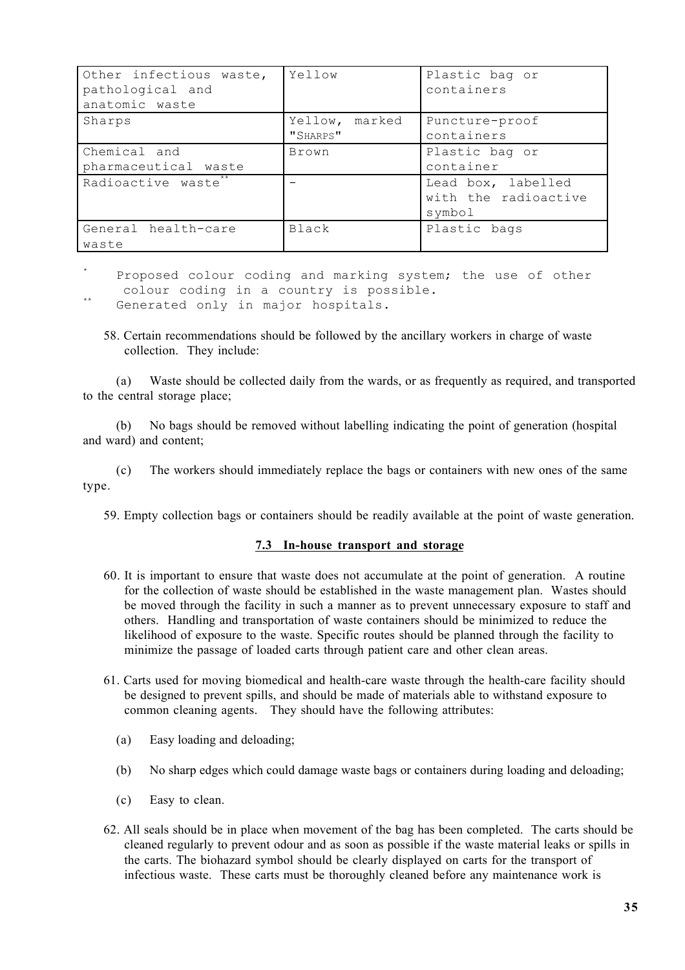| Other infectious waste,<br>pathological and<br>anatomic waste | Yellow                        | Plastic bag or<br>containers                         |
|---------------------------------------------------------------|-------------------------------|------------------------------------------------------|
| Sharps                                                        | marked<br>Yellow,<br>"SHARPS" | Puncture-proof<br>containers                         |
| Chemical and<br>pharmaceutical waste                          | <b>Brown</b>                  | Plastic bag or<br>container                          |
| Radioactive waste <sup>*</sup>                                |                               | Lead box, labelled<br>with the radioactive<br>symbol |
| General health-care<br>waste                                  | Black                         | Plastic bags                                         |

Proposed colour coding and marking system; the use of other colour coding in a country is possible.<br>Generated only in major hospitals.

58. Certain recommendations should be followed by the ancillary workers in charge of waste collection. They include:

(a) Waste should be collected daily from the wards, or as frequently as required, and transported to the central storage place;

(b) No bags should be removed without labelling indicating the point of generation (hospital and ward) and content;

(c) The workers should immediately replace the bags or containers with new ones of the same type.

59. Empty collection bags or containers should be readily available at the point of waste generation.

### **7.3 In-house transport and storage**

- 60. It is important to ensure that waste does not accumulate at the point of generation. A routine for the collection of waste should be established in the waste management plan. Wastes should be moved through the facility in such a manner as to prevent unnecessary exposure to staff and others. Handling and transportation of waste containers should be minimized to reduce the likelihood of exposure to the waste. Specific routes should be planned through the facility to minimize the passage of loaded carts through patient care and other clean areas.
- 61. Carts used for moving biomedical and health-care waste through the health-care facility should be designed to prevent spills, and should be made of materials able to withstand exposure to common cleaning agents. They should have the following attributes:
	- (a) Easy loading and deloading;
	- (b) No sharp edges which could damage waste bags or containers during loading and deloading;
	- (c) Easy to clean.
- 62. All seals should be in place when movement of the bag has been completed. The carts should be cleaned regularly to prevent odour and as soon as possible if the waste material leaks or spills in the carts. The biohazard symbol should be clearly displayed on carts for the transport of infectious waste. These carts must be thoroughly cleaned before any maintenance work is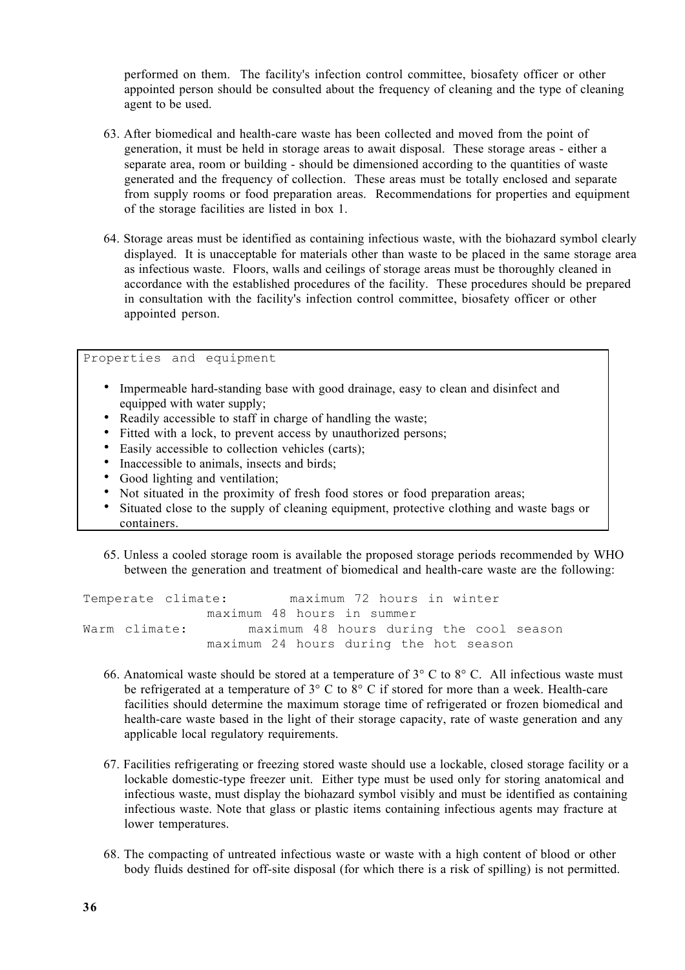performed on them. The facility's infection control committee, biosafety officer or other appointed person should be consulted about the frequency of cleaning and the type of cleaning agent to be used.

- 63. After biomedical and health-care waste has been collected and moved from the point of generation, it must be held in storage areas to await disposal. These storage areas - either a separate area, room or building - should be dimensioned according to the quantities of waste generated and the frequency of collection. These areas must be totally enclosed and separate from supply rooms or food preparation areas. Recommendations for properties and equipment of the storage facilities are listed in box 1.
- 64. Storage areas must be identified as containing infectious waste, with the biohazard symbol clearly displayed. It is unacceptable for materials other than waste to be placed in the same storage area as infectious waste. Floors, walls and ceilings of storage areas must be thoroughly cleaned in accordance with the established procedures of the facility. These procedures should be prepared in consultation with the facility's infection control committee, biosafety officer or other appointed person.

Properties and equipment Impermeable hard-standing base with good drainage, easy to clean and disinfect and equipped with water supply; Readily accessible to staff in charge of handling the waste; Fitted with a lock, to prevent access by unauthorized persons; Easily accessible to collection vehicles (carts); Inaccessible to animals, insects and birds; Good lighting and ventilation; Not situated in the proximity of fresh food stores or food preparation areas; Situated close to the supply of cleaning equipment, protective clothing and waste bags or containers.

65. Unless a cooled storage room is available the proposed storage periods recommended by WHO between the generation and treatment of biomedical and health-care waste are the following:

Temperate climate: maximum 72 hours in winter maximum 48 hours in summer Warm climate: maximum 48 hours during the cool season maximum 24 hours during the hot season

- 66. Anatomical waste should be stored at a temperature of  $3^{\circ}$  C to  $8^{\circ}$  C. All infectious waste must be refrigerated at a temperature of 3° C to 8° C if stored for more than a week. Health-care facilities should determine the maximum storage time of refrigerated or frozen biomedical and health-care waste based in the light of their storage capacity, rate of waste generation and any applicable local regulatory requirements.
- 67. Facilities refrigerating or freezing stored waste should use a lockable, closed storage facility or a lockable domestic-type freezer unit. Either type must be used only for storing anatomical and infectious waste, must display the biohazard symbol visibly and must be identified as containing infectious waste. Note that glass or plastic items containing infectious agents may fracture at lower temperatures.
- 68. The compacting of untreated infectious waste or waste with a high content of blood or other body fluids destined for off-site disposal (for which there is a risk of spilling) is not permitted.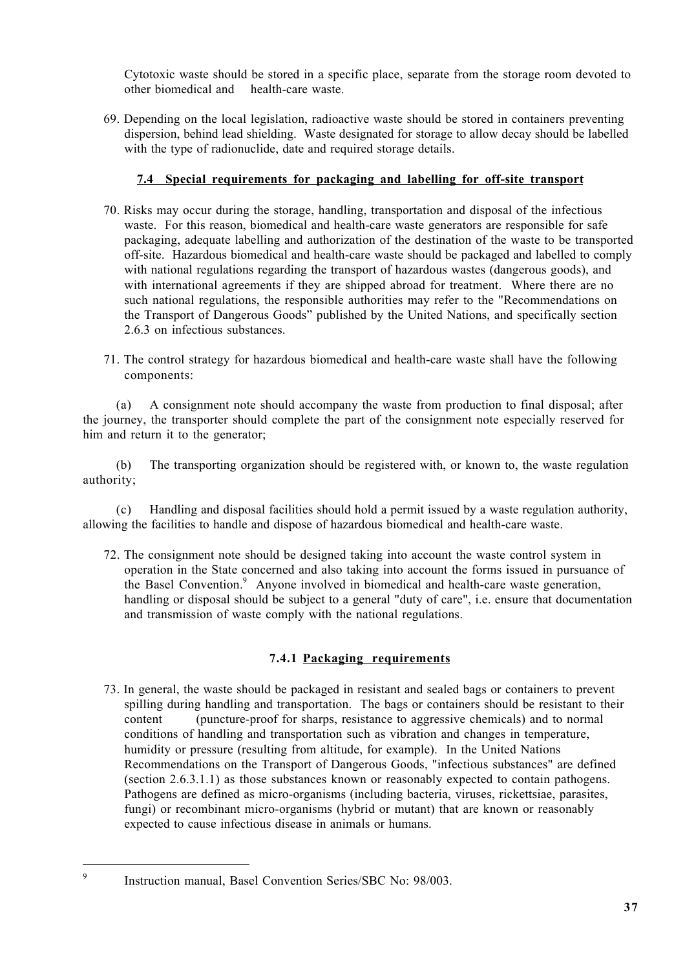Cytotoxic waste should be stored in a specific place, separate from the storage room devoted to other biomedical and health-care waste.

69. Depending on the local legislation, radioactive waste should be stored in containers preventing dispersion, behind lead shielding. Waste designated for storage to allow decay should be labelled with the type of radionuclide, date and required storage details.

# **7.4 Special requirements for packaging and labelling for off-site transport**

- 70. Risks may occur during the storage, handling, transportation and disposal of the infectious waste. For this reason, biomedical and health-care waste generators are responsible for safe packaging, adequate labelling and authorization of the destination of the waste to be transported off-site. Hazardous biomedical and health-care waste should be packaged and labelled to comply with national regulations regarding the transport of hazardous wastes (dangerous goods), and with international agreements if they are shipped abroad for treatment. Where there are no such national regulations, the responsible authorities may refer to the "Recommendations on the Transport of Dangerous Goods" published by the United Nations, and specifically section 2.6.3 on infectious substances.
- 71. The control strategy for hazardous biomedical and health-care waste shall have the following components:

(a) A consignment note should accompany the waste from production to final disposal; after the journey, the transporter should complete the part of the consignment note especially reserved for him and return it to the generator;

(b) The transporting organization should be registered with, or known to, the waste regulation authority;

(c) Handling and disposal facilities should hold a permit issued by a waste regulation authority, allowing the facilities to handle and dispose of hazardous biomedical and health-care waste.

72. The consignment note should be designed taking into account the waste control system in operation in the State concerned and also taking into account the forms issued in pursuance of the Basel Convention.<sup>9</sup> Anyone involved in biomedical and health-care waste generation, handling or disposal should be subject to a general "duty of care", i.e. ensure that documentation and transmission of waste comply with the national regulations.

# **7.4.1 Packaging requirements**

73. In general, the waste should be packaged in resistant and sealed bags or containers to prevent spilling during handling and transportation. The bags or containers should be resistant to their content (puncture-proof for sharps, resistance to aggressive chemicals) and to normal conditions of handling and transportation such as vibration and changes in temperature, humidity or pressure (resulting from altitude, for example). In the United Nations Recommendations on the Transport of Dangerous Goods, "infectious substances" are defined (section 2.6.3.1.1) as those substances known or reasonably expected to contain pathogens. Pathogens are defined as micro-organisms (including bacteria, viruses, rickettsiae, parasites, fungi) or recombinant micro-organisms (hybrid or mutant) that are known or reasonably expected to cause infectious disease in animals or humans.

l.

<sup>9</sup> Instruction manual, Basel Convention Series/SBC No: 98/003.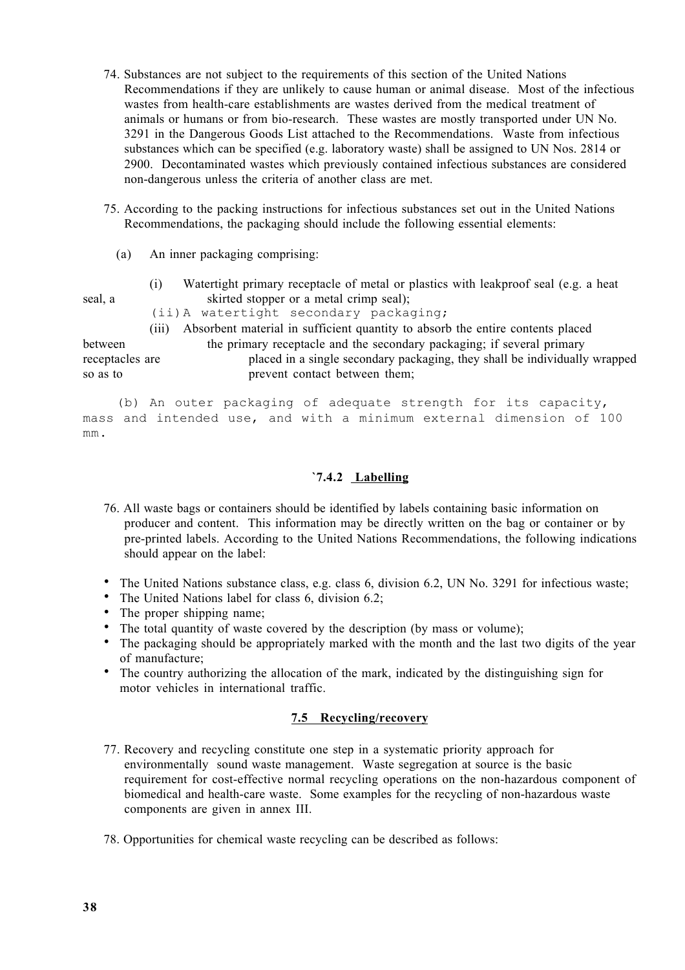- 74. Substances are not subject to the requirements of this section of the United Nations Recommendations if they are unlikely to cause human or animal disease. Most of the infectious wastes from health-care establishments are wastes derived from the medical treatment of animals or humans or from bio-research. These wastes are mostly transported under UN No. 3291 in the Dangerous Goods List attached to the Recommendations. Waste from infectious substances which can be specified (e.g. laboratory waste) shall be assigned to UN Nos. 2814 or 2900. Decontaminated wastes which previously contained infectious substances are considered non-dangerous unless the criteria of another class are met.
- 75. According to the packing instructions for infectious substances set out in the United Nations Recommendations, the packaging should include the following essential elements:
	- (a) An inner packaging comprising:
- (i) Watertight primary receptacle of metal or plastics with leakproof seal (e.g. a heat seal, a skirted stopper or a metal crimp seal);
	- - (ii)A watertight secondary packaging;
		- (iii) Absorbent material in sufficient quantity to absorb the entire contents placed

between the primary receptacle and the secondary packaging; if several primary receptacles are placed in a single secondary packaging, they shall be individually wrapped so as to prevent contact between them;

(b) An outer packaging of adequate strength for its capacity, mass and intended use, and with a minimum external dimension of 100 mm.

# **`7.4.2 Labelling**

76. All waste bags or containers should be identified by labels containing basic information on producer and content. This information may be directly written on the bag or container or by pre-printed labels. According to the United Nations Recommendations, the following indications should appear on the label:

The United Nations substance class, e.g. class 6, division 6.2, UN No. 3291 for infectious waste; The United Nations label for class 6, division 6.2;

The proper shipping name;

The total quantity of waste covered by the description (by mass or volume);

The packaging should be appropriately marked with the month and the last two digits of the year of manufacture;

The country authorizing the allocation of the mark, indicated by the distinguishing sign for motor vehicles in international traffic.

# **7.5 Recycling/recovery**

- 77. Recovery and recycling constitute one step in a systematic priority approach for environmentally sound waste management. Waste segregation at source is the basic requirement for cost-effective normal recycling operations on the non-hazardous component of biomedical and health-care waste. Some examples for the recycling of non-hazardous waste components are given in annex III.
- 78. Opportunities for chemical waste recycling can be described as follows: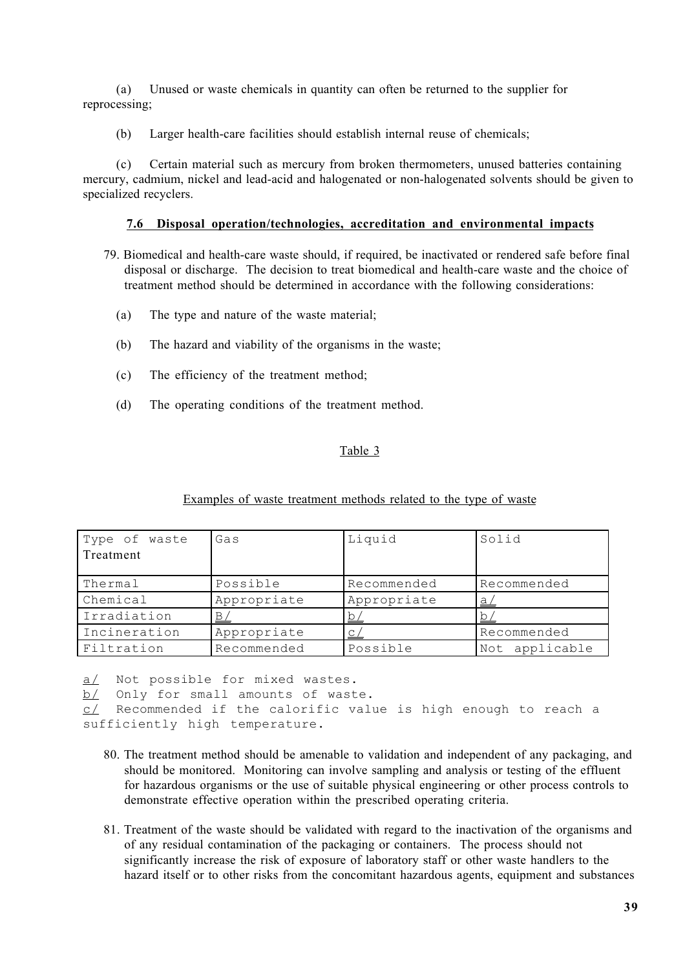(a) Unused or waste chemicals in quantity can often be returned to the supplier for reprocessing;

(b) Larger health-care facilities should establish internal reuse of chemicals;

(c) Certain material such as mercury from broken thermometers, unused batteries containing mercury, cadmium, nickel and lead-acid and halogenated or non-halogenated solvents should be given to specialized recyclers.

# **7.6 Disposal operation/technologies, accreditation and environmental impacts**

- 79. Biomedical and health-care waste should, if required, be inactivated or rendered safe before final disposal or discharge. The decision to treat biomedical and health-care waste and the choice of treatment method should be determined in accordance with the following considerations:
	- (a) The type and nature of the waste material;
	- (b) The hazard and viability of the organisms in the waste;
	- (c) The efficiency of the treatment method;
	- (d) The operating conditions of the treatment method.

# Table 3

| Type of waste<br>Treatment | Gas         | Liquid      | Solid          |
|----------------------------|-------------|-------------|----------------|
| Thermal                    | Possible    | Recommended | Recommended    |
| Chemical                   | Appropriate | Appropriate | $\mathsf{a}$   |
| Irradiation                | <u>B,</u>   | <u>b</u>    |                |
| Incineration               | Appropriate | $\subseteq$ | Recommended    |
| Filtration                 | Recommended | Possible    | Not applicable |

## Examples of waste treatment methods related to the type of waste

a/ Not possible for mixed wastes.

b/ Only for small amounts of waste.

```
c/ Recommended if the calorific value is high enough to reach a
sufficiently high temperature.
```
- 80. The treatment method should be amenable to validation and independent of any packaging, and should be monitored. Monitoring can involve sampling and analysis or testing of the effluent for hazardous organisms or the use of suitable physical engineering or other process controls to demonstrate effective operation within the prescribed operating criteria.
- 81. Treatment of the waste should be validated with regard to the inactivation of the organisms and of any residual contamination of the packaging or containers. The process should not significantly increase the risk of exposure of laboratory staff or other waste handlers to the hazard itself or to other risks from the concomitant hazardous agents, equipment and substances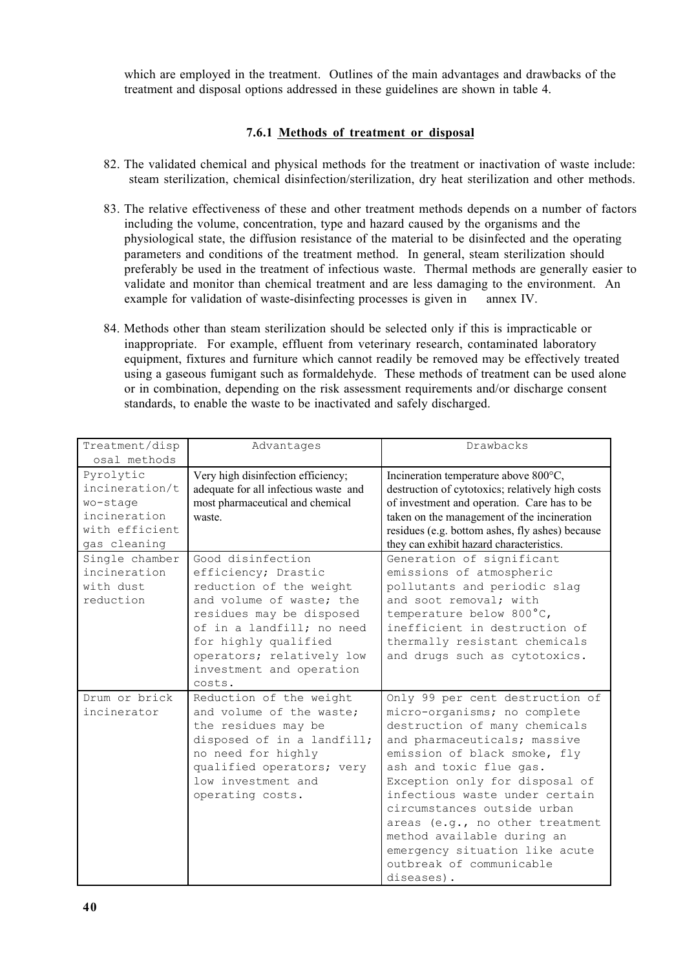which are employed in the treatment. Outlines of the main advantages and drawbacks of the treatment and disposal options addressed in these guidelines are shown in table 4.

# **7.6.1 Methods of treatment or disposal**

- 82. The validated chemical and physical methods for the treatment or inactivation of waste include: steam sterilization, chemical disinfection/sterilization, dry heat sterilization and other methods.
- 83. The relative effectiveness of these and other treatment methods depends on a number of factors including the volume, concentration, type and hazard caused by the organisms and the physiological state, the diffusion resistance of the material to be disinfected and the operating parameters and conditions of the treatment method. In general, steam sterilization should preferably be used in the treatment of infectious waste. Thermal methods are generally easier to validate and monitor than chemical treatment and are less damaging to the environment. An example for validation of waste-disinfecting processes is given in annex IV.
- 84. Methods other than steam sterilization should be selected only if this is impracticable or inappropriate. For example, effluent from veterinary research, contaminated laboratory equipment, fixtures and furniture which cannot readily be removed may be effectively treated using a gaseous fumigant such as formaldehyde. These methods of treatment can be used alone or in combination, depending on the risk assessment requirements and/or discharge consent standards, to enable the waste to be inactivated and safely discharged.

| Treatment/disp            | Advantages                            | Drawbacks                                                                                 |
|---------------------------|---------------------------------------|-------------------------------------------------------------------------------------------|
| osal methods<br>Pyrolytic | Very high disinfection efficiency;    |                                                                                           |
| incineration/t            | adequate for all infectious waste and | Incineration temperature above 800°C,<br>destruction of cytotoxics; relatively high costs |
| wo-stage                  | most pharmaceutical and chemical      | of investment and operation. Care has to be                                               |
| incineration              | waste.                                | taken on the management of the incineration                                               |
| with efficient            |                                       | residues (e.g. bottom ashes, fly ashes) because                                           |
| gas cleaning              |                                       | they can exhibit hazard characteristics.                                                  |
| Single chamber            | Good disinfection                     | Generation of significant                                                                 |
| incineration              | efficiency; Drastic                   | emissions of atmospheric                                                                  |
| with dust                 | reduction of the weight               | pollutants and periodic slag                                                              |
| reduction                 | and volume of waste; the              | and soot removal; with                                                                    |
|                           | residues may be disposed              | temperature below 800°C,                                                                  |
|                           | of in a landfill; no need             | inefficient in destruction of                                                             |
|                           | for highly qualified                  | thermally resistant chemicals                                                             |
|                           | operators; relatively low             | and drugs such as cytotoxics.                                                             |
|                           | investment and operation              |                                                                                           |
|                           | costs.                                |                                                                                           |
| Drum or brick             | Reduction of the weight               | Only 99 per cent destruction of                                                           |
| incinerator               | and volume of the waste:              | micro-organisms; no complete                                                              |
|                           | the residues may be                   | destruction of many chemicals                                                             |
|                           | disposed of in a landfill;            | and pharmaceuticals; massive                                                              |
|                           | no need for highly                    | emission of black smoke, fly                                                              |
|                           | qualified operators; very             | ash and toxic flue gas.                                                                   |
|                           | low investment and                    | Exception only for disposal of                                                            |
|                           | operating costs.                      | infectious waste under certain                                                            |
|                           |                                       | circumstances outside urban                                                               |
|                           |                                       | areas (e.g., no other treatment                                                           |
|                           |                                       | method available during an                                                                |
|                           |                                       | emergency situation like acute                                                            |
|                           |                                       | outbreak of communicable                                                                  |
|                           |                                       | diseases).                                                                                |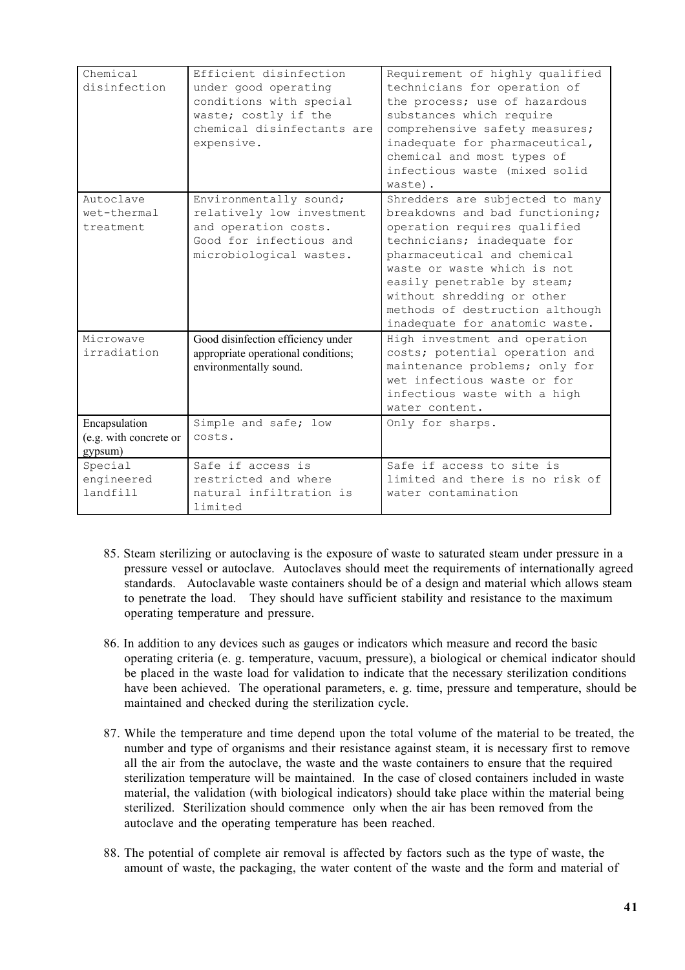| Chemical<br>disinfection                           | Efficient disinfection<br>under good operating<br>conditions with special<br>waste; costly if the<br>chemical disinfectants are<br>expensive. | Requirement of highly qualified<br>technicians for operation of<br>the process; use of hazardous<br>substances which require<br>comprehensive safety measures;<br>inadequate for pharmaceutical,<br>chemical and most types of<br>infectious waste (mixed solid<br>waste).                                                        |
|----------------------------------------------------|-----------------------------------------------------------------------------------------------------------------------------------------------|-----------------------------------------------------------------------------------------------------------------------------------------------------------------------------------------------------------------------------------------------------------------------------------------------------------------------------------|
| Autoclave<br>wet-thermal<br>treatment              | Environmentally sound;<br>relatively low investment<br>and operation costs.<br>Good for infectious and<br>microbiological wastes.             | Shredders are subjected to many<br>breakdowns and bad functioning;<br>operation requires qualified<br>technicians; inadequate for<br>pharmaceutical and chemical<br>waste or waste which is not<br>easily penetrable by steam;<br>without shredding or other<br>methods of destruction although<br>inadequate for anatomic waste. |
| Microwave<br>irradiation                           | Good disinfection efficiency under<br>appropriate operational conditions;<br>environmentally sound.                                           | High investment and operation<br>costs; potential operation and<br>maintenance problems; only for<br>wet infectious waste or for<br>infectious waste with a high<br>water content.                                                                                                                                                |
| Encapsulation<br>(e.g. with concrete or<br>gypsum) | Simple and safe; low<br>costs.                                                                                                                | Only for sharps.                                                                                                                                                                                                                                                                                                                  |
| Special<br>engineered<br>landfill                  | Safe if access is<br>restricted and where<br>natural infiltration is<br>limited                                                               | Safe if access to site is<br>limited and there is no risk of<br>water contamination                                                                                                                                                                                                                                               |

- 85. Steam sterilizing or autoclaving is the exposure of waste to saturated steam under pressure in a pressure vessel or autoclave. Autoclaves should meet the requirements of internationally agreed standards. Autoclavable waste containers should be of a design and material which allows steam to penetrate the load. They should have sufficient stability and resistance to the maximum operating temperature and pressure.
- 86. In addition to any devices such as gauges or indicators which measure and record the basic operating criteria (e. g. temperature, vacuum, pressure), a biological or chemical indicator should be placed in the waste load for validation to indicate that the necessary sterilization conditions have been achieved. The operational parameters, e. g. time, pressure and temperature, should be maintained and checked during the sterilization cycle.
- 87. While the temperature and time depend upon the total volume of the material to be treated, the number and type of organisms and their resistance against steam, it is necessary first to remove all the air from the autoclave, the waste and the waste containers to ensure that the required sterilization temperature will be maintained. In the case of closed containers included in waste material, the validation (with biological indicators) should take place within the material being sterilized. Sterilization should commence only when the air has been removed from the autoclave and the operating temperature has been reached.
- 88. The potential of complete air removal is affected by factors such as the type of waste, the amount of waste, the packaging, the water content of the waste and the form and material of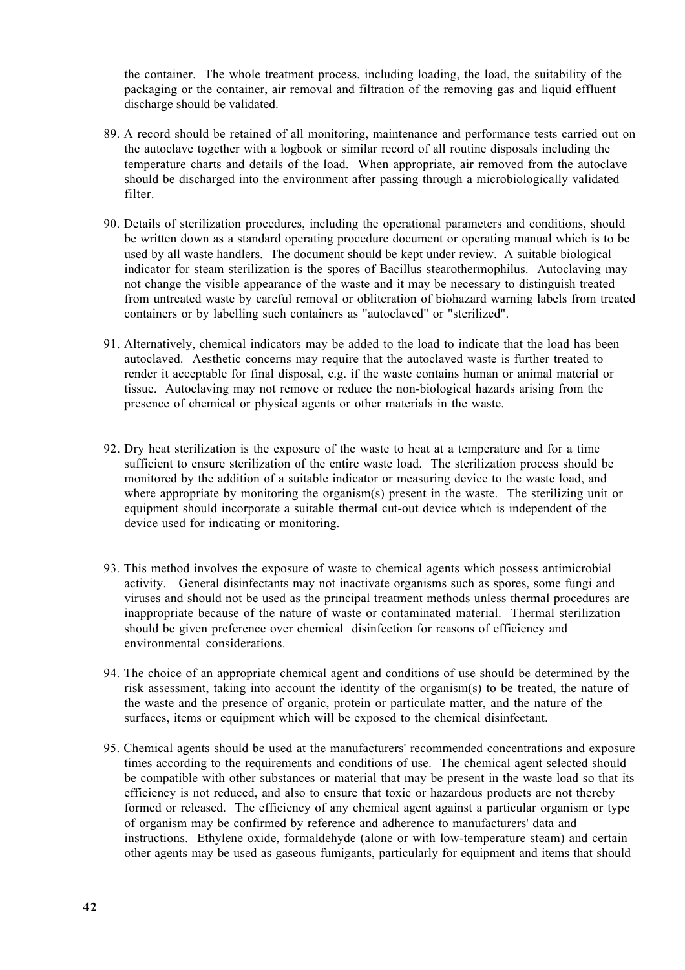the container. The whole treatment process, including loading, the load, the suitability of the packaging or the container, air removal and filtration of the removing gas and liquid effluent discharge should be validated.

- 89. A record should be retained of all monitoring, maintenance and performance tests carried out on the autoclave together with a logbook or similar record of all routine disposals including the temperature charts and details of the load. When appropriate, air removed from the autoclave should be discharged into the environment after passing through a microbiologically validated filter.
- 90. Details of sterilization procedures, including the operational parameters and conditions, should be written down as a standard operating procedure document or operating manual which is to be used by all waste handlers. The document should be kept under review. A suitable biological indicator for steam sterilization is the spores of Bacillus stearothermophilus. Autoclaving may not change the visible appearance of the waste and it may be necessary to distinguish treated from untreated waste by careful removal or obliteration of biohazard warning labels from treated containers or by labelling such containers as "autoclaved" or "sterilized".
- 91. Alternatively, chemical indicators may be added to the load to indicate that the load has been autoclaved. Aesthetic concerns may require that the autoclaved waste is further treated to render it acceptable for final disposal, e.g. if the waste contains human or animal material or tissue. Autoclaving may not remove or reduce the non-biological hazards arising from the presence of chemical or physical agents or other materials in the waste.
- 92. Dry heat sterilization is the exposure of the waste to heat at a temperature and for a time sufficient to ensure sterilization of the entire waste load. The sterilization process should be monitored by the addition of a suitable indicator or measuring device to the waste load, and where appropriate by monitoring the organism(s) present in the waste. The sterilizing unit or equipment should incorporate a suitable thermal cut-out device which is independent of the device used for indicating or monitoring.
- 93. This method involves the exposure of waste to chemical agents which possess antimicrobial activity. General disinfectants may not inactivate organisms such as spores, some fungi and viruses and should not be used as the principal treatment methods unless thermal procedures are inappropriate because of the nature of waste or contaminated material. Thermal sterilization should be given preference over chemical disinfection for reasons of efficiency and environmental considerations.
- 94. The choice of an appropriate chemical agent and conditions of use should be determined by the risk assessment, taking into account the identity of the organism(s) to be treated, the nature of the waste and the presence of organic, protein or particulate matter, and the nature of the surfaces, items or equipment which will be exposed to the chemical disinfectant.
- 95. Chemical agents should be used at the manufacturers' recommended concentrations and exposure times according to the requirements and conditions of use. The chemical agent selected should be compatible with other substances or material that may be present in the waste load so that its efficiency is not reduced, and also to ensure that toxic or hazardous products are not thereby formed or released. The efficiency of any chemical agent against a particular organism or type of organism may be confirmed by reference and adherence to manufacturers' data and instructions. Ethylene oxide, formaldehyde (alone or with low-temperature steam) and certain other agents may be used as gaseous fumigants, particularly for equipment and items that should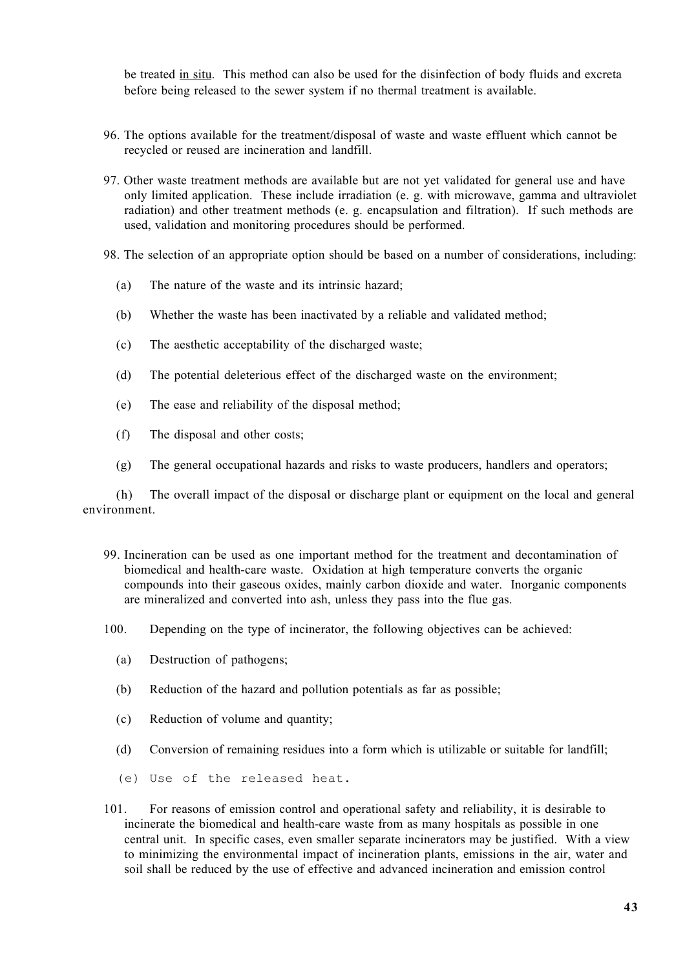be treated in situ. This method can also be used for the disinfection of body fluids and excreta before being released to the sewer system if no thermal treatment is available.

- 96. The options available for the treatment/disposal of waste and waste effluent which cannot be recycled or reused are incineration and landfill.
- 97. Other waste treatment methods are available but are not yet validated for general use and have only limited application. These include irradiation (e. g. with microwave, gamma and ultraviolet radiation) and other treatment methods (e. g. encapsulation and filtration). If such methods are used, validation and monitoring procedures should be performed.
- 98. The selection of an appropriate option should be based on a number of considerations, including:
	- (a) The nature of the waste and its intrinsic hazard;
	- (b) Whether the waste has been inactivated by a reliable and validated method;
	- (c) The aesthetic acceptability of the discharged waste;
	- (d) The potential deleterious effect of the discharged waste on the environment;
	- (e) The ease and reliability of the disposal method;
	- (f) The disposal and other costs;
	- (g) The general occupational hazards and risks to waste producers, handlers and operators;

(h) The overall impact of the disposal or discharge plant or equipment on the local and general environment.

- 99. Incineration can be used as one important method for the treatment and decontamination of biomedical and health-care waste. Oxidation at high temperature converts the organic compounds into their gaseous oxides, mainly carbon dioxide and water. Inorganic components are mineralized and converted into ash, unless they pass into the flue gas.
- 100. Depending on the type of incinerator, the following objectives can be achieved:
	- (a) Destruction of pathogens;
	- (b) Reduction of the hazard and pollution potentials as far as possible;
	- (c) Reduction of volume and quantity;
	- (d) Conversion of remaining residues into a form which is utilizable or suitable for landfill;
	- (e) Use of the released heat.

101. For reasons of emission control and operational safety and reliability, it is desirable to incinerate the biomedical and health-care waste from as many hospitals as possible in one central unit. In specific cases, even smaller separate incinerators may be justified. With a view to minimizing the environmental impact of incineration plants, emissions in the air, water and soil shall be reduced by the use of effective and advanced incineration and emission control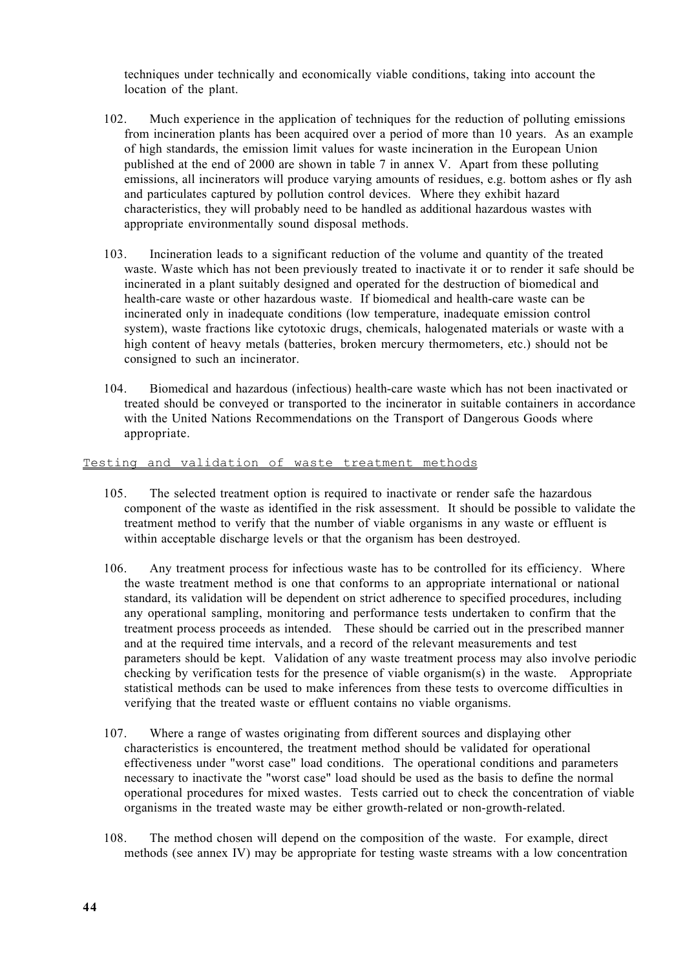techniques under technically and economically viable conditions, taking into account the location of the plant.

- 102. Much experience in the application of techniques for the reduction of polluting emissions from incineration plants has been acquired over a period of more than 10 years. As an example of high standards, the emission limit values for waste incineration in the European Union published at the end of 2000 are shown in table 7 in annex V. Apart from these polluting emissions, all incinerators will produce varying amounts of residues, e.g. bottom ashes or fly ash and particulates captured by pollution control devices. Where they exhibit hazard characteristics, they will probably need to be handled as additional hazardous wastes with appropriate environmentally sound disposal methods.
- 103. Incineration leads to a significant reduction of the volume and quantity of the treated waste. Waste which has not been previously treated to inactivate it or to render it safe should be incinerated in a plant suitably designed and operated for the destruction of biomedical and health-care waste or other hazardous waste. If biomedical and health-care waste can be incinerated only in inadequate conditions (low temperature, inadequate emission control system), waste fractions like cytotoxic drugs, chemicals, halogenated materials or waste with a high content of heavy metals (batteries, broken mercury thermometers, etc.) should not be consigned to such an incinerator.
- 104. Biomedical and hazardous (infectious) health-care waste which has not been inactivated or treated should be conveyed or transported to the incinerator in suitable containers in accordance with the United Nations Recommendations on the Transport of Dangerous Goods where appropriate.

# Testing and validation of waste treatment methods

- 105. The selected treatment option is required to inactivate or render safe the hazardous component of the waste as identified in the risk assessment. It should be possible to validate the treatment method to verify that the number of viable organisms in any waste or effluent is within acceptable discharge levels or that the organism has been destroyed.
- 106. Any treatment process for infectious waste has to be controlled for its efficiency. Where the waste treatment method is one that conforms to an appropriate international or national standard, its validation will be dependent on strict adherence to specified procedures, including any operational sampling, monitoring and performance tests undertaken to confirm that the treatment process proceeds as intended. These should be carried out in the prescribed manner and at the required time intervals, and a record of the relevant measurements and test parameters should be kept. Validation of any waste treatment process may also involve periodic checking by verification tests for the presence of viable organism(s) in the waste. Appropriate statistical methods can be used to make inferences from these tests to overcome difficulties in verifying that the treated waste or effluent contains no viable organisms.
- 107. Where a range of wastes originating from different sources and displaying other characteristics is encountered, the treatment method should be validated for operational effectiveness under "worst case" load conditions. The operational conditions and parameters necessary to inactivate the "worst case" load should be used as the basis to define the normal operational procedures for mixed wastes. Tests carried out to check the concentration of viable organisms in the treated waste may be either growth-related or non-growth-related.
- 108. The method chosen will depend on the composition of the waste. For example, direct methods (see annex IV) may be appropriate for testing waste streams with a low concentration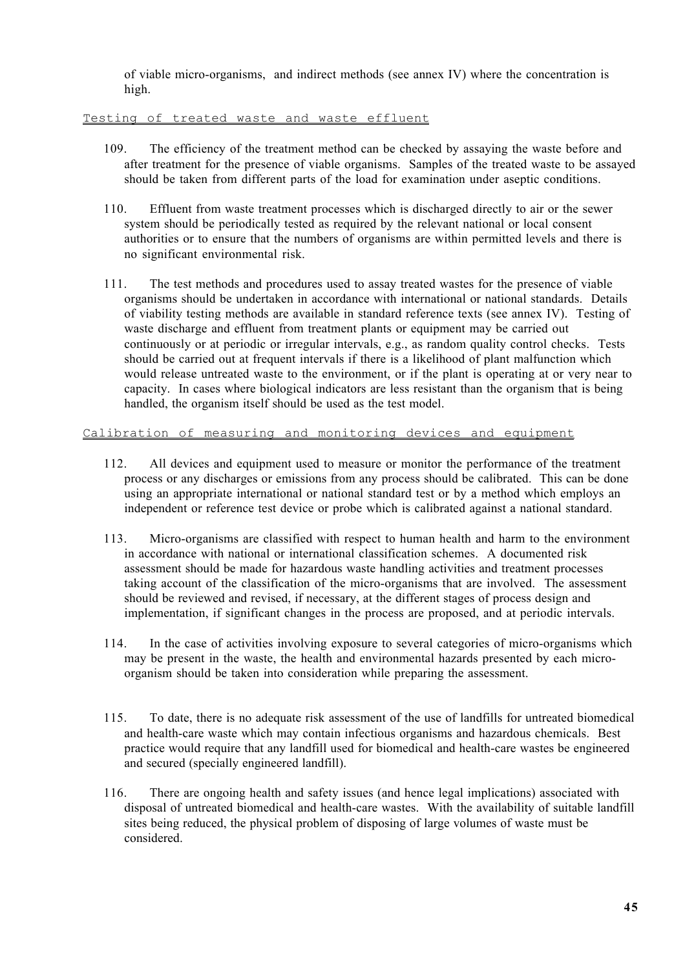of viable micro-organisms, and indirect methods (see annex IV) where the concentration is high.

## Testing of treated waste and waste effluent

- 109. The efficiency of the treatment method can be checked by assaying the waste before and after treatment for the presence of viable organisms. Samples of the treated waste to be assayed should be taken from different parts of the load for examination under aseptic conditions.
- 110. Effluent from waste treatment processes which is discharged directly to air or the sewer system should be periodically tested as required by the relevant national or local consent authorities or to ensure that the numbers of organisms are within permitted levels and there is no significant environmental risk.
- 111. The test methods and procedures used to assay treated wastes for the presence of viable organisms should be undertaken in accordance with international or national standards. Details of viability testing methods are available in standard reference texts (see annex IV). Testing of waste discharge and effluent from treatment plants or equipment may be carried out continuously or at periodic or irregular intervals, e.g., as random quality control checks. Tests should be carried out at frequent intervals if there is a likelihood of plant malfunction which would release untreated waste to the environment, or if the plant is operating at or very near to capacity. In cases where biological indicators are less resistant than the organism that is being handled, the organism itself should be used as the test model.

### Calibration of measuring and monitoring devices and equipment

- 112. All devices and equipment used to measure or monitor the performance of the treatment process or any discharges or emissions from any process should be calibrated. This can be done using an appropriate international or national standard test or by a method which employs an independent or reference test device or probe which is calibrated against a national standard.
- 113. Micro-organisms are classified with respect to human health and harm to the environment in accordance with national or international classification schemes. A documented risk assessment should be made for hazardous waste handling activities and treatment processes taking account of the classification of the micro-organisms that are involved. The assessment should be reviewed and revised, if necessary, at the different stages of process design and implementation, if significant changes in the process are proposed, and at periodic intervals.
- 114. In the case of activities involving exposure to several categories of micro-organisms which may be present in the waste, the health and environmental hazards presented by each microorganism should be taken into consideration while preparing the assessment.
- 115. To date, there is no adequate risk assessment of the use of landfills for untreated biomedical and health-care waste which may contain infectious organisms and hazardous chemicals. Best practice would require that any landfill used for biomedical and health-care wastes be engineered and secured (specially engineered landfill).
- 116. There are ongoing health and safety issues (and hence legal implications) associated with disposal of untreated biomedical and health-care wastes. With the availability of suitable landfill sites being reduced, the physical problem of disposing of large volumes of waste must be considered.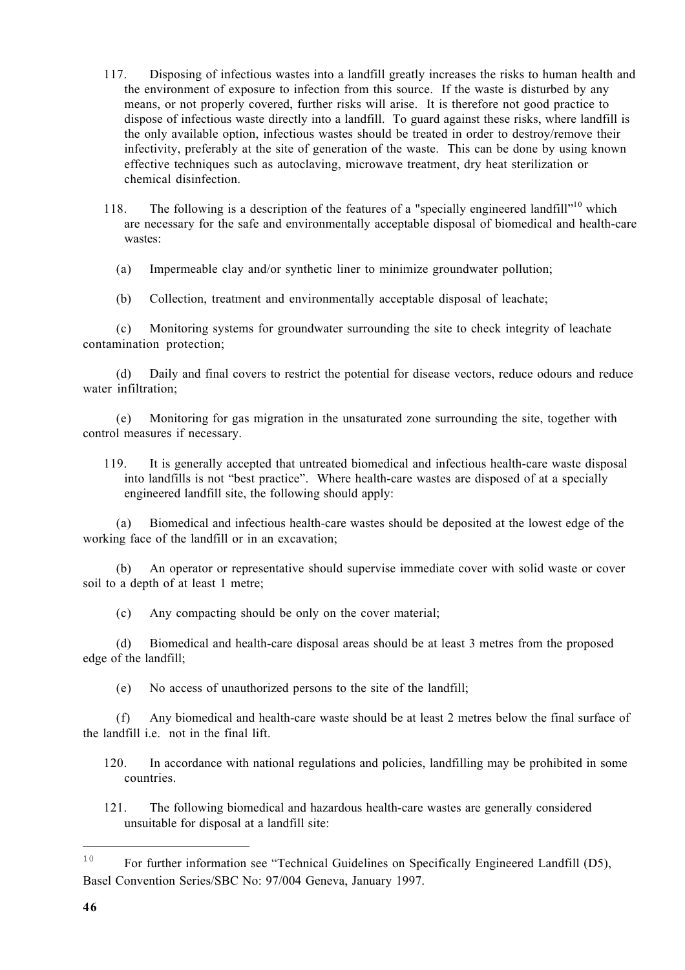- 117. Disposing of infectious wastes into a landfill greatly increases the risks to human health and the environment of exposure to infection from this source. If the waste is disturbed by any means, or not properly covered, further risks will arise. It is therefore not good practice to dispose of infectious waste directly into a landfill. To guard against these risks, where landfill is the only available option, infectious wastes should be treated in order to destroy/remove their infectivity, preferably at the site of generation of the waste. This can be done by using known effective techniques such as autoclaving, microwave treatment, dry heat sterilization or chemical disinfection.
- 118. The following is a description of the features of a "specially engineered landfill"<sup>10</sup> which are necessary for the safe and environmentally acceptable disposal of biomedical and health-care wastes:

(a) Impermeable clay and/or synthetic liner to minimize groundwater pollution;

(b) Collection, treatment and environmentally acceptable disposal of leachate;

(c) Monitoring systems for groundwater surrounding the site to check integrity of leachate contamination protection;

(d) Daily and final covers to restrict the potential for disease vectors, reduce odours and reduce water infiltration;

(e) Monitoring for gas migration in the unsaturated zone surrounding the site, together with control measures if necessary.

119. It is generally accepted that untreated biomedical and infectious health-care waste disposal into landfills is not "best practice". Where health-care wastes are disposed of at a specially engineered landfill site, the following should apply:

(a) Biomedical and infectious health-care wastes should be deposited at the lowest edge of the working face of the landfill or in an excavation;

(b) An operator or representative should supervise immediate cover with solid waste or cover soil to a depth of at least 1 metre;

(c) Any compacting should be only on the cover material;

(d) Biomedical and health-care disposal areas should be at least 3 metres from the proposed edge of the landfill;

(e) No access of unauthorized persons to the site of the landfill;

(f) Any biomedical and health-care waste should be at least 2 metres below the final surface of the landfill i.e. not in the final lift.

120. In accordance with national regulations and policies, landfilling may be prohibited in some countries.

121. The following biomedical and hazardous health-care wastes are generally considered unsuitable for disposal at a landfill site:

L.

<sup>&</sup>lt;sup>10</sup> For further information see "Technical Guidelines on Specifically Engineered Landfill (D5), Basel Convention Series/SBC No: 97/004 Geneva, January 1997.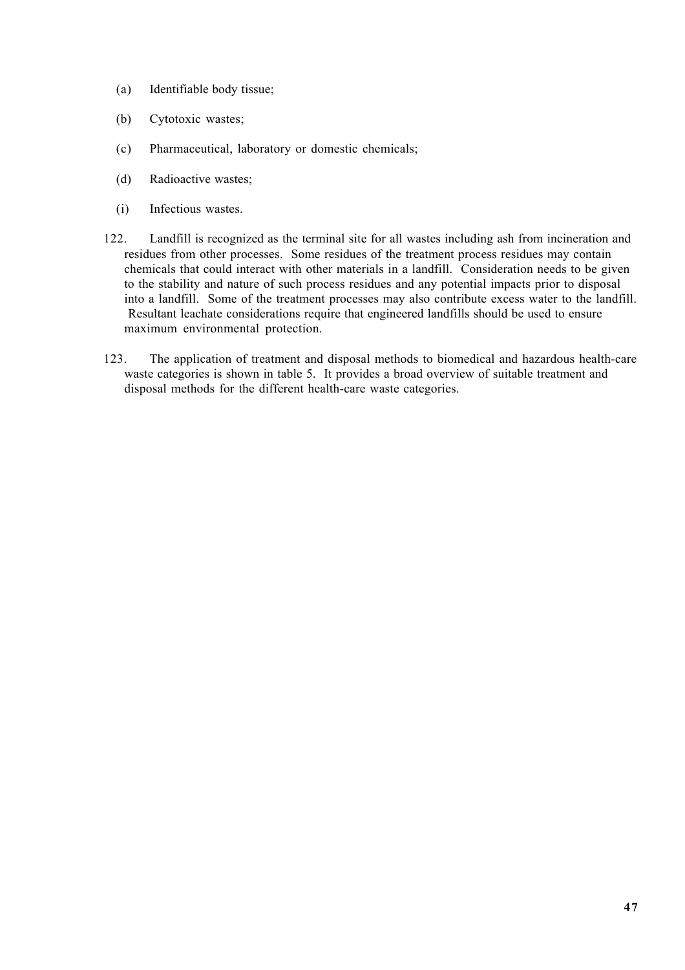- (a) Identifiable body tissue;
- (b) Cytotoxic wastes;
- (c) Pharmaceutical, laboratory or domestic chemicals;
- (d) Radioactive wastes;
- (i) Infectious wastes.
- 122. Landfill is recognized as the terminal site for all wastes including ash from incineration and residues from other processes. Some residues of the treatment process residues may contain chemicals that could interact with other materials in a landfill. Consideration needs to be given to the stability and nature of such process residues and any potential impacts prior to disposal into a landfill. Some of the treatment processes may also contribute excess water to the landfill. Resultant leachate considerations require that engineered landfills should be used to ensure maximum environmental protection.
- 123. The application of treatment and disposal methods to biomedical and hazardous health-care waste categories is shown in table 5. It provides a broad overview of suitable treatment and disposal methods for the different health-care waste categories.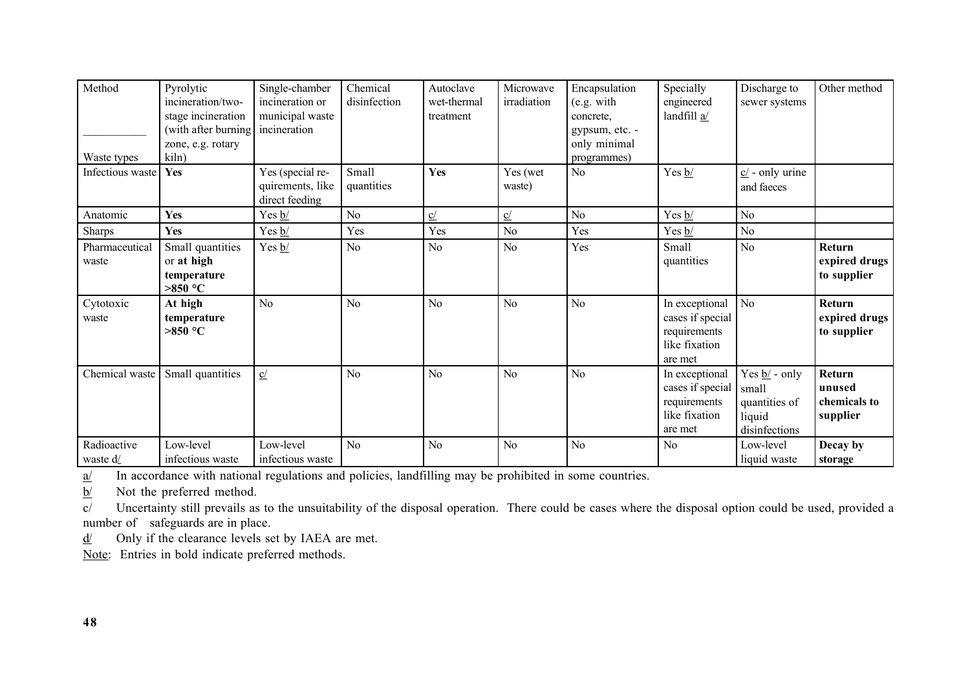| Method<br>Waste types   | Pyrolytic<br>incineration/two-<br>stage incineration<br>(with after burning<br>zone, e.g. rotary<br>kiln) | Single-chamber<br>incineration or<br>municipal waste<br>incineration | Chemical<br>disinfection | Autoclave<br>wet-thermal<br>treatment | Microwave<br>irradiation | Encapsulation<br>(e.g. with<br>concrete.<br>gypsum, etc. -<br>only minimal<br>programmes) | Specially<br>engineered<br>landfill a/                                         | Discharge to<br>sewer systems                                                    | Other method                                 |
|-------------------------|-----------------------------------------------------------------------------------------------------------|----------------------------------------------------------------------|--------------------------|---------------------------------------|--------------------------|-------------------------------------------------------------------------------------------|--------------------------------------------------------------------------------|----------------------------------------------------------------------------------|----------------------------------------------|
| Infectious waste        | Yes                                                                                                       | Yes (special re-<br>quirements, like<br>direct feeding               | Small<br>quantities      | Yes                                   | Yes (wet<br>waste)       | No                                                                                        | Yes $b/$                                                                       | $c/$ - only urine<br>and faeces                                                  |                                              |
| Anatomic                | Yes                                                                                                       | Yes $\underline{b}$ /                                                | N <sub>0</sub>           | $\underline{c}$                       | $\underline{\mathbf{C}}$ | N <sub>0</sub>                                                                            | Yes $\underline{b}$ /                                                          | N <sub>o</sub>                                                                   |                                              |
| <b>Sharps</b>           | Yes                                                                                                       | Yes $\underline{b}$ /                                                | Yes                      | Yes                                   | N <sub>o</sub>           | Yes                                                                                       | Yes $b/$                                                                       | No                                                                               |                                              |
| Pharmaceutical<br>waste | Small quantities<br>or at high<br>temperature<br>$>850$ °C                                                | Yes $\underline{b}$ /                                                | N <sub>o</sub>           | N <sub>o</sub>                        | No                       | Yes                                                                                       | Small<br>quantities                                                            | N <sub>o</sub>                                                                   | Return<br>expired drugs<br>to supplier       |
| Cytotoxic<br>waste      | At high<br>temperature<br>$>850$ °C                                                                       | No                                                                   | N <sub>o</sub>           | N <sub>o</sub>                        | N <sub>o</sub>           | N <sub>o</sub>                                                                            | In exceptional<br>cases if special<br>requirements<br>like fixation<br>are met | No                                                                               | Return<br>expired drugs<br>to supplier       |
| Chemical waste          | Small quantities                                                                                          | C/                                                                   | No                       | N <sub>o</sub>                        | N <sub>o</sub>           | N <sub>o</sub>                                                                            | In exceptional<br>cases if special<br>requirements<br>like fixation<br>are met | Yes $\underline{b}/$ - only<br>small<br>quantities of<br>liquid<br>disinfections | Return<br>unused<br>chemicals to<br>supplier |
| Radioactive<br>waste d/ | Low-level<br>infectious waste                                                                             | Low-level<br>infectious waste                                        | N <sub>o</sub>           | N <sub>o</sub>                        | N <sub>o</sub>           | N <sub>o</sub>                                                                            | N <sub>0</sub>                                                                 | Low-level<br>liquid waste                                                        | Decay by<br>storage                          |

a/ In accordance with national regulations and policies, landfilling may be prohibited in some countries.

 $b/$  Not the preferred method.

c/ Uncertainty still prevails as to the unsuitability of the disposal operation. There could be cases where the disposal option could be used, provided a number of safeguards are in place.

 $\frac{d}{ }$  Only if the clearance levels set by IAEA are met.

Note: Entries in bold indicate preferred methods.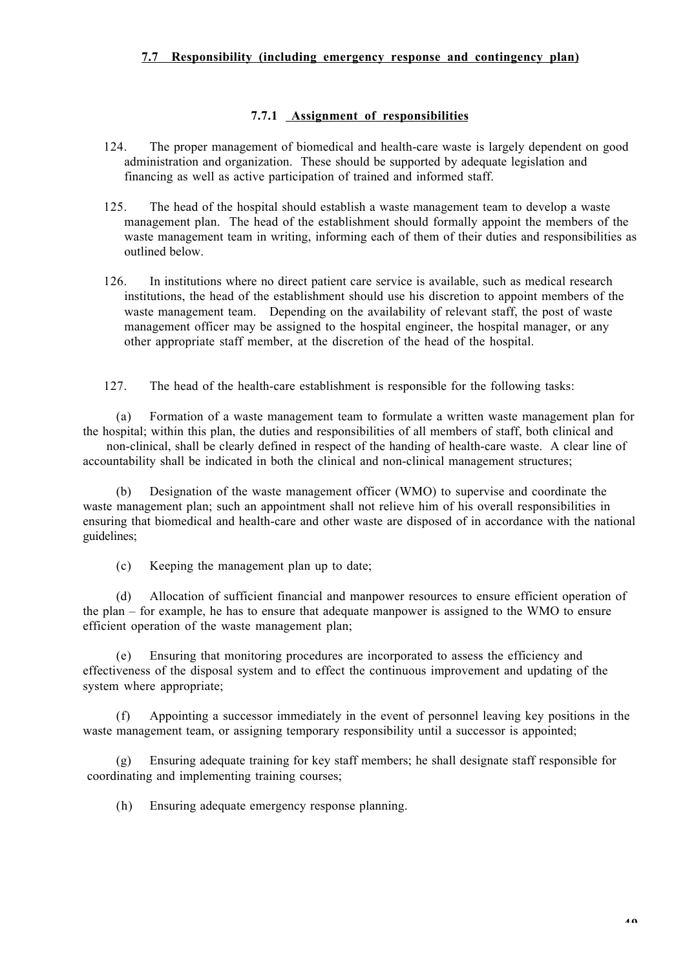# **7.7 Responsibility (including emergency response and contingency plan)**

## **7.7.1 Assignment of responsibilities**

- 124. The proper management of biomedical and health-care waste is largely dependent on good administration and organization. These should be supported by adequate legislation and financing as well as active participation of trained and informed staff.
- 125. The head of the hospital should establish a waste management team to develop a waste management plan. The head of the establishment should formally appoint the members of the waste management team in writing, informing each of them of their duties and responsibilities as outlined below.
- 126. In institutions where no direct patient care service is available, such as medical research institutions, the head of the establishment should use his discretion to appoint members of the waste management team. Depending on the availability of relevant staff, the post of waste management officer may be assigned to the hospital engineer, the hospital manager, or any other appropriate staff member, at the discretion of the head of the hospital.

127. The head of the health-care establishment is responsible for the following tasks:

(a) Formation of a waste management team to formulate a written waste management plan for the hospital; within this plan, the duties and responsibilities of all members of staff, both clinical and non-clinical, shall be clearly defined in respect of the handing of health-care waste. A clear line of

accountability shall be indicated in both the clinical and non-clinical management structures;

(b) Designation of the waste management officer (WMO) to supervise and coordinate the waste management plan; such an appointment shall not relieve him of his overall responsibilities in ensuring that biomedical and health-care and other waste are disposed of in accordance with the national guidelines;

(c) Keeping the management plan up to date;

(d) Allocation of sufficient financial and manpower resources to ensure efficient operation of the plan – for example, he has to ensure that adequate manpower is assigned to the WMO to ensure efficient operation of the waste management plan;

Ensuring that monitoring procedures are incorporated to assess the efficiency and effectiveness of the disposal system and to effect the continuous improvement and updating of the system where appropriate;

(f) Appointing a successor immediately in the event of personnel leaving key positions in the waste management team, or assigning temporary responsibility until a successor is appointed;

(g) Ensuring adequate training for key staff members; he shall designate staff responsible for coordinating and implementing training courses;

(h) Ensuring adequate emergency response planning.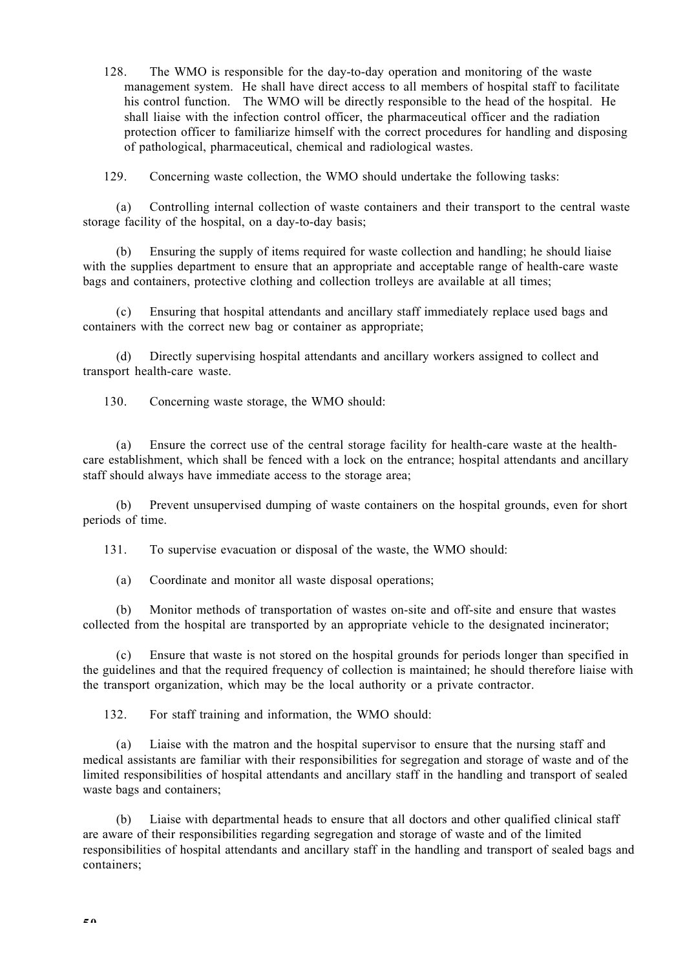128. The WMO is responsible for the day-to-day operation and monitoring of the waste management system. He shall have direct access to all members of hospital staff to facilitate his control function. The WMO will be directly responsible to the head of the hospital. He shall liaise with the infection control officer, the pharmaceutical officer and the radiation protection officer to familiarize himself with the correct procedures for handling and disposing of pathological, pharmaceutical, chemical and radiological wastes.

129. Concerning waste collection, the WMO should undertake the following tasks:

(a) Controlling internal collection of waste containers and their transport to the central waste storage facility of the hospital, on a day-to-day basis;

(b) Ensuring the supply of items required for waste collection and handling; he should liaise with the supplies department to ensure that an appropriate and acceptable range of health-care waste bags and containers, protective clothing and collection trolleys are available at all times;

(c) Ensuring that hospital attendants and ancillary staff immediately replace used bags and containers with the correct new bag or container as appropriate;

(d) Directly supervising hospital attendants and ancillary workers assigned to collect and transport health-care waste.

130. Concerning waste storage, the WMO should:

(a) Ensure the correct use of the central storage facility for health-care waste at the healthcare establishment, which shall be fenced with a lock on the entrance; hospital attendants and ancillary staff should always have immediate access to the storage area;

(b) Prevent unsupervised dumping of waste containers on the hospital grounds, even for short periods of time.

131. To supervise evacuation or disposal of the waste, the WMO should:

(a) Coordinate and monitor all waste disposal operations;

(b) Monitor methods of transportation of wastes on-site and off-site and ensure that wastes collected from the hospital are transported by an appropriate vehicle to the designated incinerator;

(c) Ensure that waste is not stored on the hospital grounds for periods longer than specified in the guidelines and that the required frequency of collection is maintained; he should therefore liaise with the transport organization, which may be the local authority or a private contractor.

132. For staff training and information, the WMO should:

(a) Liaise with the matron and the hospital supervisor to ensure that the nursing staff and medical assistants are familiar with their responsibilities for segregation and storage of waste and of the limited responsibilities of hospital attendants and ancillary staff in the handling and transport of sealed waste bags and containers;

(b) Liaise with departmental heads to ensure that all doctors and other qualified clinical staff are aware of their responsibilities regarding segregation and storage of waste and of the limited responsibilities of hospital attendants and ancillary staff in the handling and transport of sealed bags and containers;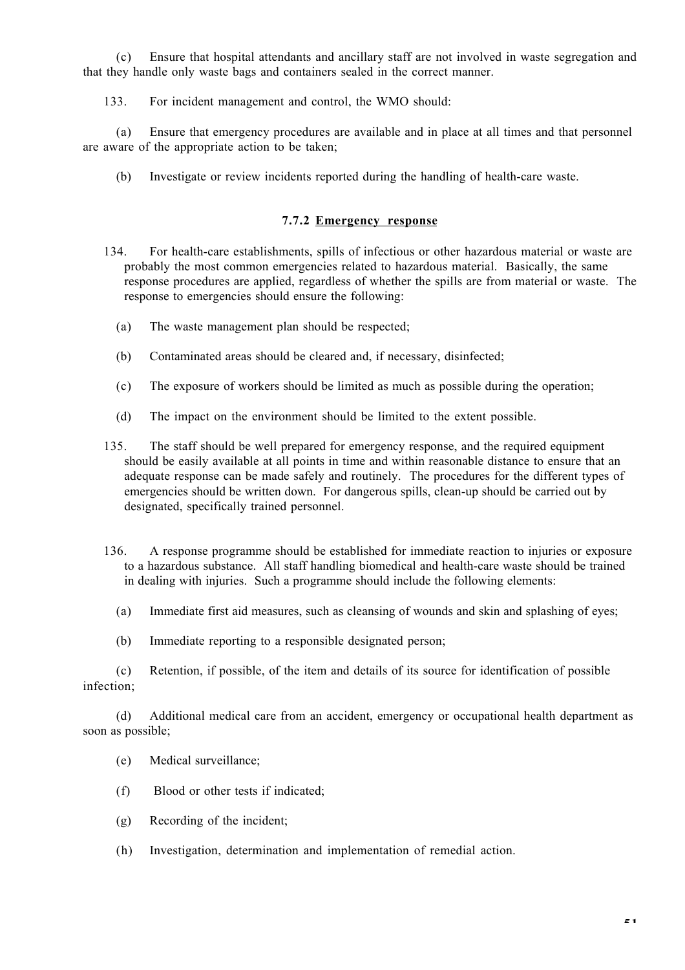(c) Ensure that hospital attendants and ancillary staff are not involved in waste segregation and that they handle only waste bags and containers sealed in the correct manner.

133. For incident management and control, the WMO should:

(a) Ensure that emergency procedures are available and in place at all times and that personnel are aware of the appropriate action to be taken;

(b) Investigate or review incidents reported during the handling of health-care waste.

# **7.7.2 Emergency response**

- 134. For health-care establishments, spills of infectious or other hazardous material or waste are probably the most common emergencies related to hazardous material. Basically, the same response procedures are applied, regardless of whether the spills are from material or waste. The response to emergencies should ensure the following:
	- (a) The waste management plan should be respected;
	- (b) Contaminated areas should be cleared and, if necessary, disinfected;
	- (c) The exposure of workers should be limited as much as possible during the operation;
	- (d) The impact on the environment should be limited to the extent possible.
- 135. The staff should be well prepared for emergency response, and the required equipment should be easily available at all points in time and within reasonable distance to ensure that an adequate response can be made safely and routinely. The procedures for the different types of emergencies should be written down. For dangerous spills, clean-up should be carried out by designated, specifically trained personnel.
- 136. A response programme should be established for immediate reaction to injuries or exposure to a hazardous substance. All staff handling biomedical and health-care waste should be trained in dealing with injuries. Such a programme should include the following elements:
	- (a) Immediate first aid measures, such as cleansing of wounds and skin and splashing of eyes;
	- (b) Immediate reporting to a responsible designated person;

(c) Retention, if possible, of the item and details of its source for identification of possible infection;

(d) Additional medical care from an accident, emergency or occupational health department as soon as possible;

- (e) Medical surveillance;
- (f) Blood or other tests if indicated;
- (g) Recording of the incident;
- (h) Investigation, determination and implementation of remedial action.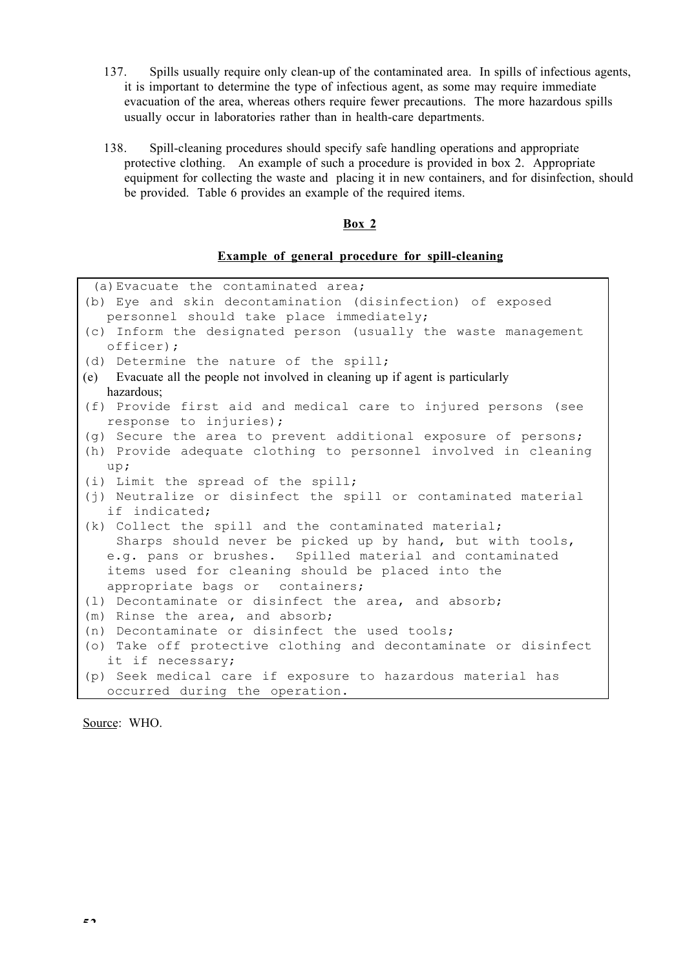- 137. Spills usually require only clean-up of the contaminated area. In spills of infectious agents, it is important to determine the type of infectious agent, as some may require immediate evacuation of the area, whereas others require fewer precautions. The more hazardous spills usually occur in laboratories rather than in health-care departments.
- 138. Spill-cleaning procedures should specify safe handling operations and appropriate protective clothing. An example of such a procedure is provided in box 2. Appropriate equipment for collecting the waste and placing it in new containers, and for disinfection, should be provided. Table 6 provides an example of the required items.

## **Box 2**

## **Example of general procedure for spill-cleaning**

| (a) Evacuate the contaminated area;                                              |
|----------------------------------------------------------------------------------|
| (b) Eye and skin decontamination (disinfection) of exposed                       |
| personnel should take place immediately;                                         |
| (c) Inform the designated person (usually the waste management                   |
| officer);                                                                        |
| (d) Determine the nature of the spill;                                           |
| (e) Evacuate all the people not involved in cleaning up if agent is particularly |
| hazardous;                                                                       |
| (f) Provide first aid and medical care to injured persons (see                   |
| response to injuries);                                                           |
| (g) Secure the area to prevent additional exposure of persons;                   |
| (h) Provide adequate clothing to personnel involved in cleaning                  |
| up;                                                                              |
| (i) Limit the spread of the spill;                                               |
| (j) Neutralize or disinfect the spill or contaminated material                   |
| if indicated;                                                                    |
| (k) Collect the spill and the contaminated material;                             |
| Sharps should never be picked up by hand, but with tools,                        |
| e.g. pans or brushes. Spilled material and contaminated                          |
| items used for cleaning should be placed into the                                |
| appropriate bags or containers;                                                  |
| (1) Decontaminate or disinfect the area, and absorb;                             |
| (m) Rinse the area, and absorb;                                                  |
| (n) Decontaminate or disinfect the used tools;                                   |
| (o) Take off protective clothing and decontaminate or disinfect                  |
| it if necessary;                                                                 |
| (p) Seek medical care if exposure to hazardous material has                      |
| occurred during the operation.                                                   |
|                                                                                  |

Source: WHO.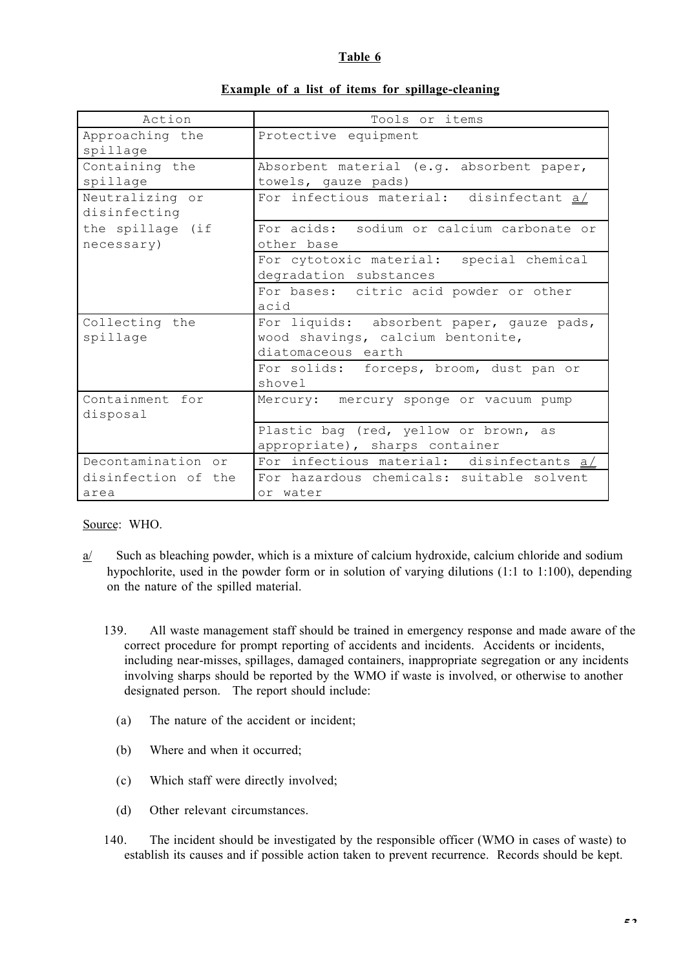# **Table 6**

| Action                          | Tools or items                                                                                       |
|---------------------------------|------------------------------------------------------------------------------------------------------|
| Approaching the<br>spillage     | Protective equipment                                                                                 |
| Containing the<br>spillage      | Absorbent material (e.g. absorbent paper,<br>towels, gauze pads)                                     |
| Neutralizing or<br>disinfecting | For infectious material: disinfectant a/                                                             |
| the spillage (if<br>necessary)  | For acids: sodium or calcium carbonate or<br>other base                                              |
|                                 | For cytotoxic material: special chemical<br>degradation substances                                   |
|                                 | For bases: citric acid powder or other<br>acid                                                       |
| Collecting the<br>spillage      | For liquids: absorbent paper, gauze pads,<br>wood shavings, calcium bentonite,<br>diatomaceous earth |
|                                 | For solids: forceps, broom, dust pan or<br>shovel                                                    |
| Containment for<br>disposal     | Mercury: mercury sponge or vacuum pump                                                               |
|                                 | Plastic bag (red, yellow or brown, as<br>appropriate), sharps container                              |
| Decontamination or              | For infectious material: disinfectants a/                                                            |
| disinfection of the<br>area     | For hazardous chemicals: suitable solvent<br>or water                                                |

# **Example of a list of items for spillage-cleaning**

Source: WHO.

- a/ Such as bleaching powder, which is a mixture of calcium hydroxide, calcium chloride and sodium hypochlorite, used in the powder form or in solution of varying dilutions (1:1 to 1:100), depending on the nature of the spilled material.
	- 139. All waste management staff should be trained in emergency response and made aware of the correct procedure for prompt reporting of accidents and incidents. Accidents or incidents, including near-misses, spillages, damaged containers, inappropriate segregation or any incidents involving sharps should be reported by the WMO if waste is involved, or otherwise to another designated person. The report should include:
		- (a) The nature of the accident or incident;
		- (b) Where and when it occurred;
		- (c) Which staff were directly involved;
		- (d) Other relevant circumstances.
	- 140. The incident should be investigated by the responsible officer (WMO in cases of waste) to establish its causes and if possible action taken to prevent recurrence. Records should be kept.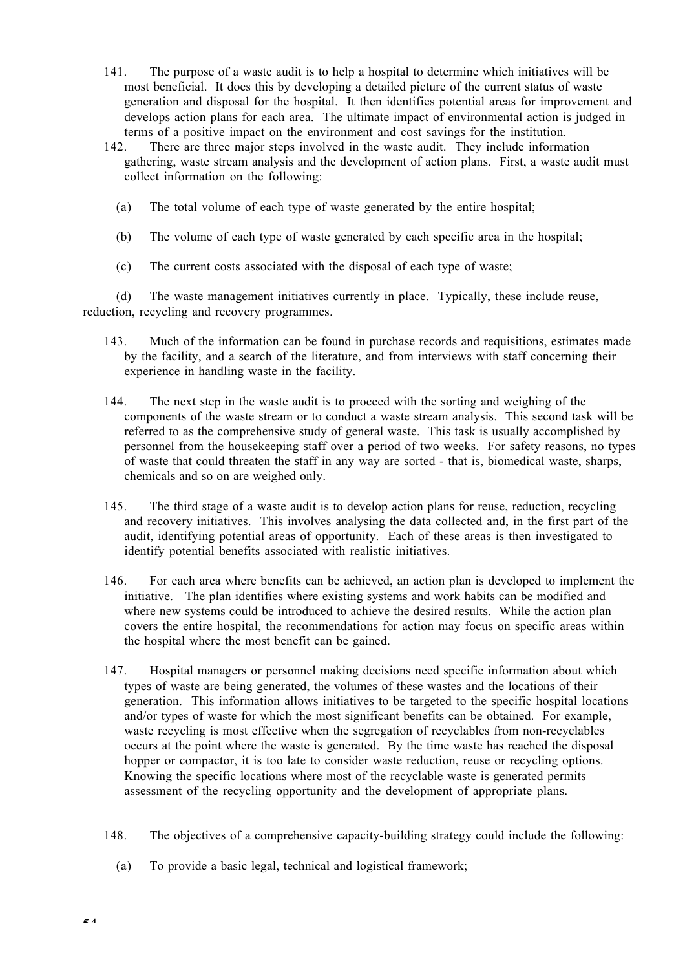- 141. The purpose of a waste audit is to help a hospital to determine which initiatives will be most beneficial. It does this by developing a detailed picture of the current status of waste generation and disposal for the hospital. It then identifies potential areas for improvement and develops action plans for each area. The ultimate impact of environmental action is judged in terms of a positive impact on the environment and cost savings for the institution.
- 142. There are three major steps involved in the waste audit. They include information gathering, waste stream analysis and the development of action plans. First, a waste audit must collect information on the following:
	- (a) The total volume of each type of waste generated by the entire hospital;
	- (b) The volume of each type of waste generated by each specific area in the hospital;
	- (c) The current costs associated with the disposal of each type of waste;

(d) The waste management initiatives currently in place. Typically, these include reuse, reduction, recycling and recovery programmes.

- 143. Much of the information can be found in purchase records and requisitions, estimates made by the facility, and a search of the literature, and from interviews with staff concerning their experience in handling waste in the facility.
- 144. The next step in the waste audit is to proceed with the sorting and weighing of the components of the waste stream or to conduct a waste stream analysis. This second task will be referred to as the comprehensive study of general waste. This task is usually accomplished by personnel from the housekeeping staff over a period of two weeks. For safety reasons, no types of waste that could threaten the staff in any way are sorted - that is, biomedical waste, sharps, chemicals and so on are weighed only.
- 145. The third stage of a waste audit is to develop action plans for reuse, reduction, recycling and recovery initiatives. This involves analysing the data collected and, in the first part of the audit, identifying potential areas of opportunity. Each of these areas is then investigated to identify potential benefits associated with realistic initiatives.
- 146. For each area where benefits can be achieved, an action plan is developed to implement the initiative. The plan identifies where existing systems and work habits can be modified and where new systems could be introduced to achieve the desired results. While the action plan covers the entire hospital, the recommendations for action may focus on specific areas within the hospital where the most benefit can be gained.
- 147. Hospital managers or personnel making decisions need specific information about which types of waste are being generated, the volumes of these wastes and the locations of their generation. This information allows initiatives to be targeted to the specific hospital locations and/or types of waste for which the most significant benefits can be obtained. For example, waste recycling is most effective when the segregation of recyclables from non-recyclables occurs at the point where the waste is generated. By the time waste has reached the disposal hopper or compactor, it is too late to consider waste reduction, reuse or recycling options. Knowing the specific locations where most of the recyclable waste is generated permits assessment of the recycling opportunity and the development of appropriate plans.
- 148. The objectives of a comprehensive capacity-building strategy could include the following:
	- (a) To provide a basic legal, technical and logistical framework;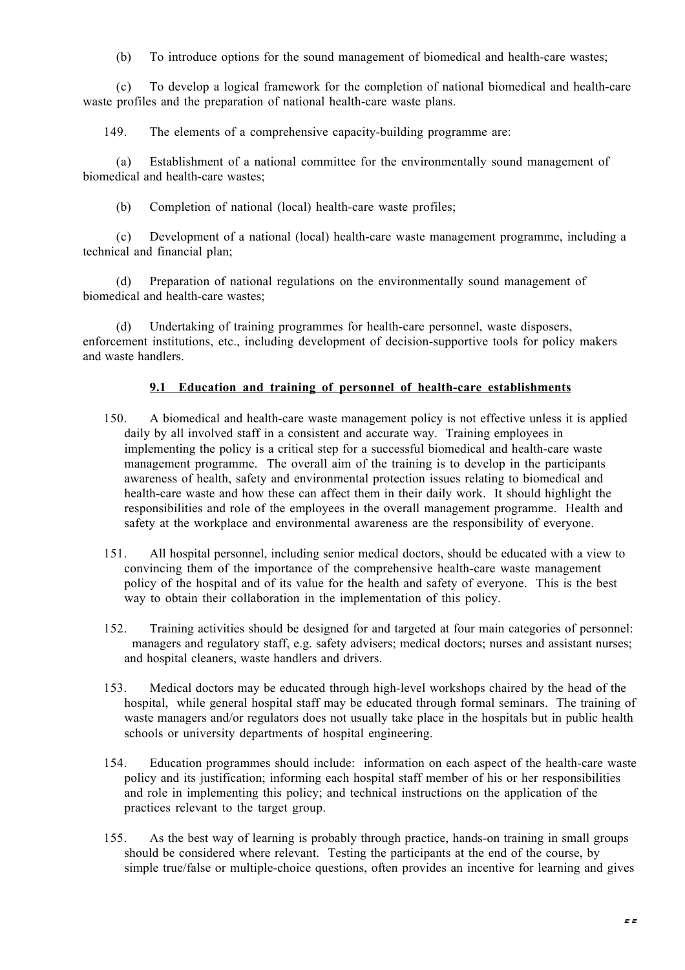(b) To introduce options for the sound management of biomedical and health-care wastes;

(c) To develop a logical framework for the completion of national biomedical and health-care waste profiles and the preparation of national health-care waste plans.

149. The elements of a comprehensive capacity-building programme are:

(a) Establishment of a national committee for the environmentally sound management of biomedical and health-care wastes;

(b) Completion of national (local) health-care waste profiles;

(c) Development of a national (local) health-care waste management programme, including a technical and financial plan;

(d) Preparation of national regulations on the environmentally sound management of biomedical and health-care wastes;

(d) Undertaking of training programmes for health-care personnel, waste disposers, enforcement institutions, etc., including development of decision-supportive tools for policy makers and waste handlers.

# **9.1 Education and training of personnel of health-care establishments**

- 150. A biomedical and health-care waste management policy is not effective unless it is applied daily by all involved staff in a consistent and accurate way. Training employees in implementing the policy is a critical step for a successful biomedical and health-care waste management programme. The overall aim of the training is to develop in the participants awareness of health, safety and environmental protection issues relating to biomedical and health-care waste and how these can affect them in their daily work. It should highlight the responsibilities and role of the employees in the overall management programme. Health and safety at the workplace and environmental awareness are the responsibility of everyone.
- 151. All hospital personnel, including senior medical doctors, should be educated with a view to convincing them of the importance of the comprehensive health-care waste management policy of the hospital and of its value for the health and safety of everyone. This is the best way to obtain their collaboration in the implementation of this policy.
- 152. Training activities should be designed for and targeted at four main categories of personnel: managers and regulatory staff, e.g. safety advisers; medical doctors; nurses and assistant nurses; and hospital cleaners, waste handlers and drivers.
- 153. Medical doctors may be educated through high-level workshops chaired by the head of the hospital, while general hospital staff may be educated through formal seminars. The training of waste managers and/or regulators does not usually take place in the hospitals but in public health schools or university departments of hospital engineering.
- 154. Education programmes should include: information on each aspect of the health-care waste policy and its justification; informing each hospital staff member of his or her responsibilities and role in implementing this policy; and technical instructions on the application of the practices relevant to the target group.
- 155. As the best way of learning is probably through practice, hands-on training in small groups should be considered where relevant. Testing the participants at the end of the course, by simple true/false or multiple-choice questions, often provides an incentive for learning and gives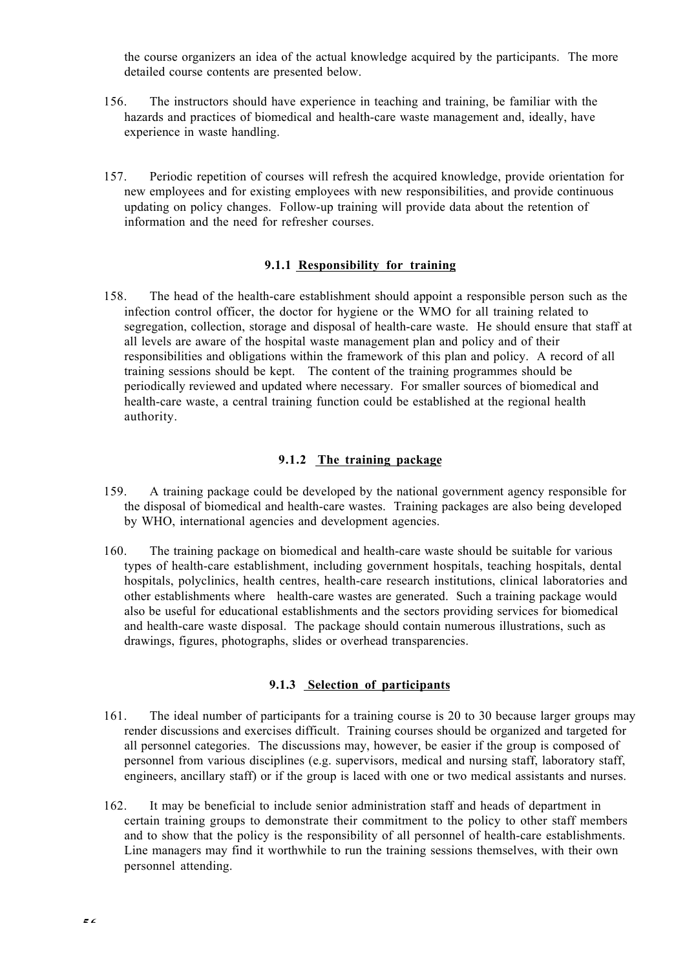the course organizers an idea of the actual knowledge acquired by the participants. The more detailed course contents are presented below.

- 156. The instructors should have experience in teaching and training, be familiar with the hazards and practices of biomedical and health-care waste management and, ideally, have experience in waste handling.
- 157. Periodic repetition of courses will refresh the acquired knowledge, provide orientation for new employees and for existing employees with new responsibilities, and provide continuous updating on policy changes. Follow-up training will provide data about the retention of information and the need for refresher courses.

# **9.1.1 Responsibility for training**

158. The head of the health-care establishment should appoint a responsible person such as the infection control officer, the doctor for hygiene or the WMO for all training related to segregation, collection, storage and disposal of health-care waste. He should ensure that staff at all levels are aware of the hospital waste management plan and policy and of their responsibilities and obligations within the framework of this plan and policy. A record of all training sessions should be kept. The content of the training programmes should be periodically reviewed and updated where necessary. For smaller sources of biomedical and health-care waste, a central training function could be established at the regional health authority.

## **9.1.2 The training package**

- 159. A training package could be developed by the national government agency responsible for the disposal of biomedical and health-care wastes. Training packages are also being developed by WHO, international agencies and development agencies.
- 160. The training package on biomedical and health-care waste should be suitable for various types of health-care establishment, including government hospitals, teaching hospitals, dental hospitals, polyclinics, health centres, health-care research institutions, clinical laboratories and other establishments where health-care wastes are generated. Such a training package would also be useful for educational establishments and the sectors providing services for biomedical and health-care waste disposal. The package should contain numerous illustrations, such as drawings, figures, photographs, slides or overhead transparencies.

## **9.1.3 Selection of participants**

- 161. The ideal number of participants for a training course is 20 to 30 because larger groups may render discussions and exercises difficult. Training courses should be organized and targeted for all personnel categories. The discussions may, however, be easier if the group is composed of personnel from various disciplines (e.g. supervisors, medical and nursing staff, laboratory staff, engineers, ancillary staff) or if the group is laced with one or two medical assistants and nurses.
- 162. It may be beneficial to include senior administration staff and heads of department in certain training groups to demonstrate their commitment to the policy to other staff members and to show that the policy is the responsibility of all personnel of health-care establishments. Line managers may find it worthwhile to run the training sessions themselves, with their own personnel attending.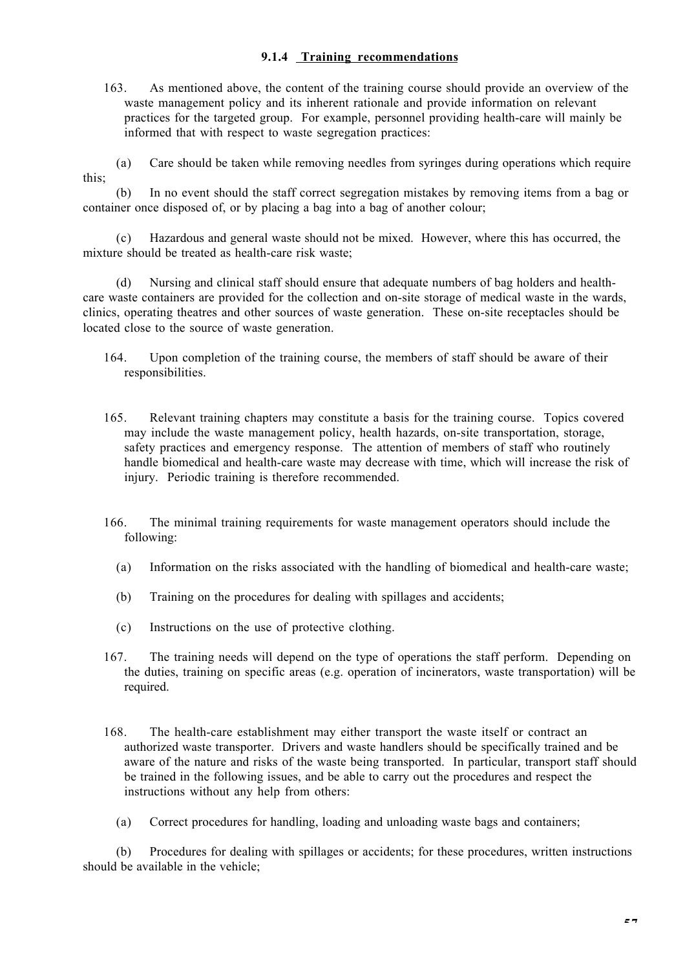# **9.1.4 Training recommendations**

163. As mentioned above, the content of the training course should provide an overview of the waste management policy and its inherent rationale and provide information on relevant practices for the targeted group. For example, personnel providing health-care will mainly be informed that with respect to waste segregation practices:

(a) Care should be taken while removing needles from syringes during operations which require this;

(b) In no event should the staff correct segregation mistakes by removing items from a bag or container once disposed of, or by placing a bag into a bag of another colour;

(c) Hazardous and general waste should not be mixed. However, where this has occurred, the mixture should be treated as health-care risk waste;

(d) Nursing and clinical staff should ensure that adequate numbers of bag holders and healthcare waste containers are provided for the collection and on-site storage of medical waste in the wards, clinics, operating theatres and other sources of waste generation. These on-site receptacles should be located close to the source of waste generation.

- 164. Upon completion of the training course, the members of staff should be aware of their responsibilities.
- 165. Relevant training chapters may constitute a basis for the training course. Topics covered may include the waste management policy, health hazards, on-site transportation, storage, safety practices and emergency response. The attention of members of staff who routinely handle biomedical and health-care waste may decrease with time, which will increase the risk of injury. Periodic training is therefore recommended.
- 166. The minimal training requirements for waste management operators should include the following:
	- (a) Information on the risks associated with the handling of biomedical and health-care waste;
	- (b) Training on the procedures for dealing with spillages and accidents;
	- (c) Instructions on the use of protective clothing.
- 167. The training needs will depend on the type of operations the staff perform. Depending on the duties, training on specific areas (e.g. operation of incinerators, waste transportation) will be required.
- 168. The health-care establishment may either transport the waste itself or contract an authorized waste transporter. Drivers and waste handlers should be specifically trained and be aware of the nature and risks of the waste being transported. In particular, transport staff should be trained in the following issues, and be able to carry out the procedures and respect the instructions without any help from others:
	- (a) Correct procedures for handling, loading and unloading waste bags and containers;

(b) Procedures for dealing with spillages or accidents; for these procedures, written instructions should be available in the vehicle;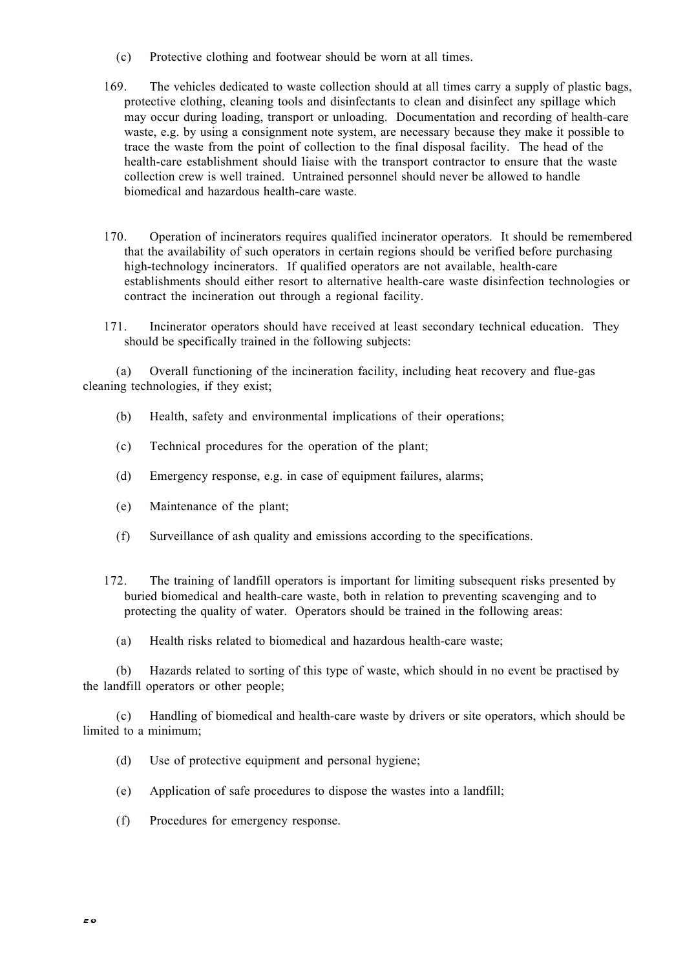- (c) Protective clothing and footwear should be worn at all times.
- 169. The vehicles dedicated to waste collection should at all times carry a supply of plastic bags, protective clothing, cleaning tools and disinfectants to clean and disinfect any spillage which may occur during loading, transport or unloading. Documentation and recording of health-care waste, e.g. by using a consignment note system, are necessary because they make it possible to trace the waste from the point of collection to the final disposal facility. The head of the health-care establishment should liaise with the transport contractor to ensure that the waste collection crew is well trained. Untrained personnel should never be allowed to handle biomedical and hazardous health-care waste.
- 170. Operation of incinerators requires qualified incinerator operators. It should be remembered that the availability of such operators in certain regions should be verified before purchasing high-technology incinerators. If qualified operators are not available, health-care establishments should either resort to alternative health-care waste disinfection technologies or contract the incineration out through a regional facility.
- 171. Incinerator operators should have received at least secondary technical education. They should be specifically trained in the following subjects:

(a) Overall functioning of the incineration facility, including heat recovery and flue-gas cleaning technologies, if they exist;

- (b) Health, safety and environmental implications of their operations;
- (c) Technical procedures for the operation of the plant;
- (d) Emergency response, e.g. in case of equipment failures, alarms;
- (e) Maintenance of the plant;
- (f) Surveillance of ash quality and emissions according to the specifications.
- 172. The training of landfill operators is important for limiting subsequent risks presented by buried biomedical and health-care waste, both in relation to preventing scavenging and to protecting the quality of water. Operators should be trained in the following areas:
	- (a) Health risks related to biomedical and hazardous health-care waste;

(b) Hazards related to sorting of this type of waste, which should in no event be practised by the landfill operators or other people;

(c) Handling of biomedical and health-care waste by drivers or site operators, which should be limited to a minimum;

- (d) Use of protective equipment and personal hygiene;
- (e) Application of safe procedures to dispose the wastes into a landfill;
- (f) Procedures for emergency response.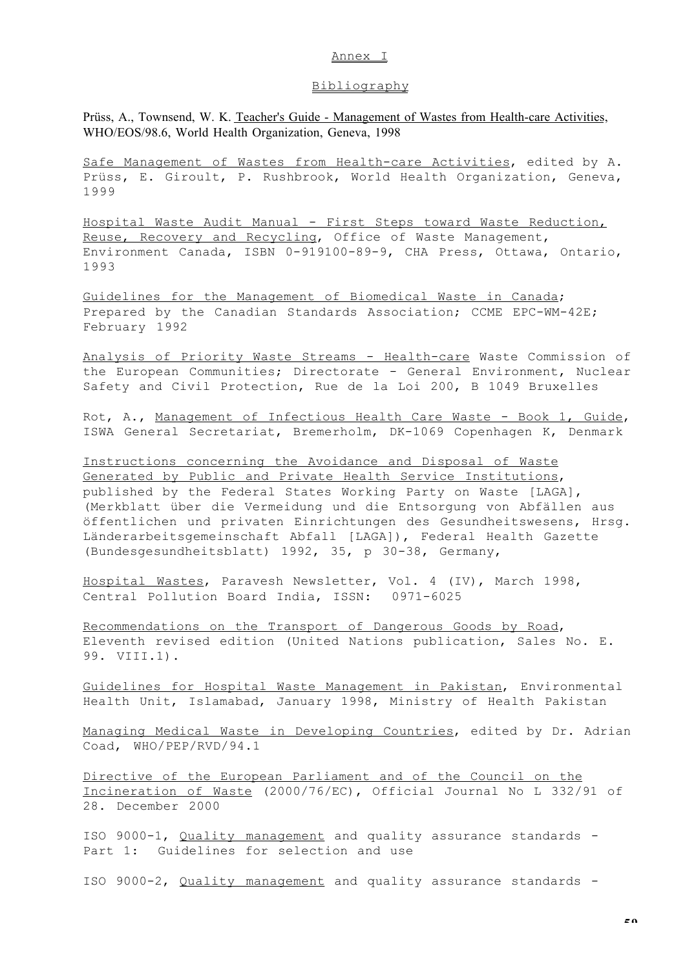#### Annex I

## Bibliography

Prüss, A., Townsend, W. K. Teacher's Guide - Management of Wastes from Health-care Activities, WHO/EOS/98.6, World Health Organization, Geneva, 1998

Safe Management of Wastes from Health-care Activities, edited by A. Prüss, E. Giroult, P. Rushbrook, World Health Organization, Geneva, 1999

 Hospital Waste Audit Manual - First Steps toward Waste Reduction, Reuse, Recovery and Recycling, Office of Waste Management, Environment Canada, ISBN 0-919100-89-9, CHA Press, Ottawa, Ontario, 1993

Guidelines for the Management of Biomedical Waste in Canada; Prepared by the Canadian Standards Association; CCME EPC-WM-42E; February 1992

 Analysis of Priority Waste Streams - Health-care Waste Commission of the European Communities; Directorate - General Environment, Nuclear Safety and Civil Protection, Rue de la Loi 200, B 1049 Bruxelles

Rot, A., Management of Infectious Health Care Waste - Book 1, Guide, ISWA General Secretariat, Bremerholm, DK-1069 Copenhagen K, Denmark

 Instructions concerning the Avoidance and Disposal of Waste Generated by Public and Private Health Service Institutions, published by the Federal States Working Party on Waste [LAGA], (Merkblatt über die Vermeidung und die Entsorgung von Abfällen aus öffentlichen und privaten Einrichtungen des Gesundheitswesens, Hrsg. Länderarbeitsgemeinschaft Abfall [LAGA]), Federal Health Gazette (Bundesgesundheitsblatt) 1992, 35, p 30-38, Germany,

Hospital Wastes, Paravesh Newsletter, Vol. 4 (IV), March 1998, Central Pollution Board India, ISSN: 0971-6025

Recommendations on the Transport of Dangerous Goods by Road, Eleventh revised edition (United Nations publication, Sales No. E. 99. VIII.1).

Guidelines for Hospital Waste Management in Pakistan, Environmental Health Unit, Islamabad, January 1998, Ministry of Health Pakistan

Managing Medical Waste in Developing Countries, edited by Dr. Adrian Coad, WHO/PEP/RVD/94.1

 Directive of the European Parliament and of the Council on the Incineration of Waste (2000/76/EC), Official Journal No L 332/91 of 28. December 2000

ISO 9000-1, Quality management and quality assurance standards - Part 1: Guidelines for selection and use

ISO 9000-2, Quality management and quality assurance standards -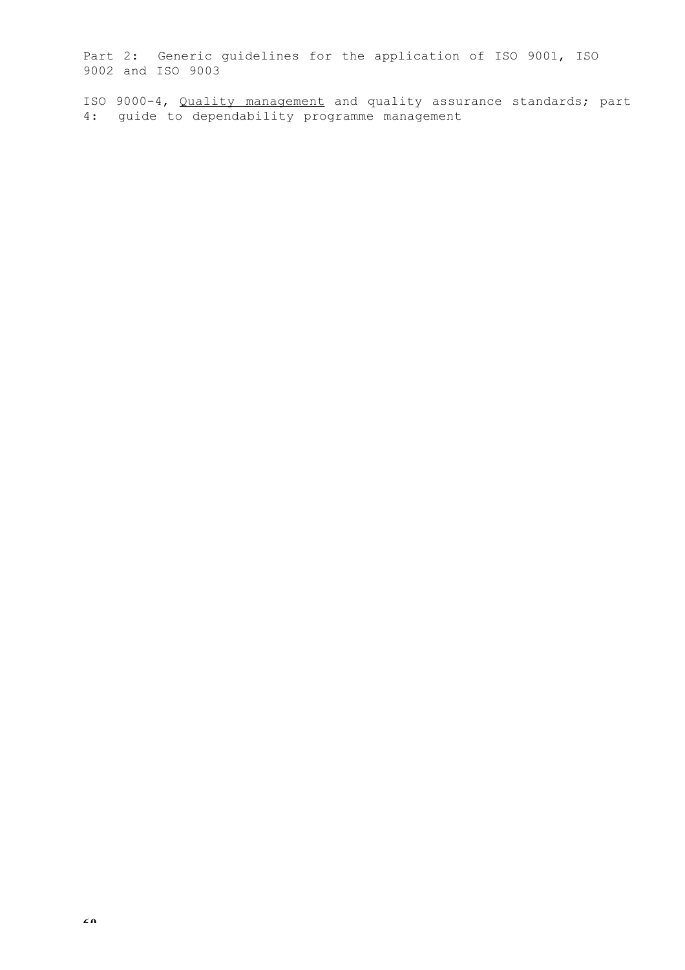Part 2: Generic guidelines for the application of ISO 9001, ISO 9002 and ISO 9003

ISO 9000-4, Quality management and quality assurance standards; part 4: guide to dependability programme management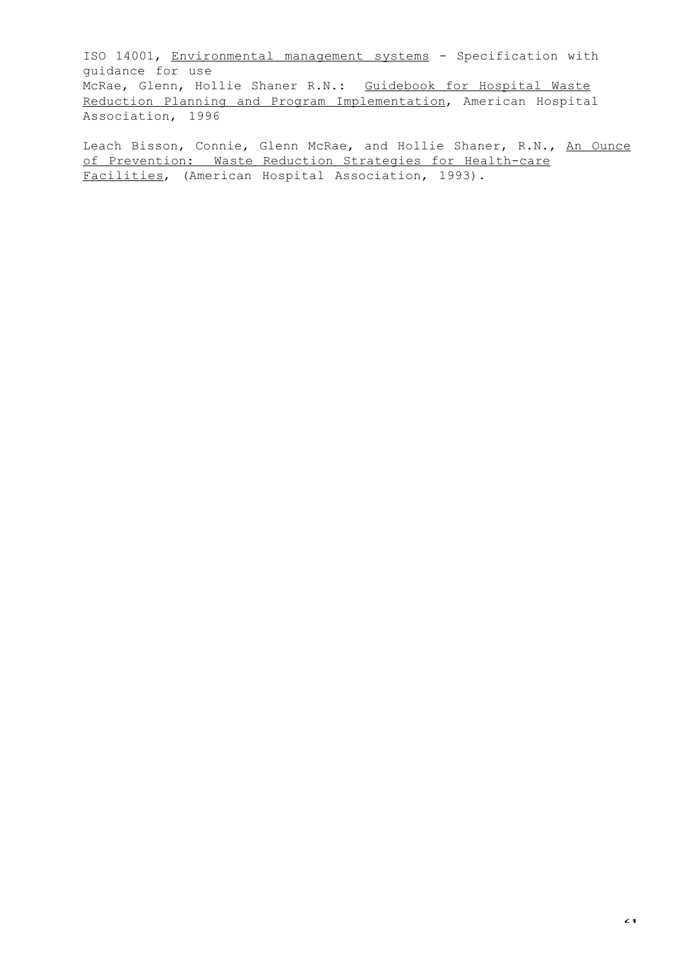ISO 14001, Environmental management systems - Specification with guidance for use McRae, Glenn, Hollie Shaner R.N.: Guidebook for Hospital Waste Reduction Planning and Program Implementation, American Hospital Association, 1996

Leach Bisson, Connie, Glenn McRae, and Hollie Shaner, R.N., An Ounce of Prevention: Waste Reduction Strategies for Health-care Facilities, (American Hospital Association, 1993).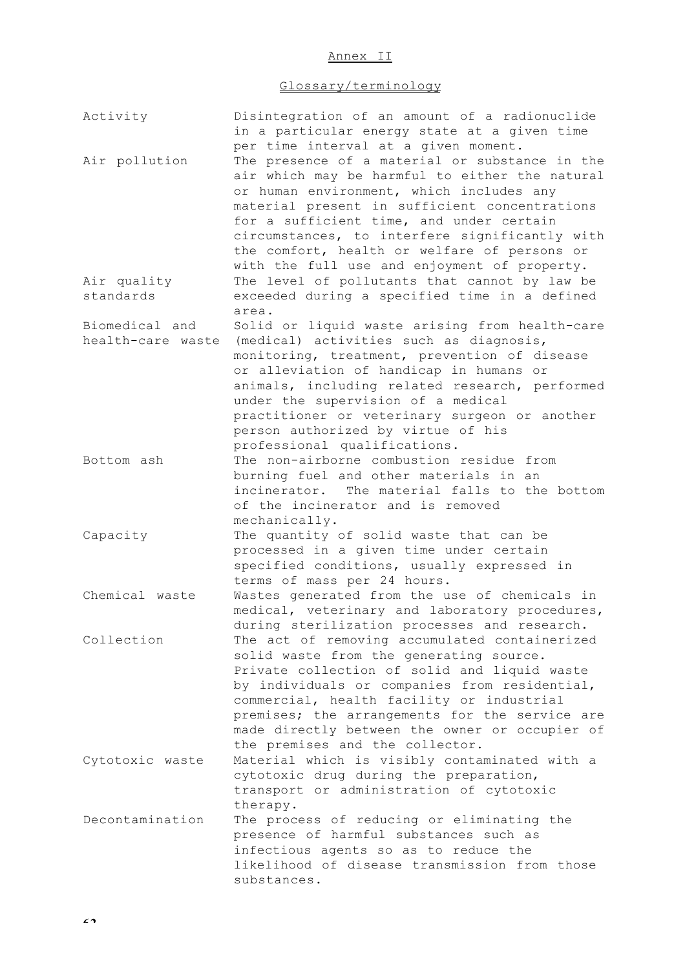## Annex II

# Glossary/terminology

| Activity                 | Disintegration of an amount of a radionuclide<br>in a particular energy state at a given time                                                                                                                                                                                                                                                                                                                                       |
|--------------------------|-------------------------------------------------------------------------------------------------------------------------------------------------------------------------------------------------------------------------------------------------------------------------------------------------------------------------------------------------------------------------------------------------------------------------------------|
| Air pollution            | per time interval at a given moment.<br>The presence of a material or substance in the<br>air which may be harmful to either the natural<br>or human environment, which includes any<br>material present in sufficient concentrations<br>for a sufficient time, and under certain<br>circumstances, to interfere significantly with<br>the comfort, health or welfare of persons or<br>with the full use and enjoyment of property. |
| Air quality<br>standards | The level of pollutants that cannot by law be<br>exceeded during a specified time in a defined                                                                                                                                                                                                                                                                                                                                      |
|                          | area.                                                                                                                                                                                                                                                                                                                                                                                                                               |
| Biomedical and           | Solid or liquid waste arising from health-care<br>health-care waste (medical) activities such as diagnosis,<br>monitoring, treatment, prevention of disease<br>or alleviation of handicap in humans or<br>animals, including related research, performed<br>under the supervision of a medical<br>practitioner or veterinary surgeon or another                                                                                     |
|                          | person authorized by virtue of his                                                                                                                                                                                                                                                                                                                                                                                                  |
| Bottom ash               | professional qualifications.<br>The non-airborne combustion residue from<br>burning fuel and other materials in an<br>incinerator. The material falls to the bottom<br>of the incinerator and is removed<br>mechanically.                                                                                                                                                                                                           |
| Capacity                 | The quantity of solid waste that can be<br>processed in a given time under certain<br>specified conditions, usually expressed in<br>terms of mass per 24 hours.                                                                                                                                                                                                                                                                     |
| Chemical waste           | Wastes generated from the use of chemicals in<br>medical, veterinary and laboratory procedures,<br>during sterilization processes and research.                                                                                                                                                                                                                                                                                     |
| Collection               | The act of removing accumulated containerized<br>solid waste from the generating source.<br>Private collection of solid and liquid waste<br>by individuals or companies from residential,<br>commercial, health facility or industrial<br>premises; the arrangements for the service are<br>made directly between the owner or occupier of<br>the premises and the collector.                                                       |
| Cytotoxic waste          | Material which is visibly contaminated with a<br>cytotoxic drug during the preparation,<br>transport or administration of cytotoxic<br>therapy.                                                                                                                                                                                                                                                                                     |
| Decontamination          | The process of reducing or eliminating the<br>presence of harmful substances such as<br>infectious agents so as to reduce the<br>likelihood of disease transmission from those<br>substances.                                                                                                                                                                                                                                       |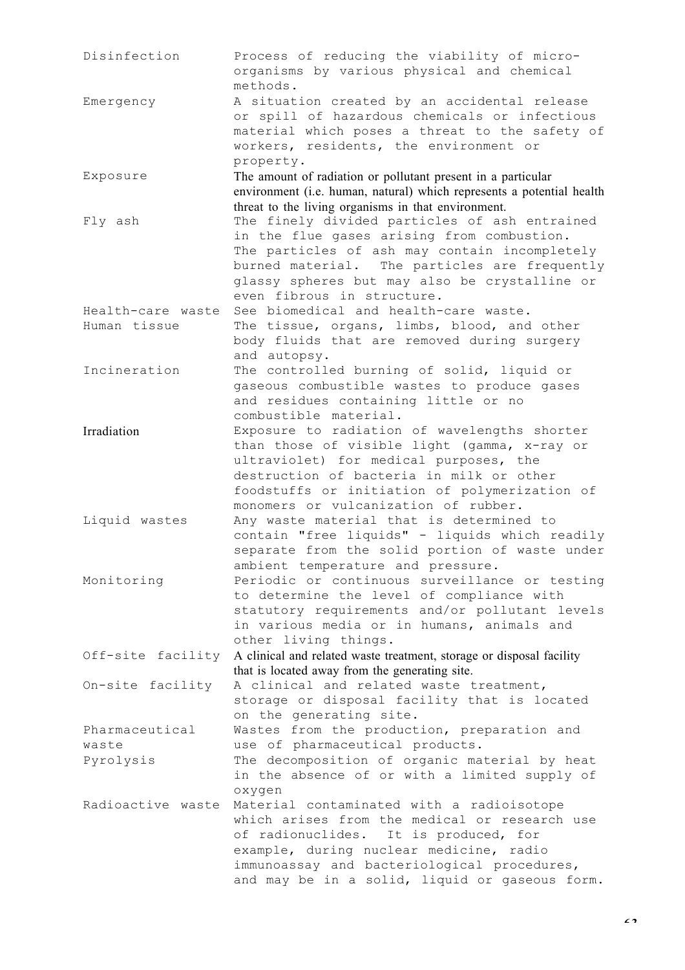Disinfection Process of reducing the viability of microorganisms by various physical and chemical methods. Emergency A situation created by an accidental release or spill of hazardous chemicals or infectious material which poses a threat to the safety of workers, residents, the environment or property. Exposure The amount of radiation or pollutant present in a particular environment (i.e. human, natural) which represents a potential health threat to the living organisms in that environment. Fly ash The finely divided particles of ash entrained in the flue gases arising from combustion. The particles of ash may contain incompletely burned material. The particles are frequently glassy spheres but may also be crystalline or even fibrous in structure. Health-care waste See biomedical and health-care waste. Human tissue The tissue, organs, limbs, blood, and other body fluids that are removed during surgery and autopsy. Incineration The controlled burning of solid, liquid or gaseous combustible wastes to produce gases and residues containing little or no combustible material. Irradiation Exposure to radiation of wavelengths shorter than those of visible light (gamma, x-ray or ultraviolet) for medical purposes, the destruction of bacteria in milk or other foodstuffs or initiation of polymerization of monomers or vulcanization of rubber. Liquid wastes Any waste material that is determined to contain "free liquids" - liquids which readily separate from the solid portion of waste under ambient temperature and pressure. Monitoring Periodic or continuous surveillance or testing to determine the level of compliance with statutory requirements and/or pollutant levels in various media or in humans, animals and other living things. Off-site facility A clinical and related waste treatment, storage or disposal facility that is located away from the generating site. On-site facility A clinical and related waste treatment, storage or disposal facility that is located on the generating site. Pharmaceutical waste Wastes from the production, preparation and use of pharmaceutical products. Pyrolysis The decomposition of organic material by heat in the absence of or with a limited supply of oxygen Radioactive waste Material contaminated with a radioisotope which arises from the medical or research use of radionuclides. It is produced, for example, during nuclear medicine, radio immunoassay and bacteriological procedures, and may be in a solid, liquid or gaseous form.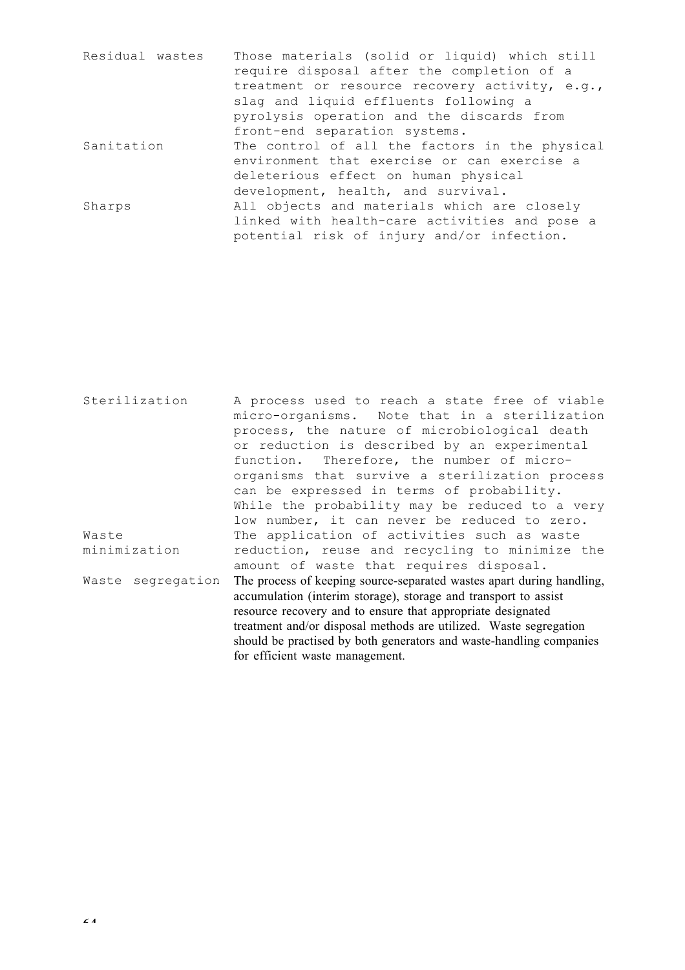| Residual wastes | Those materials (solid or liquid) which still  |
|-----------------|------------------------------------------------|
|                 | require disposal after the completion of a     |
|                 | treatment or resource recovery activity, e.g., |
|                 | slag and liquid effluents following a          |
|                 | pyrolysis operation and the discards from      |
|                 | front-end separation systems.                  |
| Sanitation      | The control of all the factors in the physical |
|                 | environment that exercise or can exercise a    |
|                 | deleterious effect on human physical           |
|                 | development, health, and survival.             |
| Sharps          | All objects and materials which are closely    |
|                 | linked with health-care activities and pose a  |
|                 | potential risk of injury and/or infection.     |

Sterilization A process used to reach a state free of viable micro-organisms. Note that in a sterilization process, the nature of microbiological death or reduction is described by an experimental function. Therefore, the number of microorganisms that survive a sterilization process can be expressed in terms of probability. While the probability may be reduced to a very low number, it can never be reduced to zero. Waste minimization The application of activities such as waste reduction, reuse and recycling to minimize the amount of waste that requires disposal. Waste segregation The process of keeping source-separated wastes apart during handling, accumulation (interim storage), storage and transport to assist resource recovery and to ensure that appropriate designated treatment and/or disposal methods are utilized. Waste segregation should be practised by both generators and waste-handling companies for efficient waste management.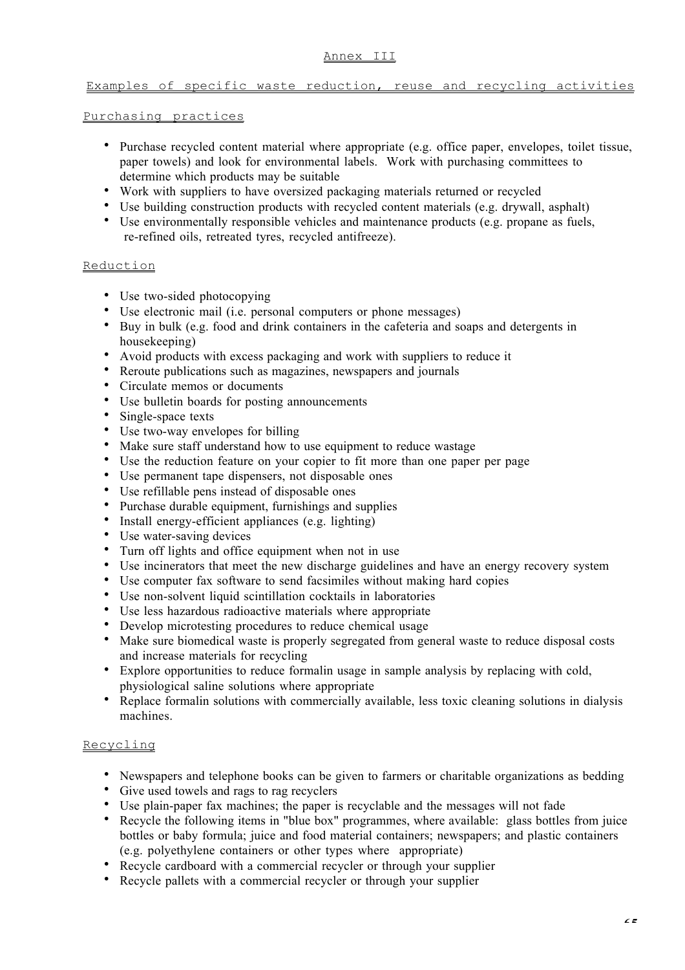#### Annex III

## Examples of specific waste reduction, reuse and recycling activities

#### Purchasing practices

Purchase recycled content material where appropriate (e.g. office paper, envelopes, toilet tissue, paper towels) and look for environmental labels. Work with purchasing committees to determine which products may be suitable

Work with suppliers to have oversized packaging materials returned or recycled Use building construction products with recycled content materials (e.g. drywall, asphalt) Use environmentally responsible vehicles and maintenance products (e.g. propane as fuels, re-refined oils, retreated tyres, recycled antifreeze).

### **Reduction**

Use two-sided photocopying Use electronic mail (i.e. personal computers or phone messages) Buy in bulk (e.g. food and drink containers in the cafeteria and soaps and detergents in housekeeping) Avoid products with excess packaging and work with suppliers to reduce it Reroute publications such as magazines, newspapers and journals Circulate memos or documents Use bulletin boards for posting announcements Single-space texts Use two-way envelopes for billing Make sure staff understand how to use equipment to reduce wastage Use the reduction feature on your copier to fit more than one paper per page Use permanent tape dispensers, not disposable ones Use refillable pens instead of disposable ones Purchase durable equipment, furnishings and supplies Install energy-efficient appliances (e.g. lighting) Use water-saving devices Turn off lights and office equipment when not in use Use incinerators that meet the new discharge guidelines and have an energy recovery system Use computer fax software to send facsimiles without making hard copies Use non-solvent liquid scintillation cocktails in laboratories Use less hazardous radioactive materials where appropriate Develop microtesting procedures to reduce chemical usage Make sure biomedical waste is properly segregated from general waste to reduce disposal costs and increase materials for recycling Explore opportunities to reduce formalin usage in sample analysis by replacing with cold, physiological saline solutions where appropriate Replace formalin solutions with commercially available, less toxic cleaning solutions in dialysis machines.

## Recycling

Newspapers and telephone books can be given to farmers or charitable organizations as bedding Give used towels and rags to rag recyclers

Use plain-paper fax machines; the paper is recyclable and the messages will not fade

Recycle the following items in "blue box" programmes, where available: glass bottles from juice bottles or baby formula; juice and food material containers; newspapers; and plastic containers (e.g. polyethylene containers or other types where appropriate)

Recycle cardboard with a commercial recycler or through your supplier Recycle pallets with a commercial recycler or through your supplier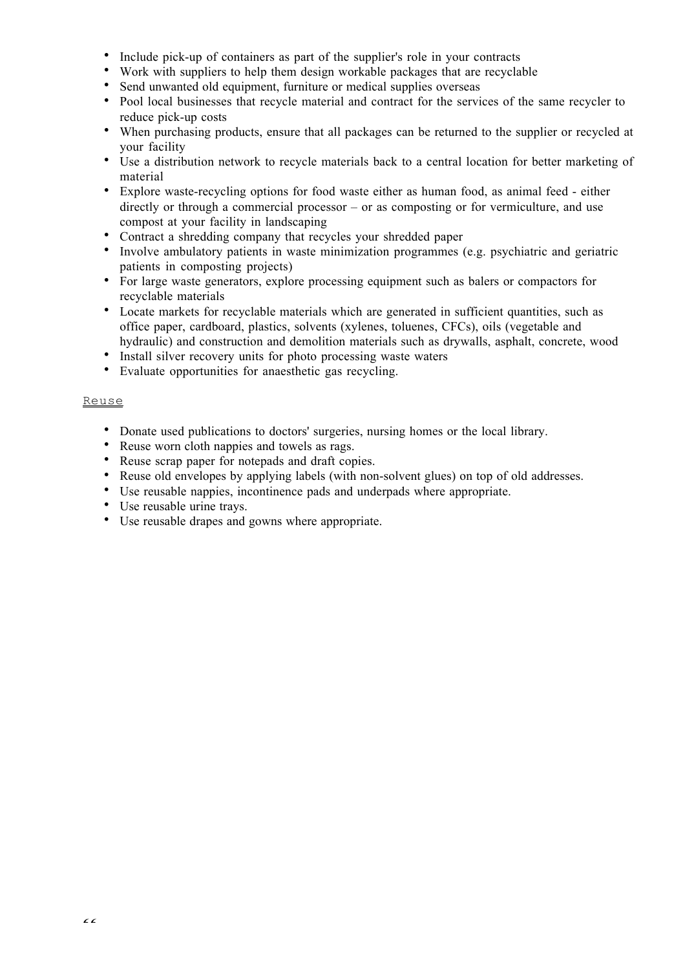Include pick-up of containers as part of the supplier's role in your contracts

Work with suppliers to help them design workable packages that are recyclable

Send unwanted old equipment, furniture or medical supplies overseas

Pool local businesses that recycle material and contract for the services of the same recycler to reduce pick-up costs

When purchasing products, ensure that all packages can be returned to the supplier or recycled at your facility

Use a distribution network to recycle materials back to a central location for better marketing of material

Explore waste-recycling options for food waste either as human food, as animal feed - either directly or through a commercial processor – or as composting or for vermiculture, and use compost at your facility in landscaping

Contract a shredding company that recycles your shredded paper

Involve ambulatory patients in waste minimization programmes (e.g. psychiatric and geriatric patients in composting projects)

For large waste generators, explore processing equipment such as balers or compactors for recyclable materials

Locate markets for recyclable materials which are generated in sufficient quantities, such as office paper, cardboard, plastics, solvents (xylenes, toluenes, CFCs), oils (vegetable and hydraulic) and construction and demolition materials such as drywalls, asphalt, concrete, wood Install silver recovery units for photo processing waste waters

Evaluate opportunities for anaesthetic gas recycling.

## Reuse

Donate used publications to doctors' surgeries, nursing homes or the local library.

Reuse worn cloth nappies and towels as rags.

Reuse scrap paper for notepads and draft copies.

Reuse old envelopes by applying labels (with non-solvent glues) on top of old addresses.

Use reusable nappies, incontinence pads and underpads where appropriate.

Use reusable urine trays.

Use reusable drapes and gowns where appropriate.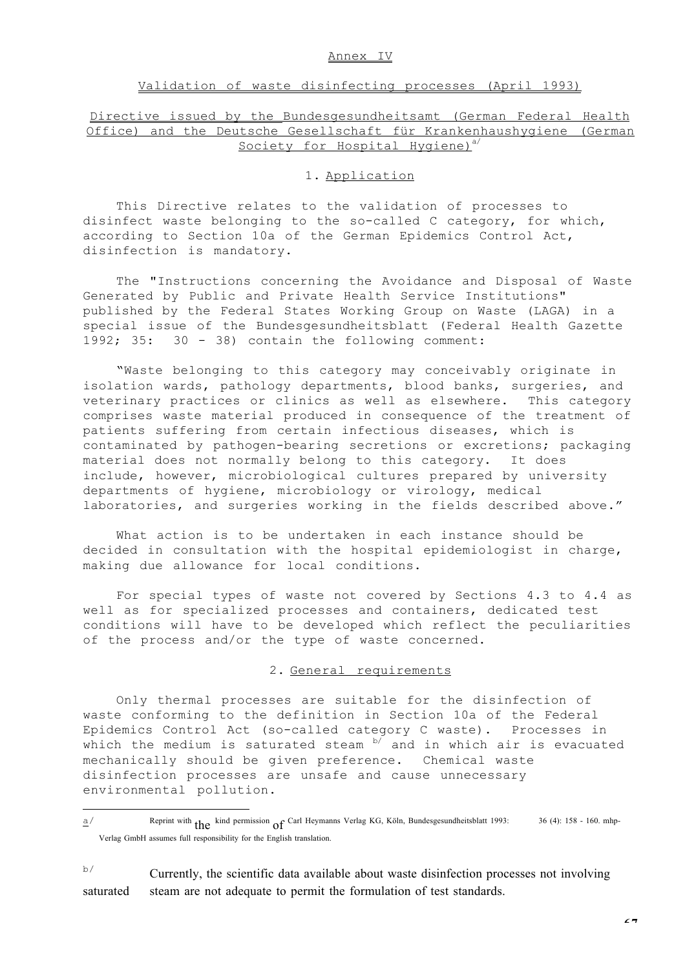#### Annex IV

#### Validation of waste disinfecting processes (April 1993)

## Directive issued by the Bundesgesundheitsamt (German Federal Health Office) and the Deutsche Gesellschaft für Krankenhaushygiene (German Society for Hospital Hygiene)<sup>a/</sup>

#### 1. Application

This Directive relates to the validation of processes to disinfect waste belonging to the so-called C category, for which, according to Section 10a of the German Epidemics Control Act, disinfection is mandatory.

The "Instructions concerning the Avoidance and Disposal of Waste Generated by Public and Private Health Service Institutions" published by the Federal States Working Group on Waste (LAGA) in a special issue of the Bundesgesundheitsblatt (Federal Health Gazette 1992; 35: 30 - 38) contain the following comment:

"Waste belonging to this category may conceivably originate in isolation wards, pathology departments, blood banks, surgeries, and veterinary practices or clinics as well as elsewhere. This category comprises waste material produced in consequence of the treatment of patients suffering from certain infectious diseases, which is contaminated by pathogen-bearing secretions or excretions; packaging material does not normally belong to this category. It does include, however, microbiological cultures prepared by university departments of hygiene, microbiology or virology, medical laboratories, and surgeries working in the fields described above."

What action is to be undertaken in each instance should be decided in consultation with the hospital epidemiologist in charge, making due allowance for local conditions.

For special types of waste not covered by Sections 4.3 to 4.4 as well as for specialized processes and containers, dedicated test conditions will have to be developed which reflect the peculiarities of the process and/or the type of waste concerned.

#### 2. General requirements

Only thermal processes are suitable for the disinfection of waste conforming to the definition in Section 10a of the Federal Epidemics Control Act (so-called category C waste). Processes in which the medium is saturated steam  $\frac{b}{2}$  and in which air is evacuated mechanically should be given preference. Chemical waste disinfection processes are unsafe and cause unnecessary environmental pollution.

÷,

 $b$ <sup> $b$ </sup> Currently, the scientific data available about waste disinfection processes not involving saturated steam are not adequate to permit the formulation of test standards.

 $\frac{\alpha}{2}$  Reprint with the kind permission of Carl Heymanns Verlag KG, Köln, Bundesgesundheitsblatt 1993: 36 (4): 158 - 160. mhp-Verlag GmbH assumes full responsibility for the English translation.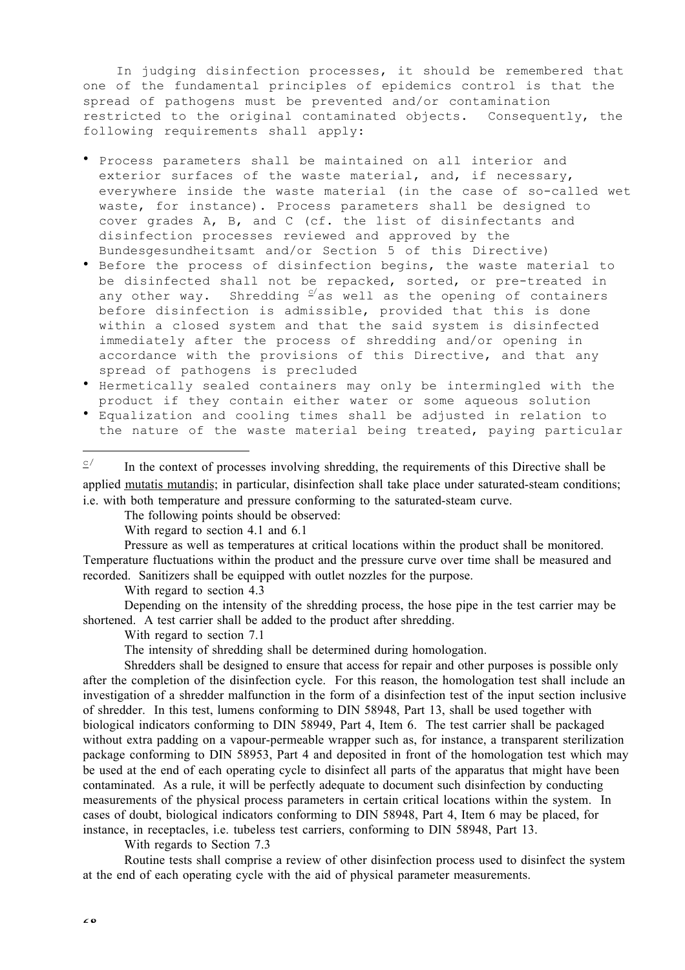In judging disinfection processes, it should be remembered that one of the fundamental principles of epidemics control is that the spread of pathogens must be prevented and/or contamination restricted to the original contaminated objects. Consequently, the following requirements shall apply:

Process parameters shall be maintained on all interior and exterior surfaces of the waste material, and, if necessary, everywhere inside the waste material (in the case of so-called wet waste, for instance). Process parameters shall be designed to cover grades A, B, and C (cf. the list of disinfectants and disinfection processes reviewed and approved by the Bundesgesundheitsamt and/or Section 5 of this Directive) Before the process of disinfection begins, the waste material to be disinfected shall not be repacked, sorted, or pre-treated in any other way. Shredding  $e^{i}$  as well as the opening of containers before disinfection is admissible, provided that this is done within a closed system and that the said system is disinfected immediately after the process of shredding and/or opening in accordance with the provisions of this Directive, and that any spread of pathogens is precluded Hermetically sealed containers may only be intermingled with the product if they contain either water or some aqueous solution Equalization and cooling times shall be adjusted in relation to

the nature of the waste material being treated, paying particular ÷,  $\frac{\sigma}{\sigma}$  In the context of processes involving shredding, the requirements of this Directive shall be

applied mutatis mutandis; in particular, disinfection shall take place under saturated-steam conditions; i.e. with both temperature and pressure conforming to the saturated-steam curve.

The following points should be observed:

With regard to section 4.1 and 6.1

Pressure as well as temperatures at critical locations within the product shall be monitored. Temperature fluctuations within the product and the pressure curve over time shall be measured and recorded. Sanitizers shall be equipped with outlet nozzles for the purpose.

With regard to section 4.3

Depending on the intensity of the shredding process, the hose pipe in the test carrier may be shortened. A test carrier shall be added to the product after shredding.

With regard to section 7.1

The intensity of shredding shall be determined during homologation.

Shredders shall be designed to ensure that access for repair and other purposes is possible only after the completion of the disinfection cycle. For this reason, the homologation test shall include an investigation of a shredder malfunction in the form of a disinfection test of the input section inclusive of shredder. In this test, lumens conforming to DIN 58948, Part 13, shall be used together with biological indicators conforming to DIN 58949, Part 4, Item 6. The test carrier shall be packaged without extra padding on a vapour-permeable wrapper such as, for instance, a transparent sterilization package conforming to DIN 58953, Part 4 and deposited in front of the homologation test which may be used at the end of each operating cycle to disinfect all parts of the apparatus that might have been contaminated. As a rule, it will be perfectly adequate to document such disinfection by conducting measurements of the physical process parameters in certain critical locations within the system. In cases of doubt, biological indicators conforming to DIN 58948, Part 4, Item 6 may be placed, for instance, in receptacles, i.e. tubeless test carriers, conforming to DIN 58948, Part 13.

With regards to Section 7.3

Routine tests shall comprise a review of other disinfection process used to disinfect the system at the end of each operating cycle with the aid of physical parameter measurements.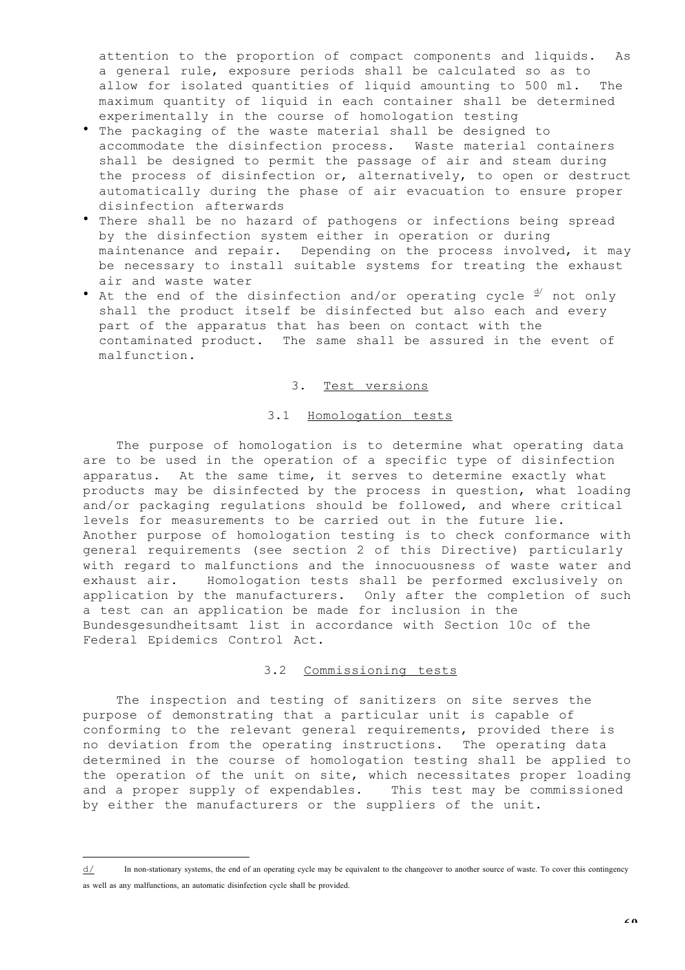attention to the proportion of compact components and liquids. As a general rule, exposure periods shall be calculated so as to allow for isolated quantities of liquid amounting to 500 ml. The maximum quantity of liquid in each container shall be determined experimentally in the course of homologation testing The packaging of the waste material shall be designed to accommodate the disinfection process. Waste material containers shall be designed to permit the passage of air and steam during the process of disinfection or, alternatively, to open or destruct automatically during the phase of air evacuation to ensure proper disinfection afterwards

There shall be no hazard of pathogens or infections being spread by the disinfection system either in operation or during maintenance and repair. Depending on the process involved, it may be necessary to install suitable systems for treating the exhaust air and waste water

At the end of the disinfection and/or operating cycle  $\frac{d}{dx}$  not only shall the product itself be disinfected but also each and every part of the apparatus that has been on contact with the contaminated product. The same shall be assured in the event of malfunction.

### 3. Test versions

#### 3.1 Homologation tests

The purpose of homologation is to determine what operating data are to be used in the operation of a specific type of disinfection apparatus. At the same time, it serves to determine exactly what products may be disinfected by the process in question, what loading and/or packaging regulations should be followed, and where critical levels for measurements to be carried out in the future lie. Another purpose of homologation testing is to check conformance with general requirements (see section 2 of this Directive) particularly with regard to malfunctions and the innocuousness of waste water and exhaust air. Homologation tests shall be performed exclusively on application by the manufacturers. Only after the completion of such a test can an application be made for inclusion in the Bundesgesundheitsamt list in accordance with Section 10c of the Federal Epidemics Control Act.

#### 3.2 Commissioning tests

The inspection and testing of sanitizers on site serves the purpose of demonstrating that a particular unit is capable of conforming to the relevant general requirements, provided there is no deviation from the operating instructions. The operating data determined in the course of homologation testing shall be applied to the operation of the unit on site, which necessitates proper loading and a proper supply of expendables. This test may be commissioned by either the manufacturers or the suppliers of the unit.

l.

d/ In non-stationary systems, the end of an operating cycle may be equivalent to the changeover to another source of waste. To cover this contingency as well as any malfunctions, an automatic disinfection cycle shall be provided.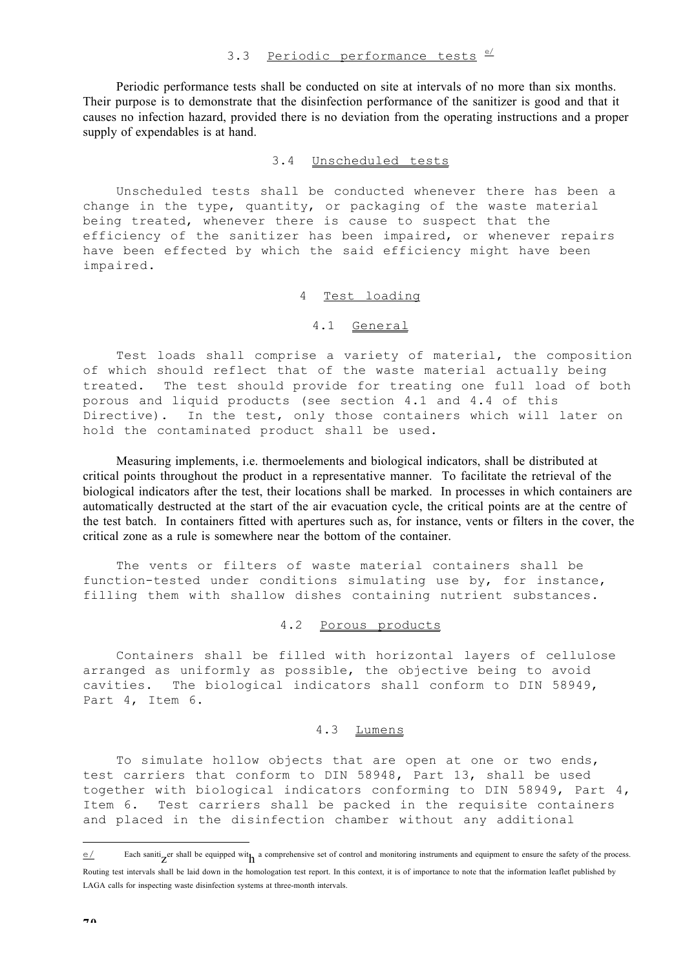Periodic performance tests shall be conducted on site at intervals of no more than six months. Their purpose is to demonstrate that the disinfection performance of the sanitizer is good and that it causes no infection hazard, provided there is no deviation from the operating instructions and a proper supply of expendables is at hand.

### 3.4 Unscheduled tests

Unscheduled tests shall be conducted whenever there has been a change in the type, quantity, or packaging of the waste material being treated, whenever there is cause to suspect that the efficiency of the sanitizer has been impaired, or whenever repairs have been effected by which the said efficiency might have been impaired.

#### 4 Test loading

#### 4.1 General

Test loads shall comprise a variety of material, the composition of which should reflect that of the waste material actually being treated. The test should provide for treating one full load of both porous and liquid products (see section 4.1 and 4.4 of this Directive). In the test, only those containers which will later on hold the contaminated product shall be used.

Measuring implements, i.e. thermoelements and biological indicators, shall be distributed at critical points throughout the product in a representative manner. To facilitate the retrieval of the biological indicators after the test, their locations shall be marked. In processes in which containers are automatically destructed at the start of the air evacuation cycle, the critical points are at the centre of the test batch. In containers fitted with apertures such as, for instance, vents or filters in the cover, the critical zone as a rule is somewhere near the bottom of the container.

The vents or filters of waste material containers shall be function-tested under conditions simulating use by, for instance, filling them with shallow dishes containing nutrient substances.

### 4.2 Porous products

Containers shall be filled with horizontal layers of cellulose arranged as uniformly as possible, the objective being to avoid cavities. The biological indicators shall conform to DIN 58949, Part 4, Item 6.

### 4.3 Lumens

To simulate hollow objects that are open at one or two ends, test carriers that conform to DIN 58948, Part 13, shall be used together with biological indicators conforming to DIN 58949, Part 4, Item 6. Test carriers shall be packed in the requisite containers and placed in the disinfection chamber without any additional

÷

Each sanitizer shall be equipped wit<sub>h</sub> a comprehensive set of control and monitoring instruments and equipment to ensure the safety of the process. Routing test intervals shall be laid down in the homologation test report. In this context, it is of importance to note that the information leaflet published by LAGA calls for inspecting waste disinfection systems at three-month intervals.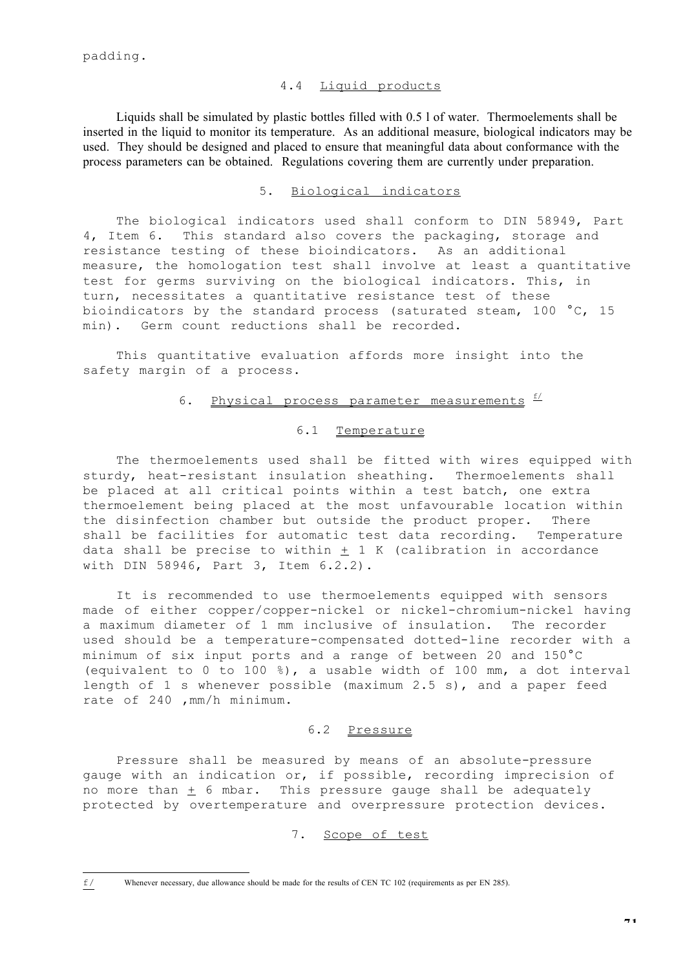#### 4.4 Liquid products

Liquids shall be simulated by plastic bottles filled with 0.5 l of water. Thermoelements shall be inserted in the liquid to monitor its temperature. As an additional measure, biological indicators may be used. They should be designed and placed to ensure that meaningful data about conformance with the process parameters can be obtained. Regulations covering them are currently under preparation.

## 5. Biological indicators

The biological indicators used shall conform to DIN 58949, Part 4, Item 6. This standard also covers the packaging, storage and resistance testing of these bioindicators. As an additional measure, the homologation test shall involve at least a quantitative test for germs surviving on the biological indicators. This, in turn, necessitates a quantitative resistance test of these bioindicators by the standard process (saturated steam, 100 °C, 15 min). Germ count reductions shall be recorded.

This quantitative evaluation affords more insight into the safety margin of a process.

## 6. Physical process parameter measurements  $\frac{f}{f}$

#### 6.1 Temperature

The thermoelements used shall be fitted with wires equipped with sturdy, heat-resistant insulation sheathing. Thermoelements shall be placed at all critical points within a test batch, one extra thermoelement being placed at the most unfavourable location within the disinfection chamber but outside the product proper. There shall be facilities for automatic test data recording. Temperature data shall be precise to within  $\pm$  1 K (calibration in accordance with DIN 58946, Part 3, Item 6.2.2).

It is recommended to use thermoelements equipped with sensors made of either copper/copper-nickel or nickel-chromium-nickel having a maximum diameter of 1 mm inclusive of insulation. The recorder used should be a temperature-compensated dotted-line recorder with a minimum of six input ports and a range of between 20 and 150°C (equivalent to 0 to 100 %), a usable width of 100 mm, a dot interval length of 1 s whenever possible (maximum 2.5 s), and a paper feed rate of 240 ,mm/h minimum.

## 6.2 Pressure

Pressure shall be measured by means of an absolute-pressure gauge with an indication or, if possible, recording imprecision of no more than  $\pm$  6 mbar. This pressure gauge shall be adequately protected by overtemperature and overpressure protection devices.

#### 7. Scope of test

 $\mathtt{f}$  / Whenever necessary, due allowance should be made for the results of CEN TC 102 (requirements as per EN 285).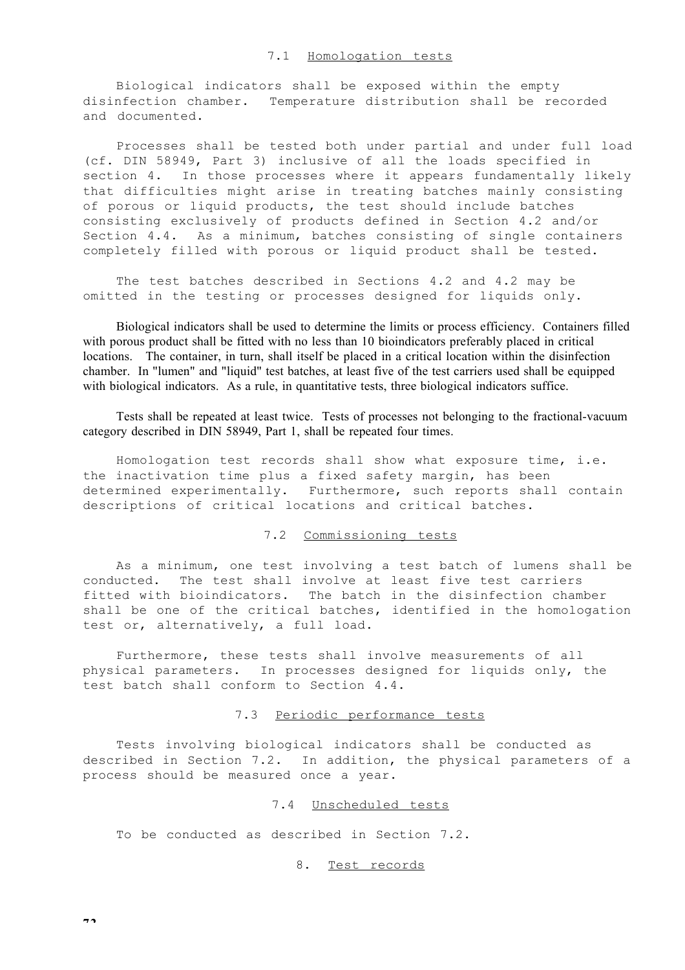Biological indicators shall be exposed within the empty disinfection chamber. Temperature distribution shall be recorded and documented.

Processes shall be tested both under partial and under full load (cf. DIN 58949, Part 3) inclusive of all the loads specified in section 4. In those processes where it appears fundamentally likely that difficulties might arise in treating batches mainly consisting of porous or liquid products, the test should include batches consisting exclusively of products defined in Section 4.2 and/or Section 4.4. As a minimum, batches consisting of single containers completely filled with porous or liquid product shall be tested.

The test batches described in Sections 4.2 and 4.2 may be omitted in the testing or processes designed for liquids only.

Biological indicators shall be used to determine the limits or process efficiency. Containers filled with porous product shall be fitted with no less than 10 bioindicators preferably placed in critical locations. The container, in turn, shall itself be placed in a critical location within the disinfection chamber. In "lumen" and "liquid" test batches, at least five of the test carriers used shall be equipped with biological indicators. As a rule, in quantitative tests, three biological indicators suffice.

Tests shall be repeated at least twice. Tests of processes not belonging to the fractional-vacuum category described in DIN 58949, Part 1, shall be repeated four times.

Homologation test records shall show what exposure time, i.e. the inactivation time plus a fixed safety margin, has been determined experimentally. Furthermore, such reports shall contain descriptions of critical locations and critical batches.

## 7.2 Commissioning tests

As a minimum, one test involving a test batch of lumens shall be conducted. The test shall involve at least five test carriers fitted with bioindicators. The batch in the disinfection chamber shall be one of the critical batches, identified in the homologation test or, alternatively, a full load.

Furthermore, these tests shall involve measurements of all physical parameters. In processes designed for liquids only, the test batch shall conform to Section 4.4.

#### 7.3 Periodic performance tests

Tests involving biological indicators shall be conducted as described in Section 7.2. In addition, the physical parameters of a process should be measured once a year.

#### 7.4 Unscheduled tests

To be conducted as described in Section 7.2.

#### 8. Test records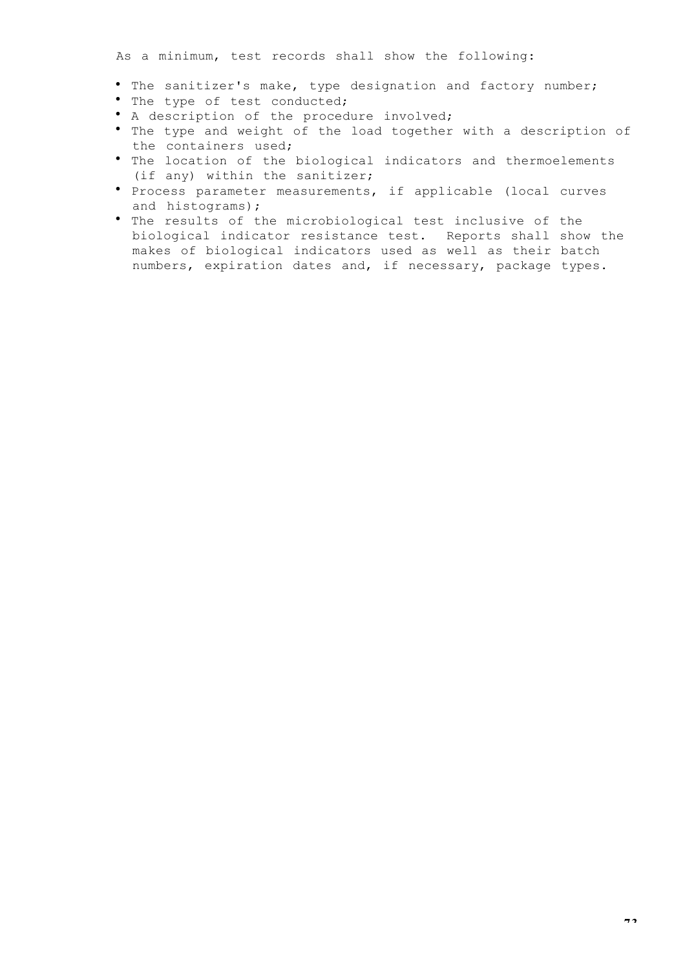The sanitizer's make, type designation and factory number; The type of test conducted; A description of the procedure involved; The type and weight of the load together with a description of the containers used; The location of the biological indicators and thermoelements (if any) within the sanitizer; Process parameter measurements, if applicable (local curves and histograms); The results of the microbiological test inclusive of the biological indicator resistance test. Reports shall show the makes of biological indicators used as well as their batch numbers, expiration dates and, if necessary, package types.